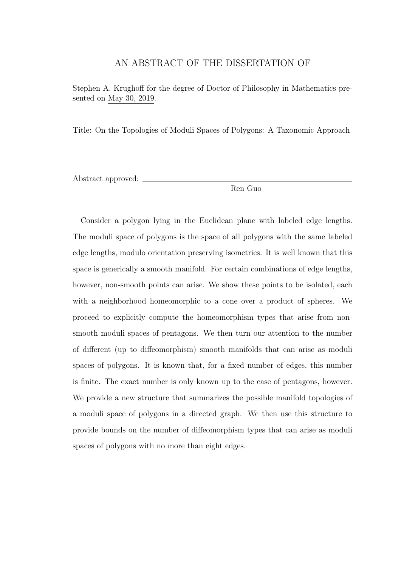### AN ABSTRACT OF THE DISSERTATION OF

Stephen A. Krughoff for the degree of Doctor of Philosophy in Mathematics presented on May 30, 2019.

Title: On the Topologies of Moduli Spaces of Polygons: A Taxonomic Approach

Abstract approved:

Ren Guo

Consider a polygon lying in the Euclidean plane with labeled edge lengths. The moduli space of polygons is the space of all polygons with the same labeled edge lengths, modulo orientation preserving isometries. It is well known that this space is generically a smooth manifold. For certain combinations of edge lengths, however, non-smooth points can arise. We show these points to be isolated, each with a neighborhood homeomorphic to a cone over a product of spheres. We proceed to explicitly compute the homeomorphism types that arise from nonsmooth moduli spaces of pentagons. We then turn our attention to the number of different (up to diffeomorphism) smooth manifolds that can arise as moduli spaces of polygons. It is known that, for a fixed number of edges, this number is finite. The exact number is only known up to the case of pentagons, however. We provide a new structure that summarizes the possible manifold topologies of a moduli space of polygons in a directed graph. We then use this structure to provide bounds on the number of diffeomorphism types that can arise as moduli spaces of polygons with no more than eight edges.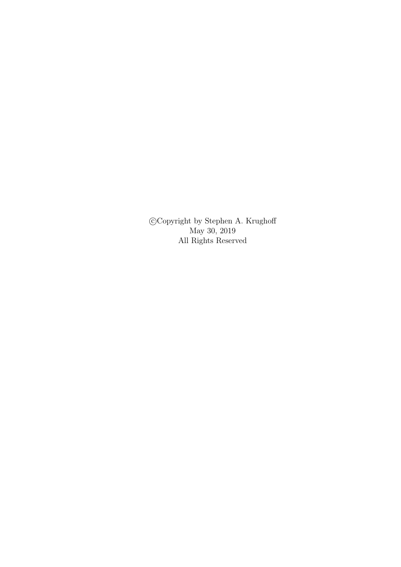c Copyright by Stephen A. Krughoff May 30, 2019 All Rights Reserved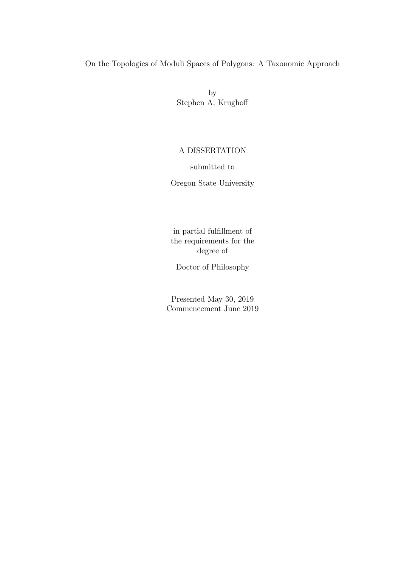## On the Topologies of Moduli Spaces of Polygons: A Taxonomic Approach

by Stephen A. Krughoff

### A DISSERTATION

submitted to

Oregon State University

in partial fulfillment of the requirements for the degree of

Doctor of Philosophy

Presented May 30, 2019 Commencement June 2019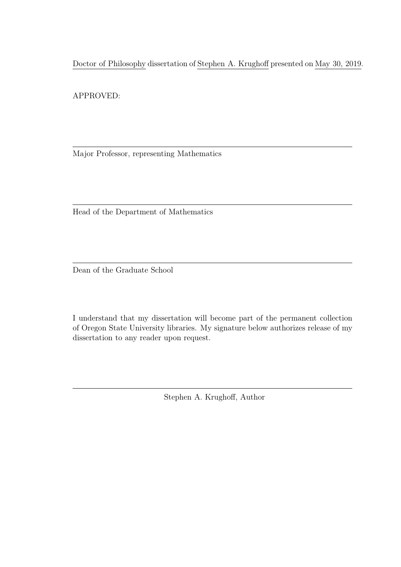Doctor of Philosophy dissertation of Stephen A. Krughoff presented on May 30, 2019.

APPROVED:

Major Professor, representing Mathematics

Head of the Department of Mathematics

Dean of the Graduate School

I understand that my dissertation will become part of the permanent collection of Oregon State University libraries. My signature below authorizes release of my dissertation to any reader upon request.

Stephen A. Krughoff, Author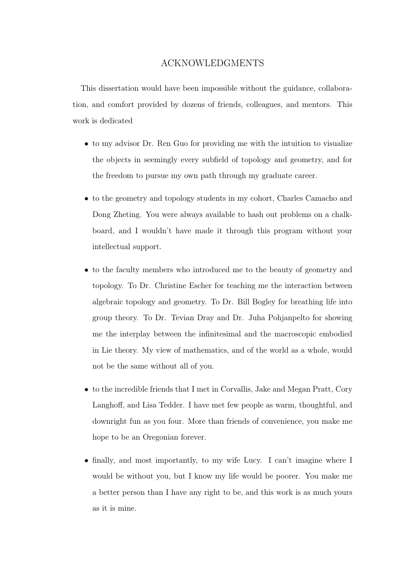### ACKNOWLEDGMENTS

This dissertation would have been impossible without the guidance, collaboration, and comfort provided by dozens of friends, colleagues, and mentors. This work is dedicated

- to my advisor Dr. Ren Guo for providing me with the intuition to visualize the objects in seemingly every subfield of topology and geometry, and for the freedom to pursue my own path through my graduate career.
- to the geometry and topology students in my cohort, Charles Camacho and Dong Zheting. You were always available to hash out problems on a chalkboard, and I wouldn't have made it through this program without your intellectual support.
- to the faculty members who introduced me to the beauty of geometry and topology. To Dr. Christine Escher for teaching me the interaction between algebraic topology and geometry. To Dr. Bill Bogley for breathing life into group theory. To Dr. Tevian Dray and Dr. Juha Pohjanpelto for showing me the interplay between the infinitesimal and the macroscopic embodied in Lie theory. My view of mathematics, and of the world as a whole, would not be the same without all of you.
- to the incredible friends that I met in Corvallis, Jake and Megan Pratt, Cory Langhoff, and Lisa Tedder. I have met few people as warm, thoughtful, and downright fun as you four. More than friends of convenience, you make me hope to be an Oregonian forever.
- finally, and most importantly, to my wife Lucy. I can't imagine where I would be without you, but I know my life would be poorer. You make me a better person than I have any right to be, and this work is as much yours as it is mine.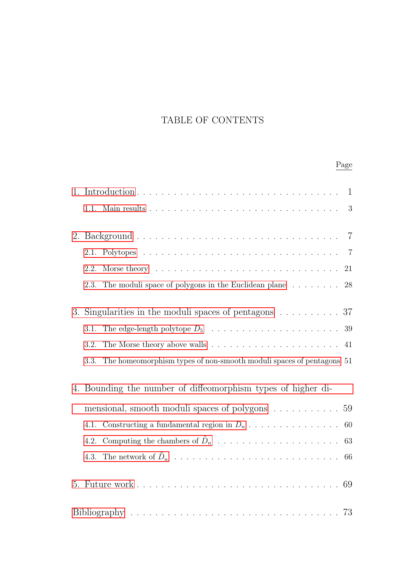## TABLE OF CONTENTS

# Page

| 2.1. |                                                                                                                                                                                                                                |    |
|------|--------------------------------------------------------------------------------------------------------------------------------------------------------------------------------------------------------------------------------|----|
| 2.2. | Morse theory with the contract of the contract of the contract of the contract of the contract of the contract of the contract of the contract of the contract of the contract of the contract of the contract of the contract | 21 |
| 2.3. | The moduli space of polygons in the Euclidean plane<br>$\hfill\ldots\ldots\ldots\ldots\hfill\hspace{0.15cm} 28$                                                                                                                |    |
|      | 3. Singularities in the moduli spaces of pentagons $\ldots \ldots \ldots 37$                                                                                                                                                   |    |
| 3.1. |                                                                                                                                                                                                                                |    |
| 3.2. | The Morse theory above walls $\ldots \ldots \ldots \ldots \ldots \ldots \ldots$ 41                                                                                                                                             |    |
| 3.3. | The homeomorphism types of non-smooth moduli spaces of pentagons 51                                                                                                                                                            |    |
|      | 4. Bounding the number of diffeomorphism types of higher di-                                                                                                                                                                   |    |
|      | mensional, smooth moduli spaces of polygons 59                                                                                                                                                                                 |    |
| 4.1. |                                                                                                                                                                                                                                |    |
| 4.2. |                                                                                                                                                                                                                                |    |
| 4.3. |                                                                                                                                                                                                                                |    |
|      |                                                                                                                                                                                                                                |    |
|      |                                                                                                                                                                                                                                |    |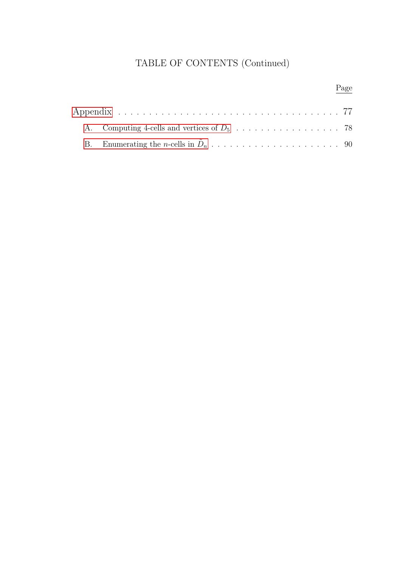## TABLE OF CONTENTS (Continued)

# Page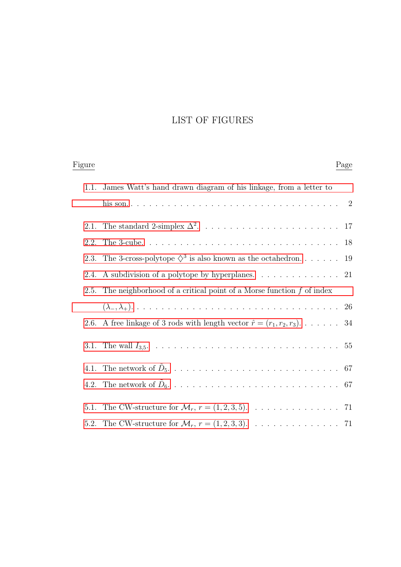## LIST OF FIGURES

| Figure |                                                                                              | Page |
|--------|----------------------------------------------------------------------------------------------|------|
| 1.1.   | James Watt's hand drawn diagram of his linkage, from a letter to                             |      |
|        |                                                                                              |      |
| 2.1.   |                                                                                              |      |
| 2.2.   |                                                                                              | 18   |
| 2.3.   | The 3-cross-polytope $\Diamond^3$ is also known as the octahedron 19                         |      |
| 2.4.   | A subdivision of a polytope by hyperplanes. $\dots \dots \dots \dots \dots$ 21               |      |
|        | 2.5. The neighborhood of a critical point of a Morse function $f$ of index                   |      |
|        |                                                                                              |      |
| 2.6.   | A free linkage of 3 rods with length vector $\hat{r} = (r_1, r_2, r_3) \dots \dots \dots 34$ |      |
|        |                                                                                              |      |
| 4.1.   |                                                                                              |      |
|        |                                                                                              |      |
| 5.1.   | The CW-structure for $\mathcal{M}_r$ , $r = (1, 2, 3, 5)$ . 71                               |      |
|        | 5.2. The CW-structure for $\mathcal{M}_r$ , $r = (1, 2, 3, 3)$ . 71                          |      |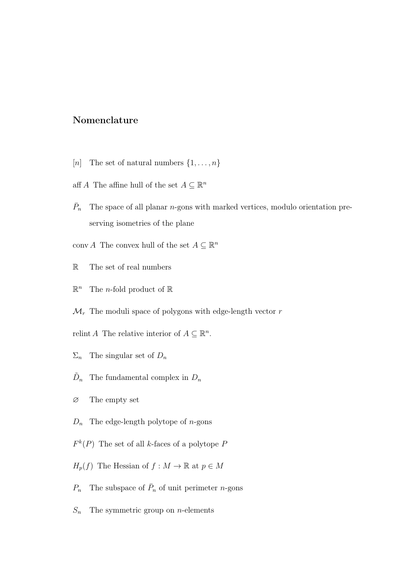### Nomenclature

- [*n*] The set of natural numbers  $\{1, \ldots, n\}$
- aff A The affine hull of the set  $A \subseteq \mathbb{R}^n$
- $\bar{P}_n$ The space of all planar  $n$ -gons with marked vertices, modulo orientation preserving isometries of the plane
- conv $A$  The convex hull of the set  $A \subseteq \mathbb{R}^n$
- R The set of real numbers
- $\mathbb{R}^n$ The *n*-fold product of  $\mathbb{R}$
- $\mathcal{M}_r$  The moduli space of polygons with edge-length vector r
- relint A The relative interior of  $A \subseteq \mathbb{R}^n$ .
- $\Sigma_n$  The singular set of  $D_n$
- $\tilde{D}_n$ The fundamental complex in  $D_n$
- ∅ The empty set
- $D_n$  The edge-length polytope of *n*-gons
- $F^k(P)$  The set of all k-faces of a polytope P
- $H_p(f)$  The Hessian of  $f : M \to \mathbb{R}$  at  $p \in M$
- $P_n$  The subspace of  $\bar{P}_n$  of unit perimeter *n*-gons
- $S_n$  The symmetric group on *n*-elements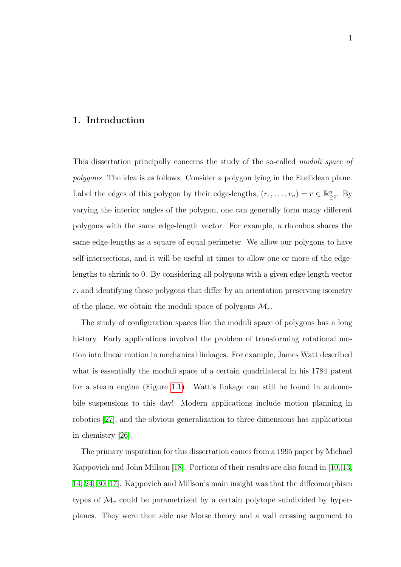### <span id="page-10-0"></span>1. Introduction

This dissertation principally concerns the study of the so-called *moduli space of* polygons. The idea is as follows. Consider a polygon lying in the Euclidean plane. Label the edges of this polygon by their edge-lengths,  $(r_1, \ldots, r_n) = r \in \mathbb{R}^n_{\geq 0}$ . By varying the interior angles of the polygon, one can generally form many different polygons with the same edge-length vector. For example, a rhombus shares the same edge-lengths as a square of equal perimeter. We allow our polygons to have self-intersections, and it will be useful at times to allow one or more of the edgelengths to shrink to 0. By considering all polygons with a given edge-length vector r, and identifying those polygons that differ by an orientation preserving isometry of the plane, we obtain the moduli space of polygons  $\mathcal{M}_r$ .

The study of configuration spaces like the moduli space of polygons has a long history. Early applications involved the problem of transforming rotational motion into linear motion in mechanical linkages. For example, James Watt described what is essentially the moduli space of a certain quadrilateral in his 1784 patent for a steam engine (Figure [1.1\)](#page-11-0). Watt's linkage can still be found in automobile suspensions to this day! Modern applications include motion planning in robotics [\[27\]](#page-84-0), and the obvious generalization to three dimensions has applications in chemistry [\[26\]](#page-84-1).

The primary inspiration for this dissertation comes from a 1995 paper by Michael Kappovich and John Millson [\[18\]](#page-84-2). Portions of their results are also found in [\[10,](#page-83-0) [13,](#page-83-1) [14,](#page-83-2) [24,](#page-84-3) [30,](#page-85-0) [17\]](#page-83-3). Kappovich and Millson's main insight was that the diffeomorphism types of  $\mathcal{M}_r$  could be parametrized by a certain polytope subdivided by hyperplanes. They were then able use Morse theory and a wall crossing argument to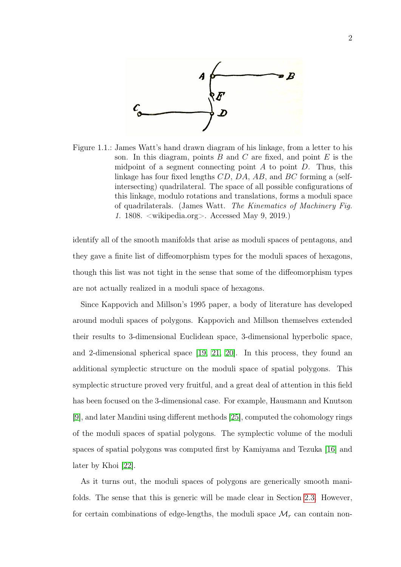

<span id="page-11-0"></span>Figure 1.1.: James Watt's hand drawn diagram of his linkage, from a letter to his son. In this diagram, points  $B$  and  $C$  are fixed, and point  $E$  is the midpoint of a segment connecting point  $A$  to point  $D$ . Thus, this linkage has four fixed lengths CD, DA, AB, and BC forming a (selfintersecting) quadrilateral. The space of all possible configurations of this linkage, modulo rotations and translations, forms a moduli space of quadrilaterals. (James Watt. The Kinematics of Machinery Fig. 1. 1808. <wikipedia.org>. Accessed May 9, 2019.)

identify all of the smooth manifolds that arise as moduli spaces of pentagons, and they gave a finite list of diffeomorphism types for the moduli spaces of hexagons, though this list was not tight in the sense that some of the diffeomorphism types are not actually realized in a moduli space of hexagons.

Since Kappovich and Millson's 1995 paper, a body of literature has developed around moduli spaces of polygons. Kappovich and Millson themselves extended their results to 3-dimensional Euclidean space, 3-dimensional hyperbolic space, and 2-dimensional spherical space [\[19,](#page-84-4) [21,](#page-84-5) [20\]](#page-84-6). In this process, they found an additional symplectic structure on the moduli space of spatial polygons. This symplectic structure proved very fruitful, and a great deal of attention in this field has been focused on the 3-dimensional case. For example, Hausmann and Knutson [\[9\]](#page-83-4), and later Mandini using different methods [\[25\]](#page-84-7), computed the cohomology rings of the moduli spaces of spatial polygons. The symplectic volume of the moduli spaces of spatial polygons was computed first by Kamiyama and Tezuka [\[16\]](#page-83-5) and later by Khoi [\[22\]](#page-84-8).

As it turns out, the moduli spaces of polygons are generically smooth manifolds. The sense that this is generic will be made clear in Section [2.3.](#page-37-0) However, for certain combinations of edge-lengths, the moduli space  $\mathcal{M}_r$  can contain non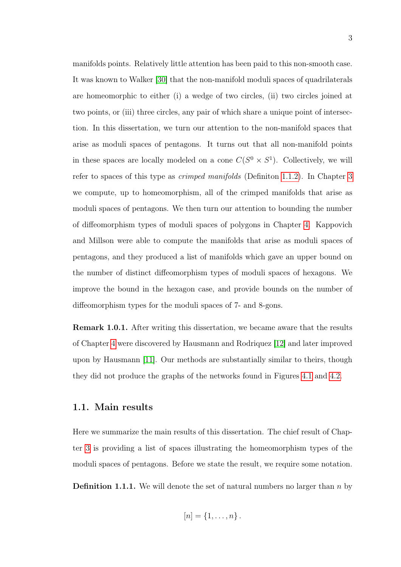manifolds points. Relatively little attention has been paid to this non-smooth case. It was known to Walker [\[30\]](#page-85-0) that the non-manifold moduli spaces of quadrilaterals are homeomorphic to either (i) a wedge of two circles, (ii) two circles joined at two points, or (iii) three circles, any pair of which share a unique point of intersection. In this dissertation, we turn our attention to the non-manifold spaces that arise as moduli spaces of pentagons. It turns out that all non-manifold points in these spaces are locally modeled on a cone  $C(S^0 \times S^1)$ . Collectively, we will refer to spaces of this type as crimped manifolds (Definiton [1.1.2\)](#page-13-0). In Chapter [3](#page-46-0) we compute, up to homeomorphism, all of the crimped manifolds that arise as moduli spaces of pentagons. We then turn our attention to bounding the number of diffeomorphism types of moduli spaces of polygons in Chapter [4.](#page-68-0) Kappovich and Millson were able to compute the manifolds that arise as moduli spaces of pentagons, and they produced a list of manifolds which gave an upper bound on the number of distinct diffeomorphism types of moduli spaces of hexagons. We improve the bound in the hexagon case, and provide bounds on the number of diffeomorphism types for the moduli spaces of 7- and 8-gons.

Remark 1.0.1. After writing this dissertation, we became aware that the results of Chapter [4](#page-68-0) were discovered by Hausmann and Rodriquez [\[12\]](#page-83-6) and later improved upon by Hausmann [\[11\]](#page-83-7). Our methods are substantially similar to theirs, though they did not produce the graphs of the networks found in Figures [4.1](#page-76-0) and [4.2.](#page-76-1)

#### <span id="page-12-0"></span>1.1. Main results

Here we summarize the main results of this dissertation. The chief result of Chapter [3](#page-46-0) is providing a list of spaces illustrating the homeomorphism types of the moduli spaces of pentagons. Before we state the result, we require some notation.

**Definition 1.1.1.** We will denote the set of natural numbers no larger than  $n$  by

$$
[n]=\{1,\ldots,n\}.
$$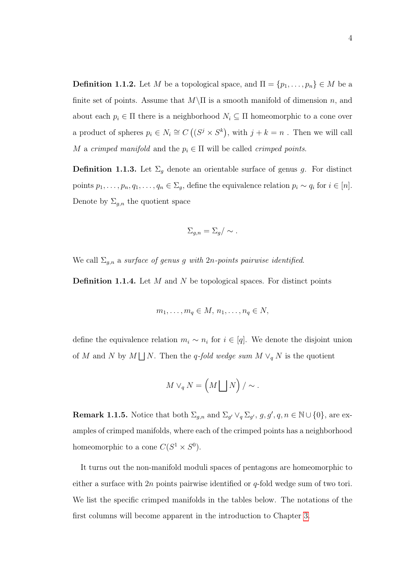<span id="page-13-0"></span>**Definition 1.1.2.** Let M be a topological space, and  $\Pi = \{p_1, \ldots, p_n\} \in M$  be a finite set of points. Assume that  $M\setminus\Pi$  is a smooth manifold of dimension n, and about each  $p_i \in \Pi$  there is a neighborhood  $N_i \subseteq \Pi$  homeomorphic to a cone over a product of spheres  $p_i \in N_i \cong C((S^j \times S^k))$ , with  $j + k = n$ . Then we will call M a crimped manifold and the  $p_i \in \Pi$  will be called crimped points.

**Definition 1.1.3.** Let  $\Sigma_g$  denote an orientable surface of genus g. For distinct points  $p_1, \ldots, p_n, q_1, \ldots, q_n \in \Sigma_g$ , define the equivalence relation  $p_i \sim q_i$  for  $i \in [n]$ . Denote by  $\Sigma_{g,n}$  the quotient space

$$
\Sigma_{g,n} = \Sigma_g / \sim .
$$

We call  $\Sigma_{g,n}$  a surface of genus g with 2n-points pairwise identified.

**Definition 1.1.4.** Let  $M$  and  $N$  be topological spaces. For distinct points

$$
m_1, \ldots, m_q \in M, n_1, \ldots, n_q \in N,
$$

define the equivalence relation  $m_i \sim n_i$  for  $i \in [q]$ . We denote the disjoint union of M and N by  $M \bigsqcup N$ . Then the q-fold wedge sum  $M \vee_q N$  is the quotient

$$
M \vee_q N = \left( M \bigsqcup N \right) / \sim.
$$

**Remark 1.1.5.** Notice that both  $\Sigma_{g,n}$  and  $\Sigma_{g'} \vee_q \Sigma_{g'}, g, g', q, n \in \mathbb{N} \cup \{0\}$ , are examples of crimped manifolds, where each of the crimped points has a neighborhood homeomorphic to a cone  $C(S^1 \times S^0)$ .

<span id="page-13-1"></span>It turns out the non-manifold moduli spaces of pentagons are homeomorphic to either a surface with  $2n$  points pairwise identified or q-fold wedge sum of two tori. We list the specific crimped manifolds in the tables below. The notations of the first columns will become apparent in the introduction to Chapter [3.](#page-46-0)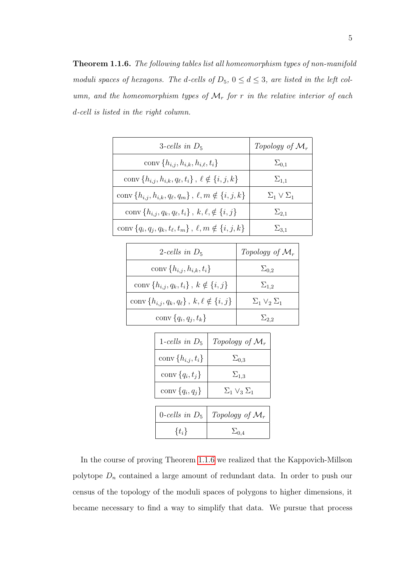Theorem 1.1.6. The following tables list all homeomorphism types of non-manifold moduli spaces of hexagons. The d-cells of  $D_5$ ,  $0 \le d \le 3$ , are listed in the left column, and the homeomorphism types of  $\mathcal{M}_r$  for r in the relative interior of each d-cell is listed in the right column.

| 3-cells in $D_5$                                                       | Topology of $\mathcal{M}_r$ |
|------------------------------------------------------------------------|-----------------------------|
| conv $\{h_{i,j}, h_{i,k}, h_{i,\ell}, t_i\}$                           | $\Sigma_{0,1}$              |
| conv $\{h_{i,j}, h_{i,k}, q_\ell, t_i\}$ , $\ell \notin \{i, j, k\}$   | $\Sigma_{1,1}$              |
| conv { $h_{i,j}, h_{i,k}, q_\ell, q_m$ }, $\ell, m \notin \{i, j, k\}$ | $\Sigma_1 \vee \Sigma_1$    |
| conv $\{h_{i,j}, q_k, q_\ell, t_i\}, k, \ell, \notin \{i, j\}$         | $\Sigma_{2,1}$              |
| conv { $q_i, q_j, q_k, t_\ell, t_m$ }, $\ell, m \notin \{i, j, k\}$    | $\Sigma_{3,1}$              |

| 2-cells in $D_5$                                         | Topology of $\mathcal{M}_r$ |
|----------------------------------------------------------|-----------------------------|
| conv $\{h_{i,j}, h_{i,k}, t_i\}$                         | $\Sigma_{0.2}$              |
| conv $\{h_{i,j}, q_k, t_i\}, k \notin \{i, j\}$          | $\Sigma_{1,2}$              |
| conv $\{h_{i,j}, q_k, q_\ell\}, k, \ell \notin \{i, j\}$ | $\Sigma_1 \vee_2 \Sigma_1$  |
| conv $\{q_i, q_j, t_k\}$                                 | $\Sigma_{2,2}$              |

| 1-cells in $D_5$        | Topology of $\mathcal{M}_r$ |
|-------------------------|-----------------------------|
| conv $\{h_{i,j}, t_i\}$ | $\Sigma_{0,3}$              |
| conv ${q_i, t_i}$       | $\Sigma_{1,3}$              |
| conv ${q_i, q_j}$       | $\Sigma_1 \vee_3 \Sigma_1$  |
|                         |                             |
| 0-cells in $D_5$        | Topology of $\mathcal{M}_r$ |
| $\{t_i\}$               | $\Sigma_{0.4}$              |

In the course of proving Theorem [1.1.6](#page-13-1) we realized that the Kappovich-Millson polytope  $D_n$  contained a large amount of redundant data. In order to push our census of the topology of the moduli spaces of polygons to higher dimensions, it became necessary to find a way to simplify that data. We pursue that process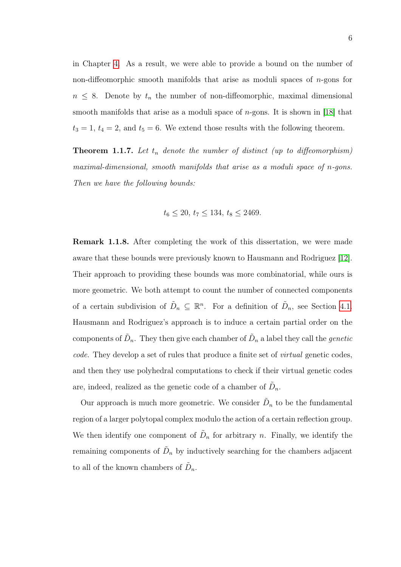in Chapter [4.](#page-68-0) As a result, we were able to provide a bound on the number of non-diffeomorphic smooth manifolds that arise as moduli spaces of  $n$ -gons for  $n \leq 8$ . Denote by  $t_n$  the number of non-diffeomorphic, maximal dimensional smooth manifolds that arise as a moduli space of  $n$ -gons. It is shown in [\[18\]](#page-84-2) that  $t_3 = 1, t_4 = 2$ , and  $t_5 = 6$ . We extend those results with the following theorem.

**Theorem 1.1.7.** Let  $t_n$  denote the number of distinct (up to diffeomorphism) maximal-dimensional, smooth manifolds that arise as a moduli space of n-gons. Then we have the following bounds:

$$
t_6 \le 20, t_7 \le 134, t_8 \le 2469.
$$

Remark 1.1.8. After completing the work of this dissertation, we were made aware that these bounds were previously known to Hausmann and Rodriguez [\[12\]](#page-83-6). Their approach to providing these bounds was more combinatorial, while ours is more geometric. We both attempt to count the number of connected components of a certain subdivision of  $\tilde{D}_n \subseteq \mathbb{R}^n$ . For a definition of  $\tilde{D}_n$ , see Section [4.1.](#page-69-0) Hausmann and Rodriguez's approach is to induce a certain partial order on the components of  $\tilde{D}_n$ . They then give each chamber of  $\tilde{D}_n$  a label they call the *genetic* code. They develop a set of rules that produce a finite set of virtual genetic codes, and then they use polyhedral computations to check if their virtual genetic codes are, indeed, realized as the genetic code of a chamber of  $\tilde{D}_n$ .

Our approach is much more geometric. We consider  $\tilde{D}_n$  to be the fundamental region of a larger polytopal complex modulo the action of a certain reflection group. We then identify one component of  $\tilde{D}_n$  for arbitrary n. Finally, we identify the remaining components of  $\tilde{D}_n$  by inductively searching for the chambers adjacent to all of the known chambers of  $\tilde{D}_n$ .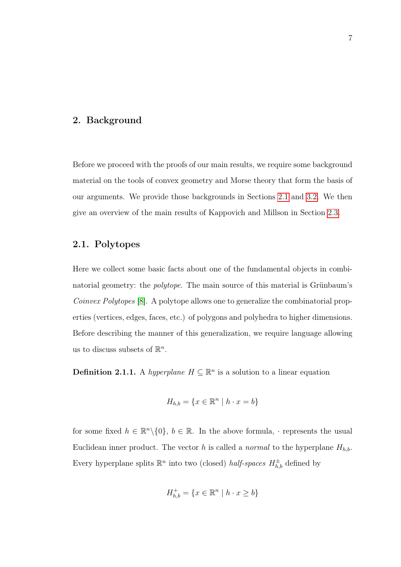#### <span id="page-16-0"></span>2. Background

Before we proceed with the proofs of our main results, we require some background material on the tools of convex geometry and Morse theory that form the basis of our arguments. We provide those backgrounds in Sections [2.1](#page-16-1) and [3.2.](#page-50-0) We then give an overview of the main results of Kappovich and Millson in Section [2.3.](#page-37-0)

### <span id="page-16-1"></span>2.1. Polytopes

Here we collect some basic facts about one of the fundamental objects in combinatorial geometry: the polytope. The main source of this material is Grünbaum's Coinvex Polytopes [\[8\]](#page-83-8). A polytope allows one to generalize the combinatorial properties (vertices, edges, faces, etc.) of polygons and polyhedra to higher dimensions. Before describing the manner of this generalization, we require language allowing us to discuss subsets of  $\mathbb{R}^n$ .

**Definition 2.1.1.** A hyperplane  $H \subseteq \mathbb{R}^n$  is a solution to a linear equation

$$
H_{h,b} = \{ x \in \mathbb{R}^n \mid h \cdot x = b \}
$$

for some fixed  $h \in \mathbb{R}^n \setminus \{0\}$ ,  $b \in \mathbb{R}$ . In the above formula,  $\cdot$  represents the usual Euclidean inner product. The vector h is called a normal to the hyperplane  $H_{h,b}$ . Every hyperplane splits  $\mathbb{R}^n$  into two (closed) *half-spaces*  $H_{h,b}^{\pm}$  defined by

$$
H_{h,b}^+ = \{ x \in \mathbb{R}^n \mid h \cdot x \ge b \}
$$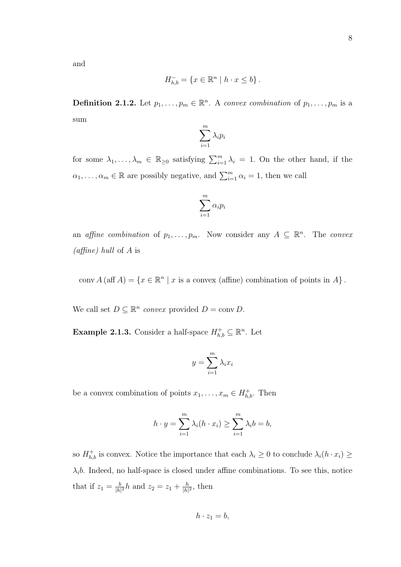and

$$
H_{h,b}^- = \{ x \in \mathbb{R}^n \mid h \cdot x \le b \}.
$$

**Definition 2.1.2.** Let  $p_1, \ldots, p_m \in \mathbb{R}^n$ . A convex combination of  $p_1, \ldots, p_m$  is a sum

$$
\sum_{i=1}^m \lambda_i p_i
$$

for some  $\lambda_1, \ldots, \lambda_m \in \mathbb{R}_{\geq 0}$  satisfying  $\sum_{i=1}^m \lambda_i = 1$ . On the other hand, if the  $\alpha_1, \ldots, \alpha_m \in \mathbb{R}$  are possibly negative, and  $\sum_{i=1}^m \alpha_i = 1$ , then we call

$$
\sum_{i=1}^m \alpha_i p_i
$$

an affine combination of  $p_1, \ldots, p_m$ . Now consider any  $A \subseteq \mathbb{R}^n$ . The convex (*affine*) hull of A is

conv  $A(\text{aff }A) = \{x \in \mathbb{R}^n \mid x \text{ is a convex (affine) combination of points in }A\}.$ 

We call set  $D \subseteq \mathbb{R}^n$  convex provided  $D = \text{conv } D$ .

**Example 2.1.3.** Consider a half-space  $H_{h,b}^{\dagger} \subseteq \mathbb{R}^n$ . Let

$$
y = \sum_{i=1}^{m} \lambda_i x_i
$$

be a convex combination of points  $x_1, \ldots, x_m \in H^+_{h,b}$ . Then

$$
h \cdot y = \sum_{i=1}^{m} \lambda_i (h \cdot x_i) \ge \sum_{i=1}^{m} \lambda_i b = b,
$$

so  $H_{h,b}^+$  is convex. Notice the importance that each  $\lambda_i \geq 0$  to conclude  $\lambda_i(h \cdot x_i) \geq$  $\lambda_i b$ . Indeed, no half-space is closed under affine combinations. To see this, notice that if  $z_1 = \frac{b}{|h|}$  $\frac{b}{|h|^2}h$  and  $z_2 = z_1 + \frac{h}{|h|}$  $\frac{h}{|h|^2}$ , then

$$
h \cdot z_1 = b,
$$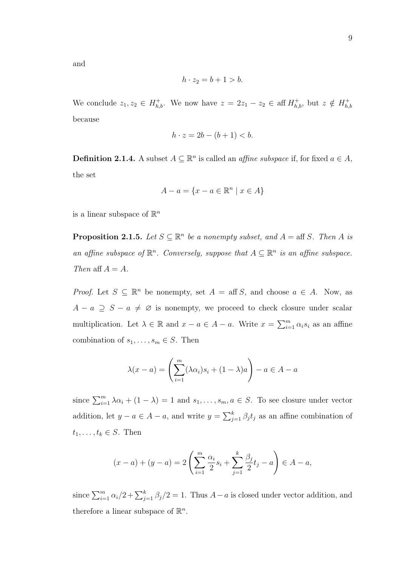and

$$
h \cdot z_2 = b + 1 > b.
$$

We conclude  $z_1, z_2 \in H_{h,b}^+$ . We now have  $z = 2z_1 - z_2 \in \text{aff } H_{h,b}^+$ , but  $z \notin H_{h,b}^+$  $h,b$ because

$$
h \cdot z = 2b - (b+1) < b.
$$

**Definition 2.1.4.** A subset  $A \subseteq \mathbb{R}^n$  is called an *affine subspace* if, for fixed  $a \in A$ , the set

$$
A - a = \{x - a \in \mathbb{R}^n \mid x \in A\}
$$

is a linear subspace of  $\mathbb{R}^n$ 

**Proposition 2.1.5.** Let  $S \subseteq \mathbb{R}^n$  be a nonempty subset, and  $A = \text{aff } S$ . Then A is an affine subspace of  $\mathbb{R}^n$ . Conversely, suppose that  $A \subseteq \mathbb{R}^n$  is an affine subspace. Then aff  $A = A$ .

*Proof.* Let  $S \subseteq \mathbb{R}^n$  be nonempty, set  $A = \text{aff } S$ , and choose  $a \in A$ . Now, as  $A - a \supseteq S - a \neq \emptyset$  is nonempty, we proceed to check closure under scalar multiplication. Let  $\lambda \in \mathbb{R}$  and  $x - a \in A - a$ . Write  $x = \sum_{i=1}^{m} \alpha_i s_i$  as an affine combination of  $s_1, \ldots, s_m \in S$ . Then

$$
\lambda(x-a) = \left(\sum_{i=1}^{m} (\lambda \alpha_i) s_i + (1-\lambda)a\right) - a \in A - a
$$

since  $\sum_{i=1}^{m} \lambda \alpha_i + (1 - \lambda) = 1$  and  $s_1, \ldots, s_m, a \in S$ . To see closure under vector addition, let  $y - a \in A - a$ , and write  $y = \sum_{j=1}^{k} \beta_j t_j$  as an affine combination of  $t_1, \ldots, t_k \in S$ . Then

$$
(x-a) + (y-a) = 2\left(\sum_{i=1}^{m} \frac{\alpha_i}{2} s_i + \sum_{j=1}^{k} \frac{\beta_j}{2} t_j - a\right) \in A - a,
$$

since  $\sum_{i=1}^{m} \alpha_i/2 + \sum_{j=1}^{k} \beta_j/2 = 1$ . Thus  $A-a$  is closed under vector addition, and therefore a linear subspace of  $\mathbb{R}^n$ .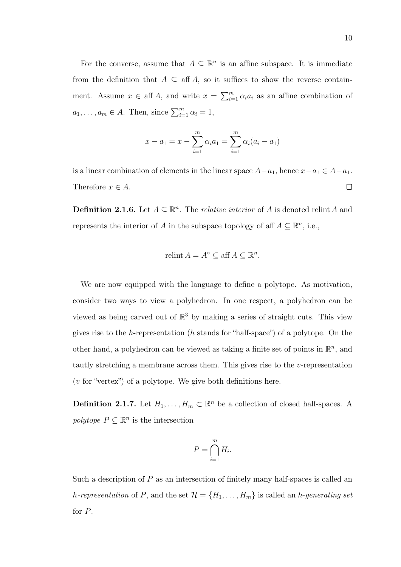For the converse, assume that  $A \subseteq \mathbb{R}^n$  is an affine subspace. It is immediate from the definition that  $A \subseteq \text{aff } A$ , so it suffices to show the reverse containment. Assume  $x \in \text{aff } A$ , and write  $x = \sum_{i=1}^{m} \alpha_i a_i$  as an affine combination of  $a_1, \ldots, a_m \in A$ . Then, since  $\sum_{i=1}^m \alpha_i = 1$ ,

$$
x - a_1 = x - \sum_{i=1}^{m} \alpha_i a_1 = \sum_{i=1}^{m} \alpha_i (a_i - a_1)
$$

is a linear combination of elements in the linear space  $A-a_1$ , hence  $x-a_1 \in A-a_1$ . Therefore  $x \in A$ .  $\Box$ 

**Definition 2.1.6.** Let  $A \subseteq \mathbb{R}^n$ . The *relative interior* of A is denoted relint A and represents the interior of A in the subspace topology of aff  $A \subseteq \mathbb{R}^n$ , i.e.,

$$
relint A = A^{\circ} \subseteq aff A \subseteq \mathbb{R}^{n}.
$$

We are now equipped with the language to define a polytope. As motivation, consider two ways to view a polyhedron. In one respect, a polyhedron can be viewed as being carved out of  $\mathbb{R}^3$  by making a series of straight cuts. This view gives rise to the h-representation (h stands for "half-space") of a polytope. On the other hand, a polyhedron can be viewed as taking a finite set of points in  $\mathbb{R}^n$ , and tautly stretching a membrane across them. This gives rise to the  $v$ -representation  $(v$  for "vertex") of a polytope. We give both definitions here.

**Definition 2.1.7.** Let  $H_1, \ldots, H_m \subset \mathbb{R}^n$  be a collection of closed half-spaces. A polytope  $P \subseteq \mathbb{R}^n$  is the intersection

$$
P = \bigcap_{i=1}^{m} H_i.
$$

Such a description of  $P$  as an intersection of finitely many half-spaces is called an h-representation of P, and the set  $\mathcal{H} = \{H_1, \ldots, H_m\}$  is called an h-generating set for P.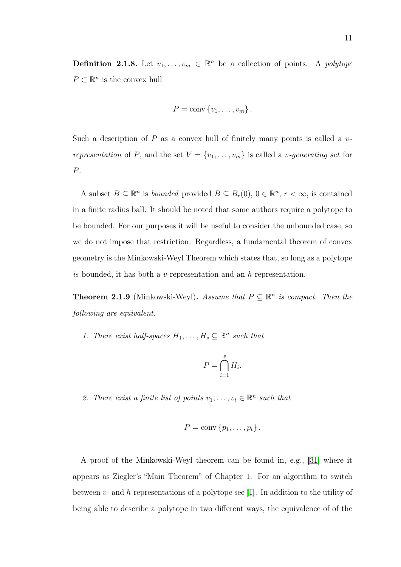**Definition 2.1.8.** Let  $v_1, \ldots, v_m \in \mathbb{R}^n$  be a collection of points. A polytope  $P \subset \mathbb{R}^n$  is the convex hull

$$
P = \text{conv}\{v_1, \ldots, v_m\}.
$$

Such a description of  $P$  as a convex hull of finitely many points is called a  $v$ representation of P, and the set  $V = \{v_1, \ldots, v_m\}$  is called a *v*-generating set for P.

A subset  $B \subseteq \mathbb{R}^n$  is *bounded* provided  $B \subseteq B_r(0)$ ,  $0 \in \mathbb{R}^n$ ,  $r < \infty$ , is contained in a finite radius ball. It should be noted that some authors require a polytope to be bounded. For our purposes it will be useful to consider the unbounded case, so we do not impose that restriction. Regardless, a fundamental theorem of convex geometry is the Minkowski-Weyl Theorem which states that, so long as a polytope is bounded, it has both a v-representation and an h-representation.

**Theorem 2.1.9** (Minkowski-Weyl). Assume that  $P \subseteq \mathbb{R}^n$  is compact. Then the following are equivalent.

1. There exist half-spaces  $H_1, \ldots, H_s \subseteq \mathbb{R}^n$  such that

$$
P = \bigcap_{i=1}^{s} H_i.
$$

2. There exist a finite list of points  $v_1, \ldots, v_t \in \mathbb{R}^n$  such that

$$
P = \text{conv}\{p_1,\ldots,p_t\}.
$$

A proof of the Minkowski-Weyl theorem can be found in, e.g., [\[31\]](#page-85-1) where it appears as Ziegler's "Main Theorem" of Chapter 1. For an algorithm to switch between  $v$ - and h-representations of a polytope see [\[1\]](#page-82-1). In addition to the utility of being able to describe a polytope in two different ways, the equivalence of of the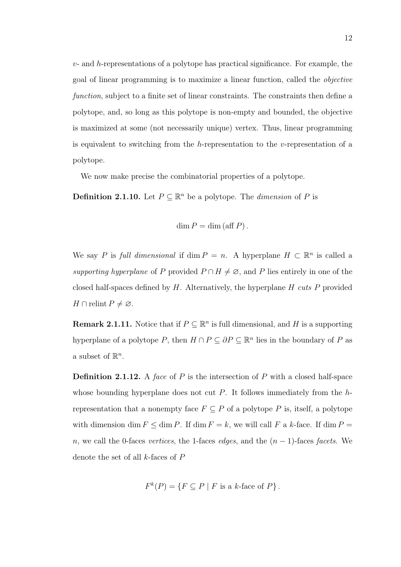$v$ - and h-representations of a polytope has practical significance. For example, the goal of linear programming is to maximize a linear function, called the objective function, subject to a finite set of linear constraints. The constraints then define a polytope, and, so long as this polytope is non-empty and bounded, the objective is maximized at some (not necessarily unique) vertex. Thus, linear programming is equivalent to switching from the h-representation to the v-representation of a polytope.

We now make precise the combinatorial properties of a polytope.

**Definition 2.1.10.** Let  $P \subseteq \mathbb{R}^n$  be a polytope. The *dimension* of P is

$$
\dim P = \dim (\mathrm{aff } P).
$$

We say P is full dimensional if dim  $P = n$ . A hyperplane  $H \subset \mathbb{R}^n$  is called a supporting hyperplane of P provided  $P \cap H \neq \emptyset$ , and P lies entirely in one of the closed half-spaces defined by  $H$ . Alternatively, the hyperplane  $H$  cuts  $P$  provided  $H \cap$  relint  $P \neq \emptyset$ .

**Remark 2.1.11.** Notice that if  $P \subseteq \mathbb{R}^n$  is full dimensional, and H is a supporting hyperplane of a polytope P, then  $H \cap P \subseteq \partial P \subseteq \mathbb{R}^n$  lies in the boundary of P as a subset of  $\mathbb{R}^n$ .

**Definition 2.1.12.** A face of P is the intersection of P with a closed half-space whose bounding hyperplane does not cut  $P$ . It follows immediately from the  $h$ representation that a nonempty face  $F \subseteq P$  of a polytope P is, itself, a polytope with dimension dim  $F \leq \dim P$ . If dim  $F = k$ , we will call F a k-face. If dim  $P =$ n, we call the 0-faces vertices, the 1-faces edges, and the  $(n-1)$ -faces facets. We denote the set of all k-faces of P

$$
F^k(P) = \{ F \subseteq P \mid F \text{ is a } k\text{-face of } P \}.
$$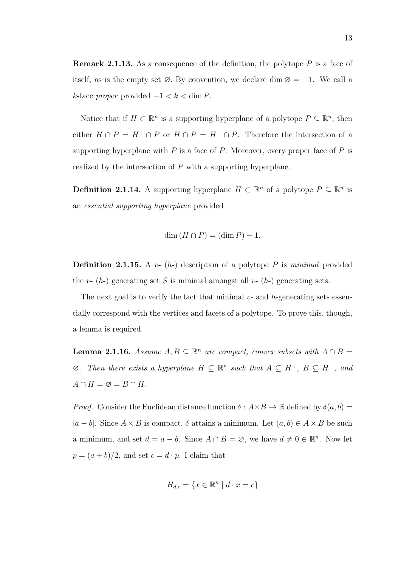**Remark 2.1.13.** As a consequence of the definition, the polytope  $P$  is a face of itself, as is the empty set  $\varnothing$ . By convention, we declare dim  $\varnothing = -1$ . We call a k-face proper provided  $-1 < k < \dim P$ .

Notice that if  $H \subset \mathbb{R}^n$  is a supporting hyperplane of a polytope  $P \subseteq \mathbb{R}^n$ , then either  $H \cap P = H^+ \cap P$  or  $H \cap P = H^- \cap P$ . Therefore the intersection of a supporting hyperplane with  $P$  is a face of  $P$ . Moreover, every proper face of  $P$  is realized by the intersection of P with a supporting hyperplane.

**Definition 2.1.14.** A supporting hyperplane  $H \subset \mathbb{R}^n$  of a polytope  $P \subseteq \mathbb{R}^n$  is an essential supporting hyperplane provided

$$
\dim(H \cap P) = (\dim P) - 1.
$$

**Definition 2.1.15.** A  $v-$  (h-) description of a polytope P is minimal provided the v-  $(h)$  generating set S is minimal amongst all v-  $(h)$  generating sets.

The next goal is to verify the fact that minimal  $v$ - and  $h$ -generating sets essentially correspond with the vertices and facets of a polytope. To prove this, though, a lemma is required.

<span id="page-22-0"></span>**Lemma 2.1.16.** Assume  $A, B \subseteq \mathbb{R}^n$  are compact, convex subsets with  $A \cap B =$  $\emptyset$ . Then there exists a hyperplane  $H \subseteq \mathbb{R}^n$  such that  $A \subseteq H^+$ ,  $B \subseteq H^-$ , and  $A \cap H = \varnothing = B \cap H$ .

*Proof.* Consider the Euclidean distance function  $\delta : A \times B \to \mathbb{R}$  defined by  $\delta(a, b) =$  $|a - b|$ . Since  $A \times B$  is compact,  $\delta$  attains a minimum. Let  $(a, b) \in A \times B$  be such a minimum, and set  $d = a - b$ . Since  $A \cap B = \emptyset$ , we have  $d \neq 0 \in \mathbb{R}^n$ . Now let  $p = (a + b)/2$ , and set  $c = d \cdot p$ . I claim that

$$
H_{d,c} = \{ x \in \mathbb{R}^n \mid d \cdot x = c \}
$$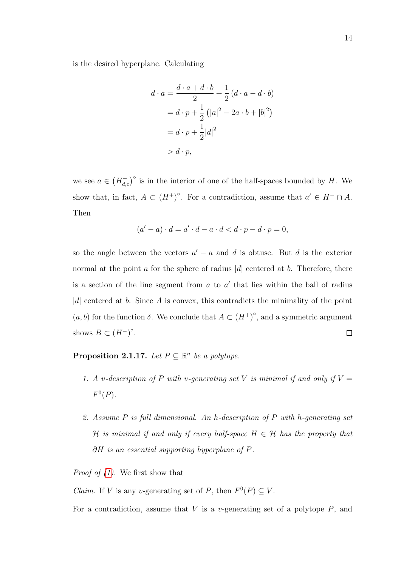is the desired hyperplane. Calculating

$$
d \cdot a = \frac{d \cdot a + d \cdot b}{2} + \frac{1}{2} (d \cdot a - d \cdot b)
$$
  
=  $d \cdot p + \frac{1}{2} (|a|^2 - 2a \cdot b + |b|^2)$   
=  $d \cdot p + \frac{1}{2} |d|^2$   
>  $d \cdot p$ ,

we see  $a \in (H_{d,c}^+)^{\circ}$  is in the interior of one of the half-spaces bounded by H. We show that, in fact,  $A \subset (H^+)^{\circ}$ . For a contradiction, assume that  $a' \in H^- \cap A$ . Then

$$
(a'-a)\cdot d = a'\cdot d - a\cdot d < d\cdot p - d\cdot p = 0,
$$

so the angle between the vectors  $a' - a$  and d is obtuse. But d is the exterior normal at the point  $\alpha$  for the sphere of radius  $|d|$  centered at  $b$ . Therefore, there is a section of the line segment from  $a$  to  $a'$  that lies within the ball of radius  $|d|$  centered at b. Since A is convex, this contradicts the minimality of the point  $(a, b)$  for the function  $\delta$ . We conclude that  $A \subset (H^+)^{\circ}$ , and a symmetric argument shows  $B \subset (H^-)^{\circ}$ .  $\Box$ 

<span id="page-23-0"></span>**Proposition 2.1.17.** Let  $P \subseteq \mathbb{R}^n$  be a polytope.

- 1. A v-description of P with v-generating set V is minimal if and only if  $V =$  $F^0(P)$ .
- <span id="page-23-1"></span>2. Assume P is full dimensional. An h-description of P with h-generating set H is minimal if and only if every half-space  $H \in \mathcal{H}$  has the property that ∂H is an essential supporting hyperplane of P.

*Proof of*  $(1)$ *.* We first show that

*Claim.* If V is any v-generating set of P, then  $F^0(P) \subseteq V$ .

For a contradiction, assume that  $V$  is a v-generating set of a polytope  $P$ , and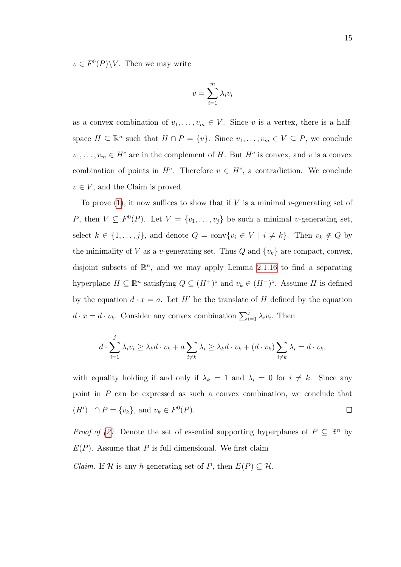$v \in F^0(P) \backslash V$ . Then we may write

$$
v = \sum_{i=1}^{m} \lambda_i v_i
$$

as a convex combination of  $v_1, \ldots, v_m \in V$ . Since v is a vertex, there is a halfspace  $H \subseteq \mathbb{R}^n$  such that  $H \cap P = \{v\}$ . Since  $v_1, \ldots, v_m \in V \subseteq P$ , we conclude  $v_1, \ldots, v_m \in H^c$  are in the complement of H. But  $H^c$  is convex, and v is a convex combination of points in  $H^c$ . Therefore  $v \in H^c$ , a contradiction. We conclude  $v \in V$ , and the Claim is proved.

To prove [\(1\)](#page-23-0), it now suffices to show that if V is a minimal v-generating set of P, then  $V \subseteq F^0(P)$ . Let  $V = \{v_1, \ldots, v_j\}$  be such a minimal v-generating set, select  $k \in \{1, ..., j\}$ , and denote  $Q = \text{conv}\{v_i \in V \mid i \neq k\}$ . Then  $v_k \notin Q$  by the minimality of V as a v-generating set. Thus  $Q$  and  $\{v_k\}$  are compact, convex, disjoint subsets of  $\mathbb{R}^n$ , and we may apply Lemma [2.1.16](#page-22-0) to find a separating hyperplane  $H \subseteq \mathbb{R}^n$  satisfying  $Q \subseteq (H^{\perp})^{\circ}$  and  $v_k \in (H^{-})^{\circ}$ . Assume H is defined by the equation  $d \cdot x = a$ . Let H' be the translate of H defined by the equation  $d \cdot x = d \cdot v_k$ . Consider any convex combination  $\sum_{i=1}^{j} \lambda_i v_i$ . Then

$$
d \cdot \sum_{i=1}^{j} \lambda_i v_i \geq \lambda_k d \cdot v_k + a \sum_{i \neq k} \lambda_i \geq \lambda_k d \cdot v_k + (d \cdot v_k) \sum_{i \neq k} \lambda_i = d \cdot v_k,
$$

with equality holding if and only if  $\lambda_k = 1$  and  $\lambda_i = 0$  for  $i \neq k$ . Since any point in  $P$  can be expressed as such a convex combination, we conclude that  $(H')^{-} \cap P = \{v_k\}, \text{ and } v_k \in F^{0}(P).$  $\Box$ 

*Proof of [\(2\)](#page-23-1)*. Denote the set of essential supporting hyperplanes of  $P \subseteq \mathbb{R}^n$  by  $E(P)$ . Assume that P is full dimensional. We first claim *Claim.* If H is any h-generating set of P, then  $E(P) \subseteq H$ .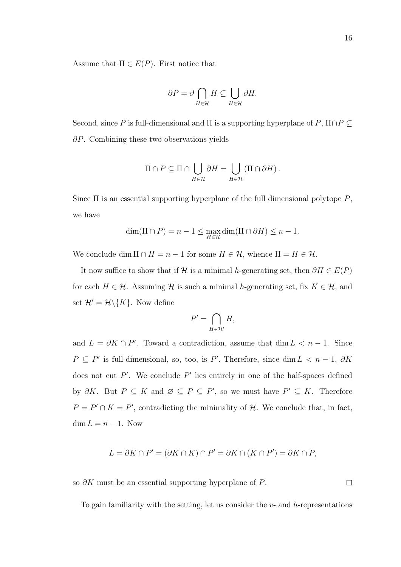Assume that  $\Pi \in E(P)$ . First notice that

$$
\partial P = \partial \bigcap_{H \in \mathcal{H}} H \subseteq \bigcup_{H \in \mathcal{H}} \partial H.
$$

Second, since P is full-dimensional and  $\Pi$  is a supporting hyperplane of P,  $\Pi \cap P \subseteq$ ∂P. Combining these two observations yields

$$
\Pi \cap P \subseteq \Pi \cap \bigcup_{H \in \mathcal{H}} \partial H = \bigcup_{H \in \mathcal{H}} (\Pi \cap \partial H).
$$

Since  $\Pi$  is an essential supporting hyperplane of the full dimensional polytope  $P$ , we have

$$
\dim(\Pi \cap P) = n - 1 \le \max_{H \in \mathcal{H}} \dim(\Pi \cap \partial H) \le n - 1.
$$

We conclude dim  $\Pi \cap H = n - 1$  for some  $H \in \mathcal{H}$ , whence  $\Pi = H \in \mathcal{H}$ .

It now suffice to show that if H is a minimal h-generating set, then  $\partial H \in E(P)$ for each  $H \in \mathcal{H}$ . Assuming  $\mathcal{H}$  is such a minimal h-generating set, fix  $K \in \mathcal{H}$ , and set  $\mathcal{H}' = \mathcal{H} \backslash \{K\}$ . Now define

$$
P' = \bigcap_{H \in \mathcal{H}'} H,
$$

and  $L = \partial K \cap P'$ . Toward a contradiction, assume that dim  $L < n - 1$ . Since  $P \subseteq P'$  is full-dimensional, so, too, is P'. Therefore, since dim  $L < n - 1$ , ∂K does not cut  $P'$ . We conclude  $P'$  lies entirely in one of the half-spaces defined by  $\partial K$ . But  $P \subseteq K$  and  $\emptyset \subseteq P \subseteq P'$ , so we must have  $P' \subseteq K$ . Therefore  $P = P' \cap K = P'$ , contradicting the minimality of H. We conclude that, in fact,  $\dim L = n - 1$ . Now

$$
L = \partial K \cap P' = (\partial K \cap K) \cap P' = \partial K \cap (K \cap P') = \partial K \cap P,
$$

so  $\partial K$  must be an essential supporting hyperplane of P.

To gain familiarity with the setting, let us consider the  $v$ - and  $h$ -representations

 $\Box$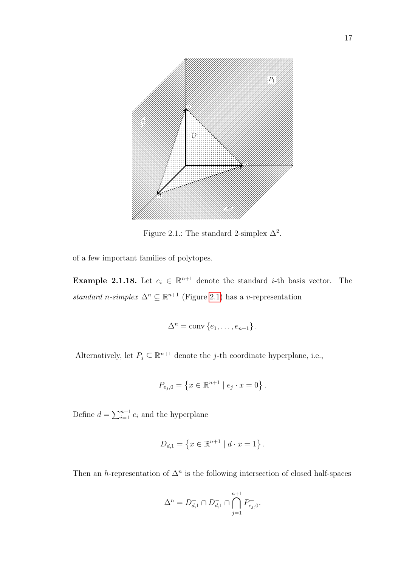

<span id="page-26-0"></span>Figure 2.1.: The standard 2-simplex  $\Delta^2$ .

of a few important families of polytopes.

**Example 2.1.18.** Let  $e_i \in \mathbb{R}^{n+1}$  denote the standard *i*-th basis vector. The standard n-simplex  $\Delta^n \subseteq \mathbb{R}^{n+1}$  (Figure [2.1\)](#page-26-0) has a v-representation

$$
\Delta^n = \text{conv}\left\{e_1, \ldots, e_{n+1}\right\}.
$$

Alternatively, let  $P_j \subseteq \mathbb{R}^{n+1}$  denote the j-th coordinate hyperplane, i.e.,

$$
P_{e_j,0} = \{ x \in \mathbb{R}^{n+1} \mid e_j \cdot x = 0 \}.
$$

Define  $d = \sum_{i=1}^{n+1} e_i$  and the hyperplane

$$
D_{d,1} = \{ x \in \mathbb{R}^{n+1} \mid d \cdot x = 1 \}.
$$

Then an h-representation of  $\Delta^n$  is the following intersection of closed half-spaces

$$
\Delta^n = D_{d,1}^+ \cap D_{d,1}^- \cap \bigcap_{j=1}^{n+1} P_{e_j,0}^+.
$$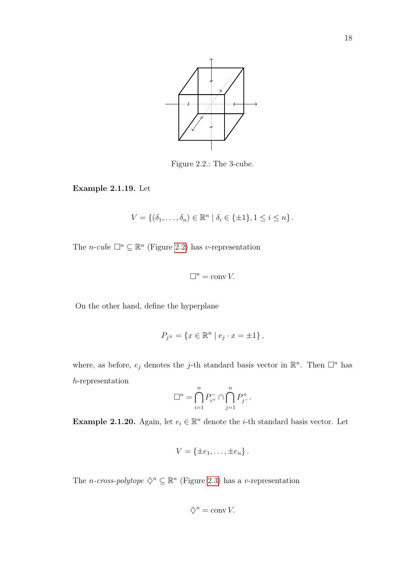

<span id="page-27-0"></span>Figure 2.2.: The 3-cube.

Example 2.1.19. Let

$$
V = \{(\delta_1, \dots, \delta_n) \in \mathbb{R}^n \mid \delta_i \in \{\pm 1\}, 1 \le i \le n\}.
$$

The *n*-cube  $\Box^n \subseteq \mathbb{R}^n$  (Figure [2.2\)](#page-27-0) has v-representation

$$
\Box^n = \operatorname{conv} V.
$$

On the other hand, define the hyperplane

$$
P_{j^{\pm}} = \{ x \in \mathbb{R}^n \mid e_j \cdot x = \pm 1 \},\
$$

where, as before,  $e_j$  denotes the j-th standard basis vector in  $\mathbb{R}^n$ . Then  $\Box^n$  has h-representation

$$
\square^n=\bigcap_{i=1}^n P_{i^+}^{-}\cap \bigcap_{j=1}^n P_{j^-}^{+}.
$$

Example 2.1.20. Again, let  $e_i \in \mathbb{R}^n$  denote the *i*-th standard basis vector. Let

$$
V = \{\pm e_1, \ldots, \pm e_n\}.
$$

The *n*-cross-polytope  $\Diamond^n \subseteq \mathbb{R}^n$  (Figure [2.3\)](#page-28-0) has a v-representation

$$
\diamondsuit^n = \operatorname{conv} V.
$$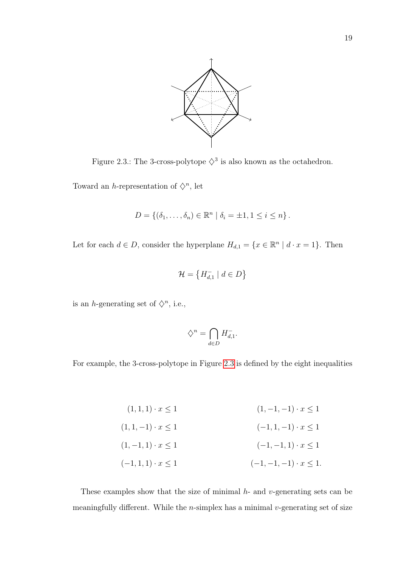

<span id="page-28-0"></span>Figure 2.3.: The 3-cross-polytope  $\diamondsuit^3$  is also known as the octahedron.

Toward an h-representation of  $\Diamond^n$ , let

$$
D = \{(\delta_1, \ldots, \delta_n) \in \mathbb{R}^n \mid \delta_i = \pm 1, 1 \leq i \leq n\}.
$$

Let for each  $d \in D$ , consider the hyperplane  $H_{d,1} = \{x \in \mathbb{R}^n \mid d \cdot x = 1\}$ . Then

$$
\mathcal{H} = \left\{ H_{d,1}^- \mid d \in D \right\}
$$

is an *h*-generating set of  $\diamondsuit^n$ , i.e.,

$$
\diamondsuit^n = \bigcap_{d \in D} H_{d,1}^-.
$$

For example, the 3-cross-polytope in Figure [2.3](#page-28-0) is defined by the eight inequalities

$$
(1, 1, 1) \cdot x \le 1
$$
\n
$$
(1, -1, -1) \cdot x \le 1
$$
\n
$$
(1, 1, -1) \cdot x \le 1
$$
\n
$$
(1, -1, 1) \cdot x \le 1
$$
\n
$$
(1, -1, 1) \cdot x \le 1
$$
\n
$$
(-1, -1, 1) \cdot x \le 1
$$
\n
$$
(-1, -1, -1) \cdot x \le 1
$$

These examples show that the size of minimal  $h$ - and  $v$ -generating sets can be meaningfully different. While the  $n$ -simplex has a minimal  $v$ -generating set of size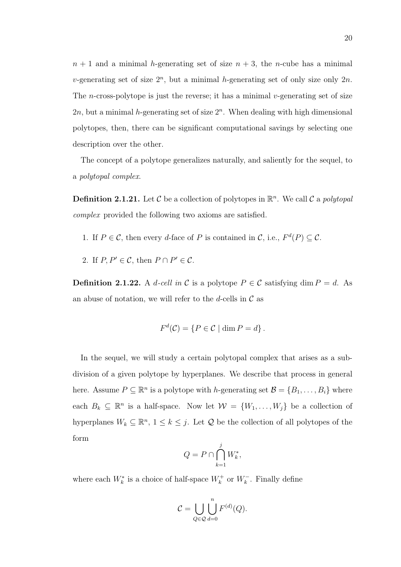$n + 1$  and a minimal h-generating set of size  $n + 3$ , the n-cube has a minimal v-generating set of size  $2^n$ , but a minimal h-generating set of only size only  $2n$ . The *n*-cross-polytope is just the reverse; it has a minimal *v*-generating set of size  $2n$ , but a minimal *h*-generating set of size  $2<sup>n</sup>$ . When dealing with high dimensional polytopes, then, there can be significant computational savings by selecting one description over the other.

The concept of a polytope generalizes naturally, and saliently for the sequel, to a polytopal complex.

**Definition 2.1.21.** Let C be a collection of polytopes in  $\mathbb{R}^n$ . We call C a polytopal complex provided the following two axioms are satisfied.

- 1. If  $P \in \mathcal{C}$ , then every d-face of P is contained in  $\mathcal{C}$ , i.e.,  $F^d(P) \subseteq \mathcal{C}$ .
- 2. If  $P, P' \in \mathcal{C}$ , then  $P \cap P' \in \mathcal{C}$ .

**Definition 2.1.22.** A d-cell in C is a polytope  $P \in \mathcal{C}$  satisfying dim  $P = d$ . As an abuse of notation, we will refer to the d-cells in  $\mathcal C$  as

$$
F^d(\mathcal{C}) = \{ P \in \mathcal{C} \mid \dim P = d \}.
$$

In the sequel, we will study a certain polytopal complex that arises as a subdivision of a given polytope by hyperplanes. We describe that process in general here. Assume  $P \subseteq \mathbb{R}^n$  is a polytope with h-generating set  $\mathcal{B} = \{B_1, \ldots, B_i\}$  where each  $B_k \subseteq \mathbb{R}^n$  is a half-space. Now let  $\mathcal{W} = \{W_1, \ldots, W_j\}$  be a collection of hyperplanes  $W_k \subseteq \mathbb{R}^n$ ,  $1 \leq k \leq j$ . Let  $\mathcal Q$  be the collection of all polytopes of the form

$$
Q = P \cap \bigcap_{k=1}^{j} W_k^*,
$$

where each  $W_k^*$  is a choice of half-space  $W_k^+$  or  $W_k^-$ . Finally define

$$
\mathcal{C} = \bigcup_{Q \in \mathcal{Q}} \bigcup_{d=0}^{n} F^{(d)}(Q).
$$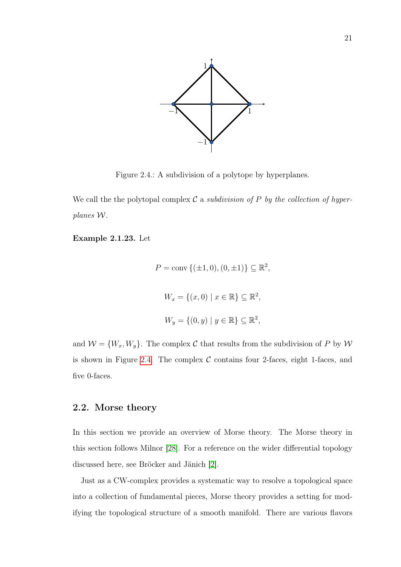

<span id="page-30-1"></span>Figure 2.4.: A subdivision of a polytope by hyperplanes.

We call the the polytopal complex  $\mathcal C$  a subdivision of P by the collection of hyperplanes W.

Example 2.1.23. Let

$$
P = \text{conv}\{(\pm 1, 0), (0, \pm 1)\} \subseteq \mathbb{R}^2
$$

$$
W_x = \{(x, 0) \mid x \in \mathbb{R}\} \subseteq \mathbb{R}^2,
$$

$$
W_y = \{(0, y) \mid y \in \mathbb{R}\} \subseteq \mathbb{R}^2,
$$

,

and  $\mathcal{W} = \{W_x, W_y\}$ . The complex C that results from the subdivision of P by W is shown in Figure [2.4.](#page-30-1) The complex  $\mathcal C$  contains four 2-faces, eight 1-faces, and five 0-faces.

#### <span id="page-30-0"></span>2.2. Morse theory

In this section we provide an overview of Morse theory. The Morse theory in this section follows Milnor [\[28\]](#page-85-2). For a reference on the wider differential topology discussed here, see Bröcker and Jänich [\[2\]](#page-82-2).

Just as a CW-complex provides a systematic way to resolve a topological space into a collection of fundamental pieces, Morse theory provides a setting for modifying the topological structure of a smooth manifold. There are various flavors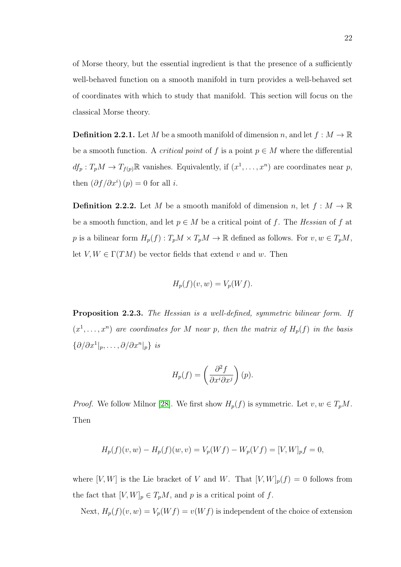of Morse theory, but the essential ingredient is that the presence of a sufficiently well-behaved function on a smooth manifold in turn provides a well-behaved set of coordinates with which to study that manifold. This section will focus on the classical Morse theory.

**Definition 2.2.1.** Let M be a smooth manifold of dimension n, and let  $f : M \to \mathbb{R}$ be a smooth function. A *critical point* of f is a point  $p \in M$  where the differential  $df_p: T_pM \to T_{f(p)}\mathbb{R}$  vanishes. Equivalently, if  $(x^1, \ldots, x^n)$  are coordinates near p, then  $\left(\partial f/\partial x^{i}\right)(p) = 0$  for all *i*.

**Definition 2.2.2.** Let M be a smooth manifold of dimension n, let  $f : M \to \mathbb{R}$ be a smooth function, and let  $p \in M$  be a critical point of f. The Hessian of f at p is a bilinear form  $H_p(f)$ :  $T_pM \times T_pM \to \mathbb{R}$  defined as follows. For  $v, w \in T_pM$ , let  $V, W \in \Gamma(TM)$  be vector fields that extend v and w. Then

$$
H_p(f)(v, w) = V_p(Wf).
$$

Proposition 2.2.3. The Hessian is a well-defined, symmetric bilinear form. If  $(x^1, \ldots, x^n)$  are coordinates for M near p, then the matrix of  $H_p(f)$  in the basis  $\{\partial/\partial x^1|_p,\ldots,\partial/\partial x^n|_p\}$  is

$$
H_p(f) = \left(\frac{\partial^2 f}{\partial x^i \partial x^j}\right)(p).
$$

*Proof.* We follow Milnor [\[28\]](#page-85-2). We first show  $H_p(f)$  is symmetric. Let  $v, w \in T_pM$ . Then

$$
H_p(f)(v, w) - H_p(f)(w, v) = V_p(Wf) - W_p(Vf) = [V, W]_p f = 0,
$$

where  $[V, W]$  is the Lie bracket of V and W. That  $[V, W]_p(f) = 0$  follows from the fact that  $[V, W]_p \in T_pM$ , and p is a critical point of f.

Next,  $H_p(f)(v, w) = V_p(Wf) = v(Wf)$  is independent of the choice of extension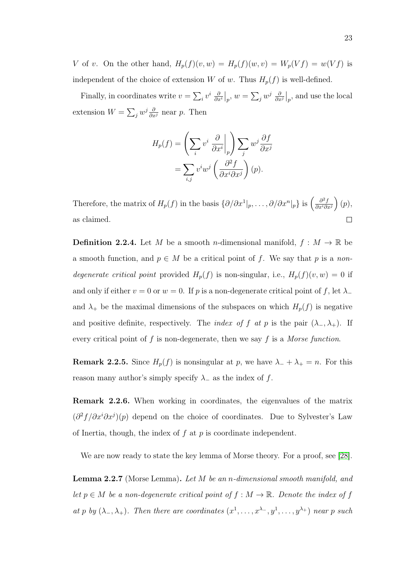V of v. On the other hand,  $H_p(f)(v, w) = H_p(f)(w, v) = W_p(Vf) = w(Vf)$  is independent of the choice of extension W of w. Thus  $H_p(f)$  is well-defined.

Finally, in coordinates write  $v = \sum_i v^i \frac{\delta}{\partial x^i}$  $\frac{\partial}{\partial x^i}\big|_p, w = \sum_j w^j\; \frac{\partial}{\partial x^j}$  $\frac{\partial}{\partial x^j}\Big|_p$ , and use the local extension  $W = \sum_j w^j \frac{\partial}{\partial x^j}$  near p. Then

$$
H_p(f) = \left(\sum_i v^i \frac{\partial}{\partial x^i}\Big|_p\right) \sum_j w^j \frac{\partial f}{\partial x^j}
$$
  
= 
$$
\sum_{i,j} v^i w^j \left(\frac{\partial^2 f}{\partial x^i \partial x^j}\right)(p).
$$

Therefore, the matrix of  $H_p(f)$  in the basis  $\{\partial/\partial x^1|_p,\ldots,\partial/\partial x^n|_p\}$  is  $\left(\frac{\partial^2 f}{\partial x^i \partial y^i}\right)^2$  $\frac{\partial^2 f}{\partial x^i \partial x^j}$   $(p)$ , as claimed.  $\Box$ 

**Definition 2.2.4.** Let M be a smooth n-dimensional manifold,  $f : M \to \mathbb{R}$  be a smooth function, and  $p \in M$  be a critical point of f. We say that p is a nondegenerate critical point provided  $H_p(f)$  is non-singular, i.e.,  $H_p(f)(v, w) = 0$  if and only if either  $v = 0$  or  $w = 0$ . If p is a non-degenerate critical point of f, let  $\lambda_-\$ and  $\lambda_+$  be the maximal dimensions of the subspaces on which  $H_p(f)$  is negative and positive definite, respectively. The *index of f at p* is the pair  $(\lambda_-, \lambda_+)$ . If every critical point of  $f$  is non-degenerate, then we say  $f$  is a Morse function.

**Remark 2.2.5.** Since  $H_p(f)$  is nonsingular at p, we have  $\lambda_- + \lambda_+ = n$ . For this reason many author's simply specify  $\lambda_-\$  as the index of f.

Remark 2.2.6. When working in coordinates, the eigenvalues of the matrix  $(\partial^2 f/\partial x^i \partial x^j)(p)$  depend on the choice of coordinates. Due to Sylvester's Law of Inertia, though, the index of  $f$  at  $p$  is coordinate independent.

<span id="page-32-0"></span>We are now ready to state the key lemma of Morse theory. For a proof, see [\[28\]](#page-85-2).

Lemma 2.2.7 (Morse Lemma). Let M be an n-dimensional smooth manifold, and let  $p \in M$  be a non-degenerate critical point of  $f : M \to \mathbb{R}$ . Denote the index of f at p by  $(\lambda_-, \lambda_+)$ . Then there are coordinates  $(x^1, \ldots, x^{\lambda_-}, y^1, \ldots, y^{\lambda_+})$  near p such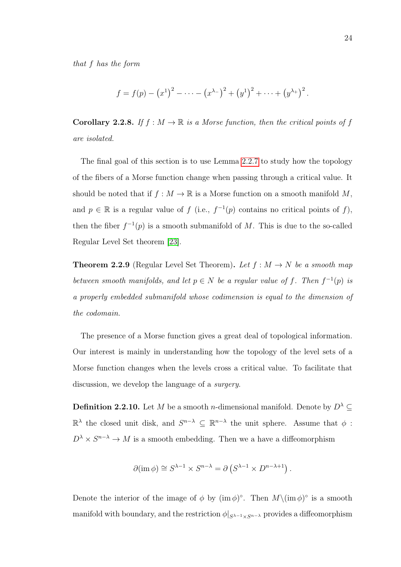that f has the form

$$
f = f(p) - (x^1)^2 - \cdots - (x^{\lambda -})^2 + (y^1)^2 + \cdots + (y^{\lambda +})^2
$$
.

**Corollary 2.2.8.** If  $f : M \to \mathbb{R}$  is a Morse function, then the critical points of f are isolated.

The final goal of this section is to use Lemma [2.2.7](#page-32-0) to study how the topology of the fibers of a Morse function change when passing through a critical value. It should be noted that if  $f : M \to \mathbb{R}$  is a Morse function on a smooth manifold M, and  $p \in \mathbb{R}$  is a regular value of f (i.e.,  $f^{-1}(p)$  contains no critical points of f), then the fiber  $f^{-1}(p)$  is a smooth submanifold of M. This is due to the so-called Regular Level Set theorem [\[23\]](#page-84-9).

**Theorem 2.2.9** (Regular Level Set Theorem). Let  $f : M \to N$  be a smooth map between smooth manifolds, and let  $p \in N$  be a regular value of f. Then  $f^{-1}(p)$  is a properly embedded submanifold whose codimension is equal to the dimension of the codomain.

The presence of a Morse function gives a great deal of topological information. Our interest is mainly in understanding how the topology of the level sets of a Morse function changes when the levels cross a critical value. To facilitate that discussion, we develop the language of a *surgery*.

**Definition 2.2.10.** Let M be a smooth n-dimensional manifold. Denote by  $D^{\lambda} \subseteq$  $\mathbb{R}^{\lambda}$  the closed unit disk, and  $S^{n-\lambda}$  ⊆  $\mathbb{R}^{n-\lambda}$  the unit sphere. Assume that  $φ$ :  $D^{\lambda} \times S^{n-\lambda} \to M$  is a smooth embedding. Then we a have a diffeomorphism

$$
\partial(\text{im } \phi) \cong S^{\lambda - 1} \times S^{n - \lambda} = \partial \left( S^{\lambda - 1} \times D^{n - \lambda + 1} \right).
$$

Denote the interior of the image of  $\phi$  by  $(\text{im }\phi)^\circ$ . Then  $M\setminus(\text{im }\phi)^\circ$  is a smooth manifold with boundary, and the restriction  $\phi|_{S^{\lambda-1}\times S^{n-\lambda}}$  provides a diffeomorphism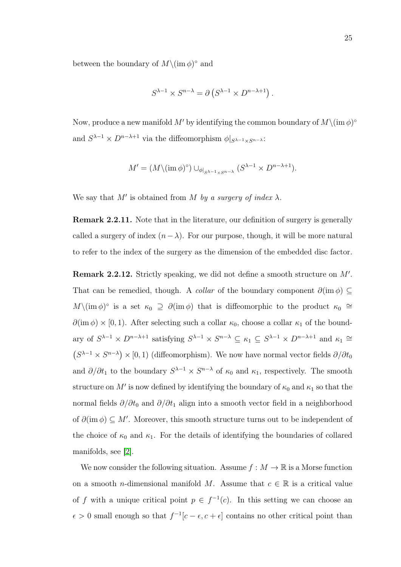between the boundary of  $M \setminus (\text{im } \phi)^\circ$  and

$$
S^{\lambda - 1} \times S^{n - \lambda} = \partial \left( S^{\lambda - 1} \times D^{n - \lambda + 1} \right).
$$

Now, produce a new manifold M' by identifying the common boundary of  $M\setminus(\text{im }\phi)^{\circ}$ and  $S^{\lambda-1} \times D^{n-\lambda+1}$  via the diffeomorphism  $\phi|_{S^{\lambda-1} \times S^{n-\lambda}}$ :

$$
M' = (M \setminus (\operatorname{im} \phi)^\circ) \cup_{\phi|_{S^{\lambda-1} \times S^{n-\lambda}}} (S^{\lambda-1} \times D^{n-\lambda+1}).
$$

We say that  $M'$  is obtained from M by a surgery of index  $\lambda$ .

Remark 2.2.11. Note that in the literature, our definition of surgery is generally called a surgery of index  $(n-\lambda)$ . For our purpose, though, it will be more natural to refer to the index of the surgery as the dimension of the embedded disc factor.

Remark 2.2.12. Strictly speaking, we did not define a smooth structure on  $M'$ . That can be remedied, though. A *collar* of the boundary component  $\partial(\text{im }\phi) \subseteq$  $M\setminus(\text{im }\phi)^\circ$  is a set  $\kappa_0 \supseteq \partial(\text{im }\phi)$  that is diffeomorphic to the product  $\kappa_0 \supseteq \phi$  $\partial(\text{im }\phi) \times [0,1)$ . After selecting such a collar  $\kappa_0$ , choose a collar  $\kappa_1$  of the boundary of  $S^{\lambda-1} \times D^{n-\lambda+1}$  satisfying  $S^{\lambda-1} \times S^{n-\lambda} \subseteq \kappa_1 \subseteq S^{\lambda-1} \times D^{n-\lambda+1}$  and  $\kappa_1 \cong$  $(S^{\lambda-1} \times S^{n-\lambda}) \times [0,1)$  (diffeomorphism). We now have normal vector fields  $\partial/\partial t_0$ and  $\partial/\partial t_1$  to the boundary  $S^{\lambda-1} \times S^{n-\lambda}$  of  $\kappa_0$  and  $\kappa_1$ , respectively. The smooth structure on M' is now defined by identifying the boundary of  $\kappa_0$  and  $\kappa_1$  so that the normal fields  $\partial/\partial t_0$  and  $\partial/\partial t_1$  align into a smooth vector field in a neighborhood of  $\partial(\text{im }\phi) \subseteq M'$ . Moreover, this smooth structure turns out to be independent of the choice of  $\kappa_0$  and  $\kappa_1$ . For the details of identifying the boundaries of collared manifolds, see [\[2\]](#page-82-2).

We now consider the following situation. Assume  $f : M \to \mathbb{R}$  is a Morse function on a smooth *n*-dimensional manifold M. Assume that  $c \in \mathbb{R}$  is a critical value of f with a unique critical point  $p \in f^{-1}(c)$ . In this setting we can choose an  $\epsilon > 0$  small enough so that  $f^{-1}[c - \epsilon, c + \epsilon]$  contains no other critical point than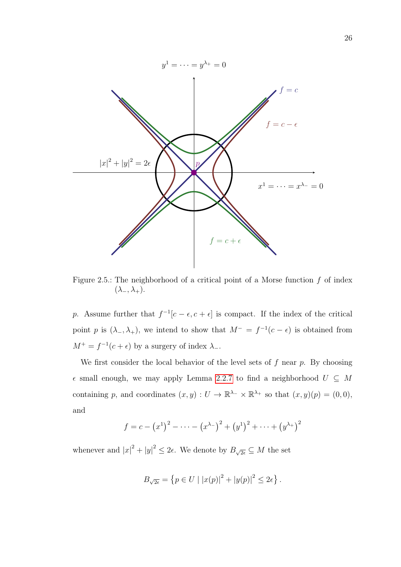

<span id="page-35-0"></span>Figure 2.5.: The neighborhood of a critical point of a Morse function  $f$  of index  $(\lambda_-, \lambda_+).$ 

p. Assume further that  $f^{-1}[c - \epsilon, c + \epsilon]$  is compact. If the index of the critical point p is  $(\lambda_-, \lambda_+)$ , we intend to show that  $M^- = f^{-1}(c - \epsilon)$  is obtained from  $M^+ = f^{-1}(c + \epsilon)$  by a surgery of index  $\lambda$ .

We first consider the local behavior of the level sets of  $f$  near  $p$ . By choosing small enough, we may apply Lemma [2.2.7](#page-32-0) to find a neighborhood U ⊆ M containing p, and coordinates  $(x, y) : U \to \mathbb{R}^{\lambda_-} \times \mathbb{R}^{\lambda_+}$  so that  $(x, y)(p) = (0, 0)$ , and

$$
f = c - (x^1)^2 - \dots - (x^{\lambda -})^2 + (y^1)^2 + \dots + (y^{\lambda +})^2
$$

whenever and  $|x|^2 + |y|^2 \leq 2\epsilon$ . We denote by  $B_{\sqrt{2\epsilon}} \subseteq M$  the set

$$
B_{\sqrt{2\epsilon}} = \{ p \in U \mid |x(p)|^2 + |y(p)|^2 \le 2\epsilon \}.
$$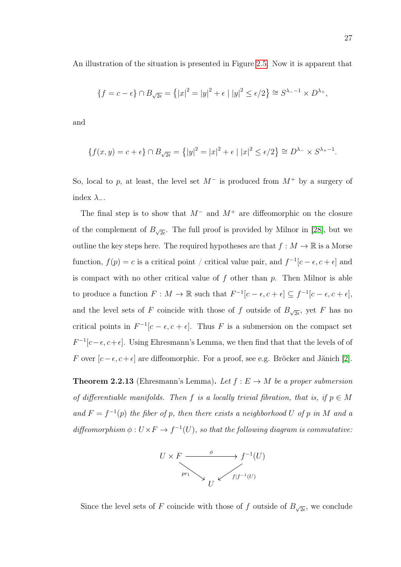An illustration of the situation is presented in Figure [2.5.](#page-35-0) Now it is apparent that

$$
\{f = c - \epsilon\} \cap B_{\sqrt{2\epsilon}} = \{|x|^2 = |y|^2 + \epsilon \mid |y|^2 \le \epsilon/2\} \cong S^{\lambda_- - 1} \times D^{\lambda_+},
$$

and

$$
\{f(x,y) = c + \epsilon\} \cap B_{\sqrt{2\epsilon}} = \left\{|y|^2 = |x|^2 + \epsilon \mid |x|^2 \le \epsilon/2\right\} \cong D^{\lambda_-} \times S^{\lambda_+ - 1}.
$$

So, local to p, at least, the level set  $M^-$  is produced from  $M^+$  by a surgery of index  $\lambda$ <sub>-</sub>.

The final step is to show that  $M^-$  and  $M^+$  are diffeomorphic on the closure of the complement of  $B_{\sqrt{2\epsilon}}$ . The full proof is provided by Milnor in [\[28\]](#page-85-0), but we outline the key steps here. The required hypotheses are that  $f : M \to \mathbb{R}$  is a Morse function,  $f(p) = c$  is a critical point / critical value pair, and  $f^{-1}[c - \epsilon, c + \epsilon]$  and is compact with no other critical value of  $f$  other than  $p$ . Then Milnor is able to produce a function  $F: M \to \mathbb{R}$  such that  $F^{-1}[c-\epsilon, c+\epsilon] \subseteq f^{-1}[c-\epsilon, c+\epsilon]$ , and the level sets of F coincide with those of f outside of  $B_{\sqrt{2\epsilon}}$ , yet F has no critical points in  $F^{-1}[c - \epsilon, c + \epsilon]$ . Thus F is a submersion on the compact set  $F^{-1}[c-\epsilon, c+\epsilon]$ . Using Ehresmann's Lemma, we then find that that the levels of of *F* over  $[c - \epsilon, c + \epsilon]$  are diffeomorphic. For a proof, see e.g. Bröcker and Jänich [\[2\]](#page-82-0).

**Theorem 2.2.13** (Ehresmann's Lemma). Let  $f : E \to M$  be a proper submersion of differentiable manifolds. Then f is a locally trivial fibration, that is, if  $p \in M$ and  $F = f^{-1}(p)$  the fiber of p, then there exists a neighborhood U of p in M and a diffeomorphism  $\phi: U \times F \to f^{-1}(U)$ , so that the following diagram is commutative:



Since the level sets of F coincide with those of f outside of  $B_{\sqrt{2\epsilon}}$ , we conclude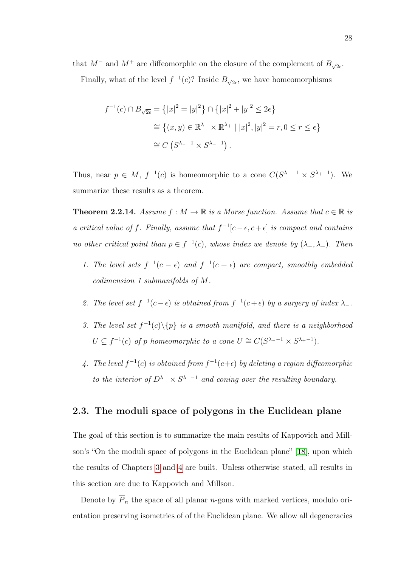that  $M^-$  and  $M^+$  are diffeomorphic on the closure of the complement of  $B_{\sqrt{2\epsilon}}$ .

Finally, what of the level  $f^{-1}(c)$ ? Inside  $B_{\sqrt{2\epsilon}}$ , we have homeomorphisms

$$
f^{-1}(c) \cap B_{\sqrt{2\epsilon}} = \{|x|^2 = |y|^2\} \cap \{|x|^2 + |y|^2 \le 2\epsilon\}
$$
  
\n
$$
\cong \{(x, y) \in \mathbb{R}^{\lambda_-} \times \mathbb{R}^{\lambda_+} \mid |x|^2, |y|^2 = r, 0 \le r \le \epsilon\}
$$
  
\n
$$
\cong C(S^{\lambda_- - 1} \times S^{\lambda_+ - 1}).
$$

Thus, near  $p \in M$ ,  $f^{-1}(c)$  is homeomorphic to a cone  $C(S^{\lambda -1} \times S^{\lambda +1})$ . We summarize these results as a theorem.

<span id="page-37-0"></span>**Theorem 2.2.14.** Assume  $f : M \to \mathbb{R}$  is a Morse function. Assume that  $c \in \mathbb{R}$  is a critical value of f. Finally, assume that  $f^{-1}[c-\epsilon, c+\epsilon]$  is compact and contains no other critical point than  $p \in f^{-1}(c)$ , whose index we denote by  $(\lambda_-, \lambda_+)$ . Then

- 1. The level sets  $f^{-1}(c \epsilon)$  and  $f^{-1}(c + \epsilon)$  are compact, smoothly embedded codimension 1 submanifolds of M.
- 2. The level set  $f^{-1}(c-\epsilon)$  is obtained from  $f^{-1}(c+\epsilon)$  by a surgery of index  $\lambda_{-}$ .
- 3. The level set  $f^{-1}(c)\setminus\{p\}$  is a smooth manifold, and there is a neighborhood  $U \subseteq f^{-1}(c)$  of p homeomorphic to a cone  $U \cong C(S^{\lambda_--1} \times S^{\lambda_+-1}).$
- 4. The level  $f^{-1}(c)$  is obtained from  $f^{-1}(c+\epsilon)$  by deleting a region diffeomorphic to the interior of  $D^{\lambda-} \times S^{\lambda+1}$  and coning over the resulting boundary.

## 2.3. The moduli space of polygons in the Euclidean plane

The goal of this section is to summarize the main results of Kappovich and Millson's "On the moduli space of polygons in the Euclidean plane" [\[18\]](#page-84-0), upon which the results of Chapters [3](#page-46-0) and [4](#page-68-0) are built. Unless otherwise stated, all results in this section are due to Kappovich and Millson.

Denote by  $\overline{P}_n$  the space of all planar *n*-gons with marked vertices, modulo orientation preserving isometries of of the Euclidean plane. We allow all degeneracies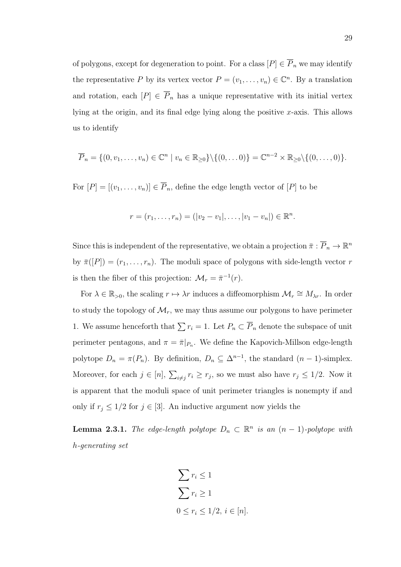of polygons, except for degeneration to point. For a class  $[P] \in \overline{P}_n$  we may identify the representative P by its vertex vector  $P = (v_1, \ldots, v_n) \in \mathbb{C}^n$ . By a translation and rotation, each  $[P] \in \overline{P}_n$  has a unique representative with its initial vertex lying at the origin, and its final edge lying along the positive x-axis. This allows us to identify

$$
\overline{P}_n = \{(0, v_1, \dots, v_n) \in \mathbb{C}^n \mid v_n \in \mathbb{R}_{\geq 0}\} \setminus \{(0, \dots 0)\} = \mathbb{C}^{n-2} \times \mathbb{R}_{\geq 0} \setminus \{(0, \dots, 0)\}.
$$

For  $[P] = [(v_1, \ldots, v_n)] \in \overline{P}_n$ , define the edge length vector of  $[P]$  to be

$$
r = (r_1, \ldots, r_n) = (|v_2 - v_1|, \ldots, |v_1 - v_n|) \in \mathbb{R}^n.
$$

Since this is independent of the representative, we obtain a projection  $\bar{\pi}: \overline{P}_n \to \mathbb{R}^n$ by  $\bar{\pi}([P]) = (r_1, \ldots, r_n)$ . The moduli space of polygons with side-length vector r is then the fiber of this projection:  $\mathcal{M}_r = \bar{\pi}^{-1}(r)$ .

For  $\lambda \in \mathbb{R}_{>0}$ , the scaling  $r \mapsto \lambda r$  induces a diffeomorphism  $\mathcal{M}_r \cong M_{\lambda r}$ . In order to study the topology of  $\mathcal{M}_r$ , we may thus assume our polygons to have perimeter 1. We assume henceforth that  $\sum r_i = 1$ . Let  $P_n \subset \overline{P}_n$  denote the subspace of unit perimeter pentagons, and  $\pi = \bar{\pi}|_{P_n}$ . We define the Kapovich-Millson edge-length polytope  $D_n = \pi(P_n)$ . By definition,  $D_n \subseteq \Delta^{n-1}$ , the standard  $(n-1)$ -simplex. Moreover, for each  $j \in [n]$ ,  $\sum_{i \neq j} r_i \geq r_j$ , so we must also have  $r_j \leq 1/2$ . Now it is apparent that the moduli space of unit perimeter triangles is nonempty if and only if  $r_j \leq 1/2$  for  $j \in [3]$ . An inductive argument now yields the

**Lemma 2.3.1.** The edge-length polytope  $D_n \subset \mathbb{R}^n$  is an  $(n-1)$ -polytope with h-generating set

$$
\sum r_i \le 1
$$
  

$$
\sum r_i \ge 1
$$
  

$$
0 \le r_i \le 1/2, i \in [n].
$$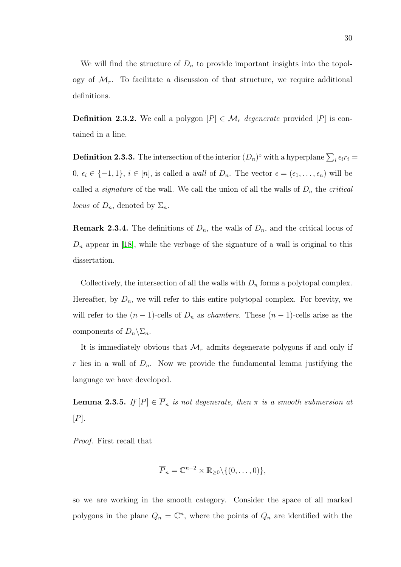We will find the structure of  $D_n$  to provide important insights into the topology of  $\mathcal{M}_r$ . To facilitate a discussion of that structure, we require additional definitions.

**Definition 2.3.2.** We call a polygon  $[P] \in \mathcal{M}_r$  degenerate provided  $[P]$  is contained in a line.

**Definition 2.3.3.** The intersection of the interior  $(D_n)^\circ$  with a hyperplane  $\sum_i \epsilon_i r_i =$ 0,  $\epsilon_i \in \{-1, 1\}$ ,  $i \in [n]$ , is called a *wall* of  $D_n$ . The vector  $\epsilon = (\epsilon_1, \ldots, \epsilon_n)$  will be called a *signature* of the wall. We call the union of all the walls of  $D_n$  the *critical locus* of  $D_n$ , denoted by  $\Sigma_n$ .

**Remark 2.3.4.** The definitions of  $D_n$ , the walls of  $D_n$ , and the critical locus of  $D_n$  appear in [\[18\]](#page-84-0), while the verbage of the signature of a wall is original to this dissertation.

Collectively, the intersection of all the walls with  $D_n$  forms a polytopal complex. Hereafter, by  $D_n$ , we will refer to this entire polytopal complex. For brevity, we will refer to the  $(n-1)$ -cells of  $D_n$  as *chambers*. These  $(n-1)$ -cells arise as the components of  $D_n \backslash \Sigma_n$ .

It is immediately obvious that  $\mathcal{M}_r$  admits degenerate polygons if and only if r lies in a wall of  $D_n$ . Now we provide the fundamental lemma justifying the language we have developed.

<span id="page-39-0"></span>**Lemma 2.3.5.** If  $[P] \in \overline{P}_n$  is not degenerate, then  $\pi$  is a smooth submersion at  $[P]$ .

Proof. First recall that

$$
\overline{P}_n = \mathbb{C}^{n-2} \times \mathbb{R}_{\geq 0} \setminus \{(0, \ldots, 0)\},\
$$

so we are working in the smooth category. Consider the space of all marked polygons in the plane  $Q_n = \mathbb{C}^n$ , where the points of  $Q_n$  are identified with the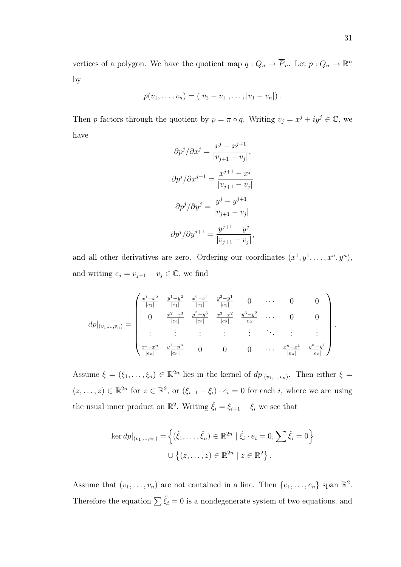vertices of a polygon. We have the quotient map  $q: Q_n \to \overline{P}_n$ . Let  $p: Q_n \to \mathbb{R}^n$ by

$$
p(v_1, \ldots, v_n) = (|v_2 - v_1|, \ldots, |v_1 - v_n|).
$$

Then p factors through the quotient by  $p = \pi \circ q$ . Writing  $v_j = x^j + iy^j \in \mathbb{C}$ , we have

$$
\partial p^j / \partial x^j = \frac{x^j - x^{j+1}}{|v_{j+1} - v_j|},
$$

$$
\partial p^j / \partial x^{j+1} = \frac{x^{j+1} - x^j}{|v_{j+1} - v_j|}
$$

$$
\partial p^j / \partial y^j = \frac{y^j - y^{j+1}}{|v_{j+1} - v_j|}
$$

$$
\partial p^j / \partial y^{j+1} = \frac{y^{j+1} - y^j}{|v_{j+1} - v_j|},
$$

and all other derivatives are zero. Ordering our coordinates  $(x^1, y^1, \ldots, x^n, y^n)$ , and writing  $e_j = v_{j+1} - v_j \in \mathbb{C}$ , we find

$$
dp|_{(v_1,...,v_n)} = \begin{pmatrix} \frac{x^1 - x^2}{|e_1|} & \frac{y^1 - y^2}{|e_1|} & \frac{x^2 - x^1}{|e_1|} & \frac{y^2 - y^1}{|e_1|} & 0 & \cdots & 0 & 0\\ 0 & \frac{x^2 - x^3}{|e_2|} & \frac{y^2 - y^3}{|e_2|} & \frac{x^3 - x^2}{|e_2|} & \frac{y^3 - y^2}{|e_2|} & \cdots & 0 & 0\\ \vdots & \vdots & \vdots & \vdots & \vdots & \ddots & \vdots & \vdots\\ \frac{x^1 - x^n}{|e_n|} & \frac{y^1 - y^n}{|e_n|} & 0 & 0 & 0 & \cdots & \frac{x^n - x^1}{|e_n|} & \frac{y^n - y^1}{|e_n|}\end{pmatrix}.
$$

Assume  $\xi = (\xi_1, \ldots, \xi_n) \in \mathbb{R}^{2n}$  lies in the kernel of  $dp|_{(v_1, \ldots, v_n)}$ . Then either  $\xi =$  $(z, \ldots, z) \in \mathbb{R}^{2n}$  for  $z \in \mathbb{R}^2$ , or  $(\xi_{i+1} - \xi_i) \cdot e_i = 0$  for each i, where we are using the usual inner product on  $\mathbb{R}^2$ . Writing  $\hat{\xi}_i = \xi_{i+1} - \xi_i$  we see that

$$
\ker dp|_{(v_1,\dots,v_n)} = \left\{ (\hat{\xi}_1,\dots,\hat{\xi}_n) \in \mathbb{R}^{2n} \mid \hat{\xi}_i \cdot e_i = 0, \sum \hat{\xi}_i = 0 \right\}
$$
  

$$
\cup \left\{ (z,\dots,z) \in \mathbb{R}^{2n} \mid z \in \mathbb{R}^2 \right\}.
$$

Assume that  $(v_1, \ldots, v_n)$  are not contained in a line. Then  $\{e_1, \ldots, e_n\}$  span  $\mathbb{R}^2$ . Therefore the equation  $\sum \hat{\xi}_i = 0$  is a nondegenerate system of two equations, and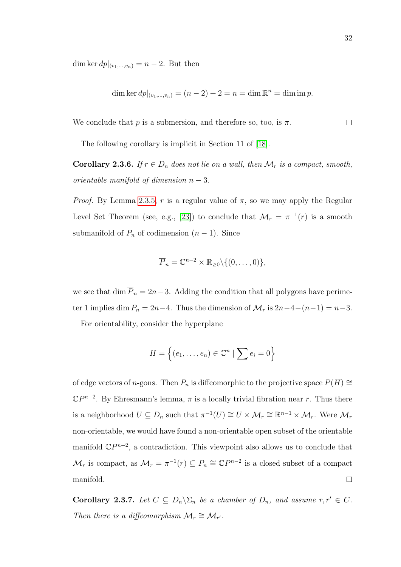dim ker  $dp|_{(v_1,...,v_n)} = n-2$ . But then

dim ker 
$$
dp|_{(v_1,...,v_n)} = (n-2) + 2 = n = \dim \mathbb{R}^n = \dim \text{im } p
$$
.

We conclude that p is a submersion, and therefore so, too, is  $\pi$ .  $\Box$ 

The following corollary is implicit in Section 11 of [\[18\]](#page-84-0).

**Corollary 2.3.6.** If  $r \in D_n$  does not lie on a wall, then  $\mathcal{M}_r$  is a compact, smooth, orientable manifold of dimension  $n-3$ .

*Proof.* By Lemma [2.3.5,](#page-39-0) r is a regular value of  $\pi$ , so we may apply the Regular Level Set Theorem (see, e.g., [\[23\]](#page-84-1)) to conclude that  $\mathcal{M}_r = \pi^{-1}(r)$  is a smooth submanifold of  $P_n$  of codimension  $(n-1)$ . Since

$$
\overline{P}_n = \mathbb{C}^{n-2} \times \mathbb{R}_{\geq 0} \setminus \{(0, \ldots, 0)\},\
$$

we see that dim  $\overline{P}_n = 2n-3$ . Adding the condition that all polygons have perimeter 1 implies dim  $P_n = 2n-4$ . Thus the dimension of  $\mathcal{M}_r$  is  $2n-4-(n-1) = n-3$ .

For orientability, consider the hyperplane

$$
H = \left\{ (e_1, \ldots, e_n) \in \mathbb{C}^n \mid \sum e_i = 0 \right\}
$$

of edge vectors of n-gons. Then  $P_n$  is diffeomorphic to the projective space  $P(H) \cong$  $\mathbb{C}P^{n-2}$ . By Ehresmann's lemma,  $\pi$  is a locally trivial fibration near r. Thus there is a neighborhood  $U \subseteq D_n$  such that  $\pi^{-1}(U) \cong U \times \mathcal{M}_r \cong \mathbb{R}^{n-1} \times \mathcal{M}_r$ . Were  $\mathcal{M}_r$ non-orientable, we would have found a non-orientable open subset of the orientable manifold  $\mathbb{C}P^{n-2}$ , a contradiction. This viewpoint also allows us to conclude that  $\mathcal{M}_r$  is compact, as  $\mathcal{M}_r = \pi^{-1}(r) \subseteq P_n \cong \mathbb{C}P^{n-2}$  is a closed subset of a compact manifold.  $\Box$ 

<span id="page-41-0"></span>Corollary 2.3.7. Let  $C \subseteq D_n \backslash \Sigma_n$  be a chamber of  $D_n$ , and assume  $r, r' \in C$ . Then there is a diffeomorphism  $\mathcal{M}_r \cong \mathcal{M}_{r'}$ .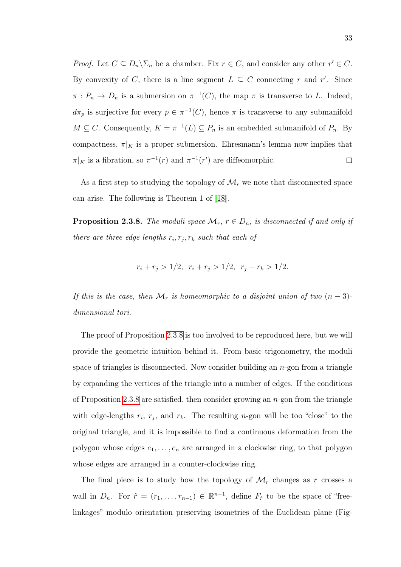*Proof.* Let  $C \subseteq D_n \backslash \Sigma_n$  be a chamber. Fix  $r \in C$ , and consider any other  $r' \in C$ . By convexity of C, there is a line segment  $L \subseteq C$  connecting r and r'. Since  $\pi: P_n \to D_n$  is a submersion on  $\pi^{-1}(C)$ , the map  $\pi$  is transverse to L. Indeed,  $d\pi_p$  is surjective for every  $p \in \pi^{-1}(C)$ , hence  $\pi$  is transverse to any submanifold  $M \subseteq C$ . Consequently,  $K = \pi^{-1}(L) \subseteq P_n$  is an embedded submanifold of  $P_n$ . By compactness,  $\pi|_K$  is a proper submersion. Ehresmann's lemma now implies that  $\pi|_K$  is a fibration, so  $\pi^{-1}(r)$  and  $\pi^{-1}(r')$  are diffeomorphic.  $\Box$ 

As a first step to studying the topology of  $\mathcal{M}_r$  we note that disconnected space can arise. The following is Theorem 1 of [\[18\]](#page-84-0).

<span id="page-42-0"></span>**Proposition 2.3.8.** The moduli space  $\mathcal{M}_r$ ,  $r \in D_n$ , is disconnected if and only if there are three edge lengths  $r_i, r_j, r_k$  such that each of

$$
r_i + r_j > 1/2, \ r_i + r_j > 1/2, \ r_j + r_k > 1/2.
$$

If this is the case, then  $\mathcal{M}_r$  is homeomorphic to a disjoint union of two  $(n-3)$ dimensional tori.

The proof of Proposition [2.3.8](#page-42-0) is too involved to be reproduced here, but we will provide the geometric intuition behind it. From basic trigonometry, the moduli space of triangles is disconnected. Now consider building an  $n$ -gon from a triangle by expanding the vertices of the triangle into a number of edges. If the conditions of Proposition [2.3.8](#page-42-0) are satisfied, then consider growing an  $n$ -gon from the triangle with edge-lengths  $r_i$ ,  $r_j$ , and  $r_k$ . The resulting *n*-gon will be too "close" to the original triangle, and it is impossible to find a continuous deformation from the polygon whose edges  $e_1, \ldots, e_n$  are arranged in a clockwise ring, to that polygon whose edges are arranged in a counter-clockwise ring.

The final piece is to study how the topology of  $\mathcal{M}_r$  changes as r crosses a wall in  $D_n$ . For  $\hat{r} = (r_1, \ldots, r_{n-1}) \in \mathbb{R}^{n-1}$ , define  $F_{\hat{r}}$  to be the space of "freelinkages" modulo orientation preserving isometries of the Euclidean plane (Fig-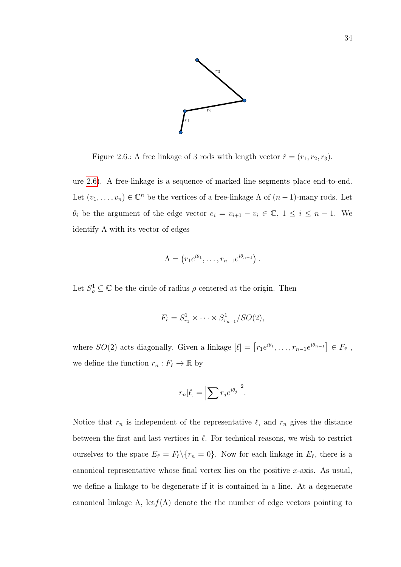

<span id="page-43-0"></span>Figure 2.6.: A free linkage of 3 rods with length vector  $\hat{r} = (r_1, r_2, r_3)$ .

ure [2.6\)](#page-43-0). A free-linkage is a sequence of marked line segments place end-to-end. Let  $(v_1, \ldots, v_n) \in \mathbb{C}^n$  be the vertices of a free-linkage  $\Lambda$  of  $(n-1)$ -many rods. Let  $\theta_i$  be the argument of the edge vector  $e_i = v_{i+1} - v_i \in \mathbb{C}, 1 \le i \le n-1$ . We identify  $\Lambda$  with its vector of edges

$$
\Lambda = (r_1 e^{i\theta_1}, \dots, r_{n-1} e^{i\theta_{n-1}}).
$$

Let  $S^1_\rho \subseteq \mathbb{C}$  be the circle of radius  $\rho$  centered at the origin. Then

$$
F_{\hat{r}} = S_{r_1}^1 \times \cdots \times S_{r_{n-1}}^1 / SO(2),
$$

where  $SO(2)$  acts diagonally. Given a linkage  $[\ell] = [r_1 e^{i\theta_1}, \ldots, r_{n-1} e^{i\theta_{n-1}}] \in F_{\hat{r}}$ , we define the function  $r_n : F_{\hat{r}} \to \mathbb{R}$  by

$$
r_n[\ell] = \left| \sum r_j e^{i\theta_j} \right|^2.
$$

Notice that  $r_n$  is independent of the representative  $\ell$ , and  $r_n$  gives the distance between the first and last vertices in  $\ell$ . For technical reasons, we wish to restrict ourselves to the space  $E_{\hat{r}} = F_{\hat{r}} \setminus \{r_n = 0\}$ . Now for each linkage in  $E_{\hat{r}}$ , there is a canonical representative whose final vertex lies on the positive  $x$ -axis. As usual, we define a linkage to be degenerate if it is contained in a line. At a degenerate canonical linkage  $\Lambda$ , let  $f(\Lambda)$  denote the the number of edge vectors pointing to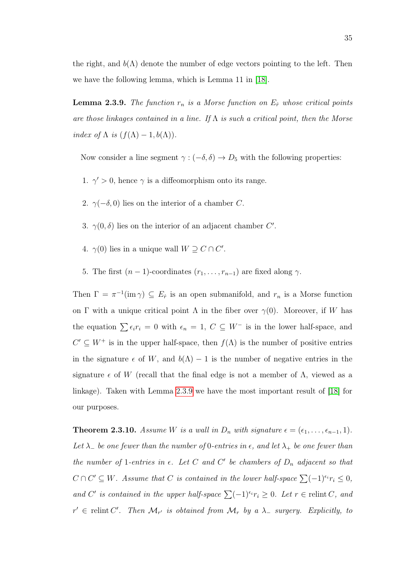the right, and  $b(\Lambda)$  denote the number of edge vectors pointing to the left. Then we have the following lemma, which is Lemma 11 in [\[18\]](#page-84-0).

<span id="page-44-0"></span>**Lemma 2.3.9.** The function  $r_n$  is a Morse function on  $E_{\hat{r}}$  whose critical points are those linkages contained in a line. If  $\Lambda$  is such a critical point, then the Morse index of  $\Lambda$  is  $(f(\Lambda) - 1, b(\Lambda))$ .

Now consider a line segment  $\gamma : (-\delta, \delta) \to D_5$  with the following properties:

- 1.  $\gamma' > 0$ , hence  $\gamma$  is a diffeomorphism onto its range.
- 2.  $\gamma(-\delta, 0)$  lies on the interior of a chamber C.
- 3.  $\gamma(0,\delta)$  lies on the interior of an adjacent chamber C'.
- 4.  $\gamma(0)$  lies in a unique wall  $W \supseteq C \cap C'$ .
- 5. The first  $(n-1)$ -coordinates  $(r_1, \ldots, r_{n-1})$  are fixed along  $\gamma$ .

Then  $\Gamma = \pi^{-1}(\text{im }\gamma) \subseteq E_{\hat{r}}$  is an open submanifold, and  $r_n$  is a Morse function on Γ with a unique critical point  $\Lambda$  in the fiber over  $\gamma(0)$ . Moreover, if W has the equation  $\sum \epsilon_i r_i = 0$  with  $\epsilon_n = 1, C \subseteq W^-$  is in the lower half-space, and  $C' \subseteq W^+$  is in the upper half-space, then  $f(\Lambda)$  is the number of positive entries in the signature  $\epsilon$  of W, and  $b(\Lambda) - 1$  is the number of negative entries in the signature  $\epsilon$  of W (recall that the final edge is not a member of  $\Lambda$ , viewed as a linkage). Taken with Lemma [2.3.9](#page-44-0) we have the most important result of [\[18\]](#page-84-0) for our purposes.

<span id="page-44-1"></span>**Theorem 2.3.10.** Assume W is a wall in  $D_n$  with signature  $\epsilon = (\epsilon_1, \ldots, \epsilon_{n-1}, 1)$ . Let  $\lambda_{-}$  be one fewer than the number of 0-entries in  $\epsilon$ , and let  $\lambda_{+}$  be one fewer than the number of 1-entries in  $\epsilon$ . Let C and C' be chambers of  $D_n$  adjacent so that  $C \cap C' \subseteq W$ . Assume that C is contained in the lower half-space  $\sum (-1)^{\epsilon_i} r_i \leq 0$ , and C' is contained in the upper half-space  $\sum (-1)^{\epsilon_i} r_i \geq 0$ . Let  $r \in$  relint C, and  $r' \in$  relint C'. Then  $\mathcal{M}_{r'}$  is obtained from  $\mathcal{M}_r$  by a  $\lambda$  surgery. Explicitly, to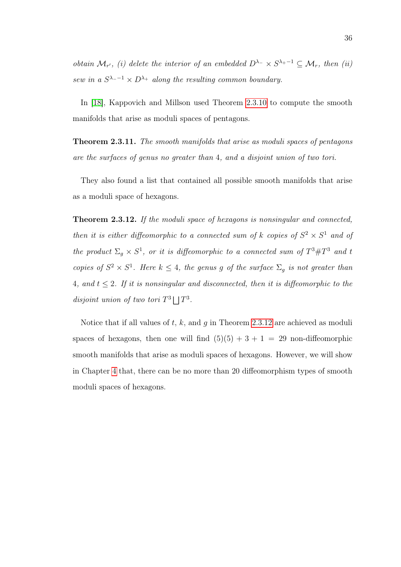obtain  $\mathcal{M}_{r'}$ , (i) delete the interior of an embedded  $D^{\lambda_-} \times S^{\lambda_+ - 1} \subseteq \mathcal{M}_r$ , then (ii) sew in a  $S^{\lambda -1} \times D^{\lambda +}$  along the resulting common boundary.

In [\[18\]](#page-84-0), Kappovich and Millson used Theorem [2.3.10](#page-44-1) to compute the smooth manifolds that arise as moduli spaces of pentagons.

<span id="page-45-1"></span>Theorem 2.3.11. The smooth manifolds that arise as moduli spaces of pentagons are the surfaces of genus no greater than 4, and a disjoint union of two tori.

They also found a list that contained all possible smooth manifolds that arise as a moduli space of hexagons.

<span id="page-45-0"></span>Theorem 2.3.12. If the moduli space of hexagons is nonsingular and connected, then it is either diffeomorphic to a connected sum of k copies of  $S^2 \times S^1$  and of the product  $\Sigma_g \times S^1$ , or it is diffeomorphic to a connected sum of  $T^3 \# T^3$  and t copies of  $S^2 \times S^1$ . Here  $k \leq 4$ , the genus g of the surface  $\Sigma_g$  is not greater than 4, and  $t \leq 2$ . If it is nonsingular and disconnected, then it is diffeomorphic to the disjoint union of two tori  $T^3 \Box T^3$ .

Notice that if all values of  $t, k$ , and  $g$  in Theorem [2.3.12](#page-45-0) are achieved as moduli spaces of hexagons, then one will find  $(5)(5) + 3 + 1 = 29$  non-diffeomorphic smooth manifolds that arise as moduli spaces of hexagons. However, we will show in Chapter [4](#page-68-0) that, there can be no more than 20 diffeomorphism types of smooth moduli spaces of hexagons.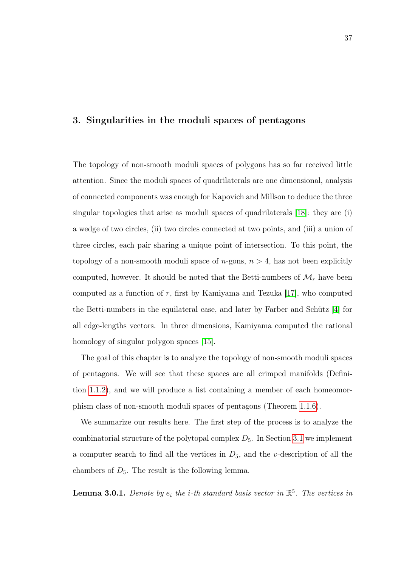#### <span id="page-46-0"></span>3. Singularities in the moduli spaces of pentagons

The topology of non-smooth moduli spaces of polygons has so far received little attention. Since the moduli spaces of quadrilaterals are one dimensional, analysis of connected components was enough for Kapovich and Millson to deduce the three singular topologies that arise as moduli spaces of quadrilaterals [\[18\]](#page-84-0): they are (i) a wedge of two circles, (ii) two circles connected at two points, and (iii) a union of three circles, each pair sharing a unique point of intersection. To this point, the topology of a non-smooth moduli space of  $n$ -gons,  $n > 4$ , has not been explicitly computed, however. It should be noted that the Betti-numbers of  $\mathcal{M}_r$  have been computed as a function of  $r$ , first by Kamiyama and Tezuka [\[17\]](#page-83-0), who computed the Betti-numbers in the equilateral case, and later by Farber and Schütz [\[4\]](#page-82-1) for all edge-lengths vectors. In three dimensions, Kamiyama computed the rational homology of singular polygon spaces [\[15\]](#page-83-1).

The goal of this chapter is to analyze the topology of non-smooth moduli spaces of pentagons. We will see that these spaces are all crimped manifolds (Definition [1.1.2\)](#page-13-0), and we will produce a list containing a member of each homeomorphism class of non-smooth moduli spaces of pentagons (Theorem [1.1.6\)](#page-13-1).

We summarize our results here. The first step of the process is to analyze the combinatorial structure of the polytopal complex  $D_5$ . In Section [3.1](#page-48-0) we implement a computer search to find all the vertices in  $D_5$ , and the *v*-description of all the chambers of  $D_5$ . The result is the following lemma.

<span id="page-46-1"></span>**Lemma 3.0.1.** Denote by  $e_i$  the *i*-th standard basis vector in  $\mathbb{R}^5$ . The vertices in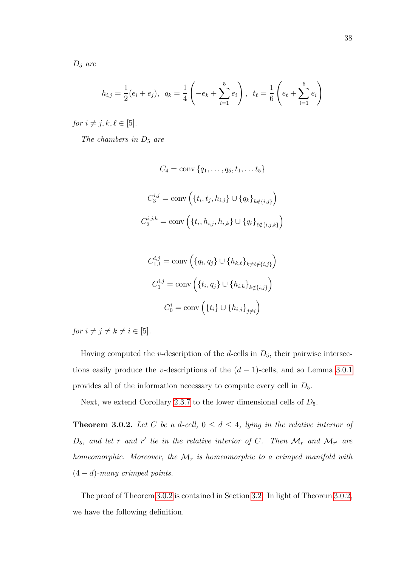$D_5$  are

$$
h_{i,j} = \frac{1}{2}(e_i + e_j), \ \ q_k = \frac{1}{4}\left(-e_k + \sum_{i=1}^5 e_i\right), \ \ t_{\ell} = \frac{1}{6}\left(e_{\ell} + \sum_{i=1}^5 e_i\right)
$$

for  $i \neq j, k, \ell \in [5]$ .

The chambers in  $D_5$  are

$$
C_4 = \text{conv}\{q_1, \dots, q_5, t_1, \dots, t_5\}
$$

$$
C_3^{i,j} = \text{conv}\left(\{t_i, t_j, h_{i,j}\} \cup \{q_k\}_{k \notin \{i,j\}}\right)
$$

$$
C_2^{i,j,k} = \text{conv}\left(\{t_i, h_{i,j}, h_{i,k}\} \cup \{q_\ell\}_{\ell \notin \{i,j,k\}}\right)
$$

$$
C_{1,1}^{i,j} = \text{conv}\left(\{q_i, q_j\} \cup \{h_{k,\ell}\}_{k \neq \ell \notin \{i,j\}}\right)
$$

$$
C_1^{i,j} = \text{conv}\left(\{t_i, q_j\} \cup \{h_{i,k}\}_{k \notin \{i,j\}}\right)
$$

$$
C_0^i = \text{conv}\left(\{t_i\} \cup \{h_{i,j}\}_{j \neq i}\right)
$$

for  $i \neq j \neq k \neq i \in [5]$ .

Having computed the v-description of the d-cells in  $D_5$ , their pairwise intersections easily produce the v-descriptions of the  $(d-1)$ -cells, and so Lemma [3.0.1](#page-46-1) provides all of the information necessary to compute every cell in  $D_5$ .

<span id="page-47-0"></span>Next, we extend Corollary [2.3.7](#page-41-0) to the lower dimensional cells of  $D_5$ .

**Theorem 3.0.2.** Let C be a d-cell,  $0 \leq d \leq 4$ , lying in the relative interior of  $D_5$ , and let r and r' lie in the relative interior of C. Then  $\mathcal{M}_r$  and  $\mathcal{M}_{r'}$  are homeomorphic. Moreover, the  $\mathcal{M}_r$  is homeomorphic to a crimped manifold with  $(4-d)$ -many crimped points.

The proof of Theorem [3.0.2](#page-47-0) is contained in Section [3.2.](#page-50-0) In light of Theorem [3.0.2,](#page-47-0) we have the following definition.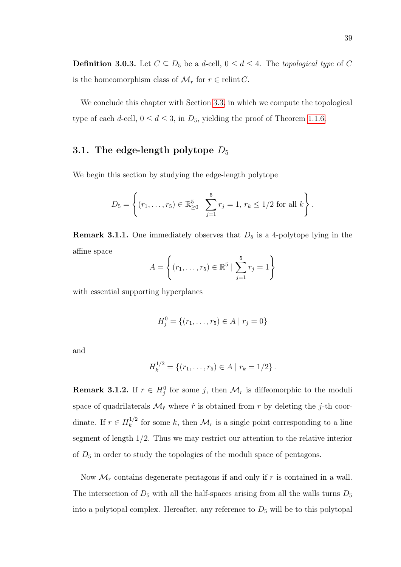**Definition 3.0.3.** Let  $C \subseteq D_5$  be a d-cell,  $0 \le d \le 4$ . The topological type of C is the homeomorphism class of  $\mathcal{M}_r$  for  $r \in$  relint C.

We conclude this chapter with Section [3.3,](#page-60-0) in which we compute the topological type of each d-cell,  $0 \le d \le 3$ , in  $D_5$ , yielding the proof of Theorem [1.1.6.](#page-13-1)

# <span id="page-48-0"></span>3.1. The edge-length polytope  $D_5$

We begin this section by studying the edge-length polytope

$$
D_5 = \left\{ (r_1, \ldots, r_5) \in \mathbb{R}_{\geq 0}^5 \mid \sum_{j=1}^5 r_j = 1, r_k \leq 1/2 \text{ for all } k \right\}.
$$

**Remark 3.1.1.** One immediately observes that  $D_5$  is a 4-polytope lying in the affine space

$$
A = \left\{ (r_1, \dots, r_5) \in \mathbb{R}^5 \mid \sum_{j=1}^5 r_j = 1 \right\}
$$

with essential supporting hyperplanes

$$
H_j^0 = \{(r_1, \ldots, r_5) \in A \mid r_j = 0\}
$$

and

$$
H_k^{1/2} = \{(r_1, \ldots, r_5) \in A \mid r_k = 1/2\}.
$$

**Remark 3.1.2.** If  $r \in H_j^0$  for some j, then  $\mathcal{M}_r$  is diffeomorphic to the moduli space of quadrilaterals  $\mathcal{M}_{\hat{r}}$  where  $\hat{r}$  is obtained from r by deleting the j-th coordinate. If  $r \in H_k^{1/2}$  $\frac{f_1}{k}$  for some k, then  $\mathcal{M}_r$  is a single point corresponding to a line segment of length 1/2. Thus we may restrict our attention to the relative interior of  $D_5$  in order to study the topologies of the moduli space of pentagons.

Now  $\mathcal{M}_r$  contains degenerate pentagons if and only if r is contained in a wall. The intersection of  $D_5$  with all the half-spaces arising from all the walls turns  $D_5$ into a polytopal complex. Hereafter, any reference to  $D_5$  will be to this polytopal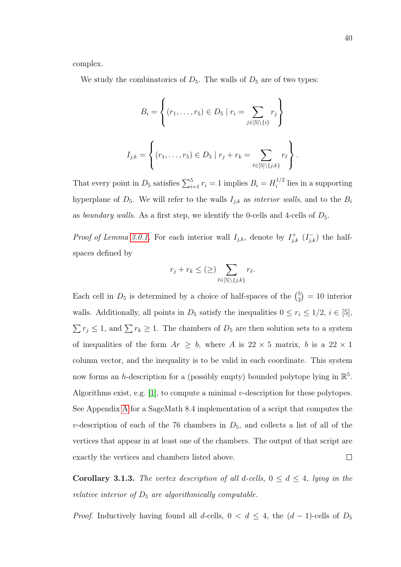complex.

We study the combinatorics of  $D_5$ . The walls of  $D_5$  are of two types:

$$
B_{i} = \left\{ (r_{1}, \ldots, r_{5}) \in D_{5} \mid r_{i} = \sum_{j \in [5] \backslash \{i\}} r_{j} \right\}
$$

$$
I_{j,k} = \left\{ (r_{1}, \ldots, r_{5}) \in D_{5} \mid r_{j} + r_{k} = \sum_{\ell \in [5] \backslash \{j,k\}} r_{\ell} \right\}
$$

That every point in  $D_5$  satisfies  $\sum_{i=1}^5 r_i = 1$  implies  $B_i = H_i^{1/2}$  $i^{1/2}$  lies in a supporting hyperplane of  $D_5$ . We will refer to the walls  $I_{j,k}$  as *interior walls*, and to the  $B_i$ as boundary walls. As a first step, we identify the 0-cells and 4-cells of  $D_5$ .

*Proof of Lemma [3.0.1.](#page-46-1)* For each interior wall  $I_{j,k}$ , denote by  $I_{j,k}^{+}$  ( $I_{j,k}^{-}$ ) the halfspaces defined by

$$
r_j+r_k\leq (\geq) \sum_{\ell\in [5]\backslash \{j,k\}} r_\ell.
$$

Each cell in  $D_5$  is determined by a choice of half-spaces of the  $\binom{5}{2}$  $_2^5$  = 10 interior walls. Additionally, all points in  $D_5$  satisfy the inequalities  $0 \le r_i \le 1/2$ ,  $i \in [5]$ ,  $\sum r_j \leq 1$ , and  $\sum r_k \geq 1$ . The chambers of  $D_5$  are then solution sets to a system of inequalities of the form  $Ar \geq b$ , where A is  $22 \times 5$  matrix, b is a  $22 \times 1$ column vector, and the inequality is to be valid in each coordinate. This system now forms an h-description for a (possibly empty) bounded polytope lying in  $\mathbb{R}^5$ . Algorithms exist, e.g.  $[1]$ , to compute a minimal v-description for these polytopes. See Appendix [A](#page-87-0) for a SageMath 8.4 implementation of a script that computes the v-description of each of the 76 chambers in  $D_5$ , and collects a list of all of the vertices that appear in at least one of the chambers. The output of that script are exactly the vertices and chambers listed above.  $\Box$ 

<span id="page-49-0"></span>Corollary 3.1.3. The vertex description of all d-cells,  $0 \le d \le 4$ , lying in the relative interior of  $D_5$  are algorithmically computable.

*Proof.* Inductively having found all d-cells,  $0 < d \le 4$ , the  $(d-1)$ -cells of  $D_5$ 

.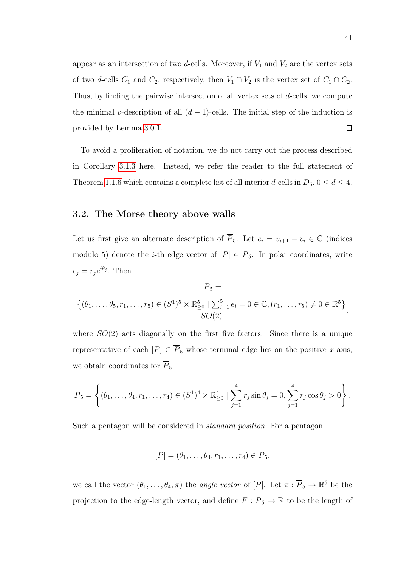appear as an intersection of two d-cells. Moreover, if  $V_1$  and  $V_2$  are the vertex sets of two d-cells  $C_1$  and  $C_2$ , respectively, then  $V_1 \cap V_2$  is the vertex set of  $C_1 \cap C_2$ . Thus, by finding the pairwise intersection of all vertex sets of d-cells, we compute the minimal v-description of all  $(d-1)$ -cells. The initial step of the induction is provided by Lemma [3.0.1.](#page-46-1)  $\Box$ 

To avoid a proliferation of notation, we do not carry out the process described in Corollary [3.1.3](#page-49-0) here. Instead, we refer the reader to the full statement of Theorem [1.1.6](#page-13-1) which contains a complete list of all interior d-cells in  $D_5$ ,  $0 \le d \le 4$ .

### <span id="page-50-0"></span>3.2. The Morse theory above walls

Let us first give an alternate description of  $\overline{P}_5$ . Let  $e_i = v_{i+1} - v_i \in \mathbb{C}$  (indices modulo 5) denote the *i*-th edge vector of  $[P] \in \overline{P}_5$ . In polar coordinates, write  $e_j = r_j e^{i\theta_j}$ . Then

$$
\overline{P}_5 = \frac{\{(\theta_1, \ldots, \theta_5, r_1, \ldots, r_5) \in (S^1)^5 \times \mathbb{R}_{\geq 0}^5 \mid \sum_{i=1}^5 e_i = 0 \in \mathbb{C}, (r_1, \ldots, r_5) \neq 0 \in \mathbb{R}^5\}}{SO(2)},
$$

where  $SO(2)$  acts diagonally on the first five factors. Since there is a unique representative of each  $[P] \in \overline{P}_5$  whose terminal edge lies on the positive x-axis, we obtain coordinates for  $\overline{P}_5$ 

$$
\overline{P}_5 = \left\{ (\theta_1, ..., \theta_4, r_1, ..., r_4) \in (S^1)^4 \times \mathbb{R}_{\geq 0}^4 \mid \sum_{j=1}^4 r_j \sin \theta_j = 0, \sum_{j=1}^4 r_j \cos \theta_j > 0 \right\}.
$$

Such a pentagon will be considered in standard position. For a pentagon

$$
[P]=(\theta_1,\ldots,\theta_4,r_1,\ldots,r_4)\in\overline{P}_5,
$$

we call the vector  $(\theta_1,\ldots,\theta_4,\pi)$  the angle vector of  $[P]$ . Let  $\pi:\overline{P}_5\to\mathbb{R}^5$  be the projection to the edge-length vector, and define  $F: \overline{P}_5 \to \mathbb{R}$  to be the length of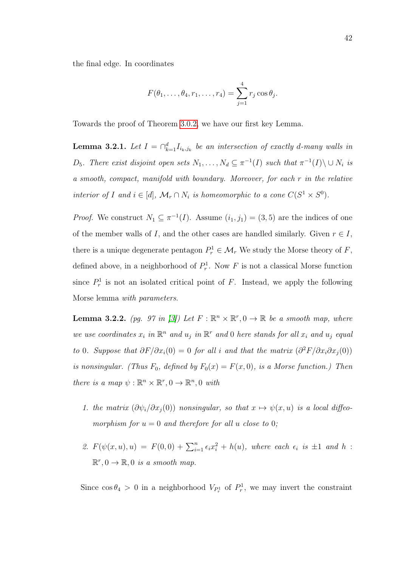the final edge. In coordinates

$$
F(\theta_1,\ldots,\theta_4,r_1,\ldots,r_4)=\sum_{j=1}^4 r_j \cos \theta_j.
$$

<span id="page-51-1"></span>Towards the proof of Theorem [3.0.2,](#page-47-0) we have our first key Lemma.

**Lemma 3.2.1.** Let  $I = \bigcap_{k=1}^d I_{i_k,j_k}$  be an intersection of exactly d-many walls in D<sub>5</sub>. There exist disjoint open sets  $N_1, \ldots, N_d \subseteq \pi^{-1}(I)$  such that  $\pi^{-1}(I) \setminus \cup N_i$  is a smooth, compact, manifold with boundary. Moreover, for each r in the relative interior of I and  $i \in [d]$ ,  $\mathcal{M}_r \cap N_i$  is homeomorphic to a cone  $C(S^1 \times S^0)$ .

*Proof.* We construct  $N_1 \subseteq \pi^{-1}(I)$ . Assume  $(i_1, j_1) = (3, 5)$  are the indices of one of the member walls of I, and the other cases are handled similarly. Given  $r \in I$ , there is a unique degenerate pentagon  $P_r^1 \in \mathcal{M}_r$ . We study the Morse theory of F, defined above, in a neighborhood of  $P_r^1$ . Now F is not a classical Morse function since  $P_r^1$  is not an isolated critical point of F. Instead, we apply the following Morse lemma with parameters.

<span id="page-51-0"></span>**Lemma 3.2.2.** (pg. 97 in [\[3\]](#page-82-3)) Let  $F : \mathbb{R}^n \times \mathbb{R}^r, 0 \to \mathbb{R}$  be a smooth map, where we use coordinates  $x_i$  in  $\mathbb{R}^n$  and  $u_j$  in  $\mathbb{R}^r$  and 0 here stands for all  $x_i$  and  $u_j$  equal to 0. Suppose that  $\partial F/\partial x_i(0) = 0$  for all i and that the matrix  $(\partial^2 F/\partial x_i \partial x_j(0))$ is nonsingular. (Thus  $F_0$ , defined by  $F_0(x) = F(x, 0)$ , is a Morse function.) Then there is a map  $\psi : \mathbb{R}^n \times \mathbb{R}^r, 0 \to \mathbb{R}^n, 0$  with

- 1. the matrix  $(\partial \psi_i/\partial x_j(0))$  nonsingular, so that  $x \mapsto \psi(x, u)$  is a local diffeomorphism for  $u = 0$  and therefore for all u close to 0;
- 2.  $F(\psi(x, u), u) = F(0, 0) + \sum_{i=1}^{n} \epsilon_i x_i^2 + h(u)$ , where each  $\epsilon_i$  is  $\pm 1$  and h:  $\mathbb{R}^r, 0 \to \mathbb{R}, 0$  is a smooth map.

Since  $\cos \theta_4 > 0$  in a neighborhood  $V_{P_r}$  of  $P_r^1$ , we may invert the constraint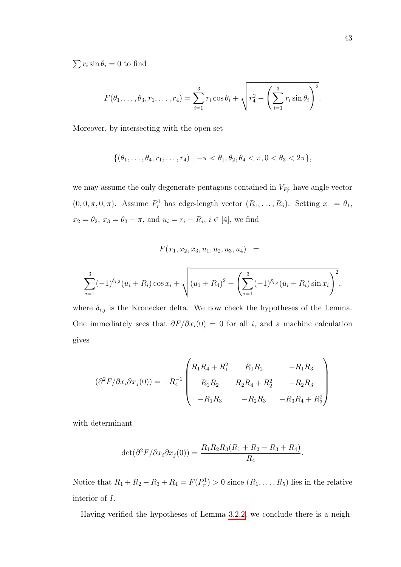$\sum r_i \sin \theta_i = 0$  to find

$$
F(\theta_1, ..., \theta_3, r_1, ..., r_4) = \sum_{i=1}^3 r_i \cos \theta_i + \sqrt{r_4^2 - \left(\sum_{i=1}^3 r_i \sin \theta_i\right)^2}.
$$

Moreover, by intersecting with the open set

$$
\{(\theta_1,\ldots,\theta_4,r_1,\ldots,r_4) \mid -\pi < \theta_1, \theta_2, \theta_4 < \pi, 0 < \theta_3 < 2\pi\},
$$

we may assume the only degenerate pentagons contained in  $V_{P_r}$  have angle vector  $(0, 0, \pi, 0, \pi)$ . Assume  $P_r^1$  has edge-length vector  $(R_1, \ldots, R_5)$ . Setting  $x_1 = \theta_1$ ,  $x_2 = \theta_2, x_3 = \theta_3 - \pi$ , and  $u_i = r_i - R_i, i \in [4]$ , we find

$$
F(x_1, x_2, x_3, u_1, u_2, u_3, u_4) =
$$

$$
\sum_{i=1}^{3} (-1)^{\delta_{i,3}} (u_i + R_i) \cos x_i + \sqrt{(u_1 + R_4)^2 - \left(\sum_{i=1}^{3} (-1)^{\delta_{i,3}} (u_i + R_i) \sin x_i\right)^2},
$$

where  $\delta_{i,j}$  is the Kronecker delta. We now check the hypotheses of the Lemma. One immediately sees that  $\partial F/\partial x_i(0) = 0$  for all i, and a machine calculation gives

$$
(\partial^2 F/\partial x_i \partial x_j(0)) = -R_4^{-1} \begin{pmatrix} R_1 R_4 + R_1^2 & R_1 R_2 & -R_1 R_3 \\ R_1 R_2 & R_2 R_4 + R_2^2 & -R_2 R_3 \\ -R_1 R_3 & -R_2 R_3 & -R_3 R_4 + R_3^2 \end{pmatrix}
$$

with determinant

$$
\det(\partial^2 F/\partial x_i \partial x_j(0)) = \frac{R_1 R_2 R_3 (R_1 + R_2 - R_3 + R_4)}{R_4}.
$$

Notice that  $R_1 + R_2 - R_3 + R_4 = F(P_r^1) > 0$  since  $(R_1, ..., R_5)$  lies in the relative interior of I.

Having verified the hypotheses of Lemma [3.2.2,](#page-51-0) we conclude there is a neigh-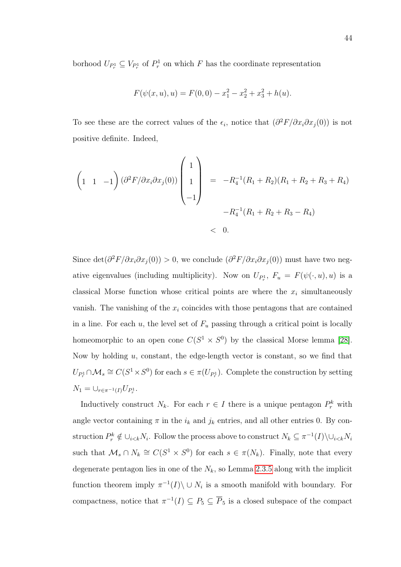borhood  $U_{P_r^1} \subseteq V_{P_r^1}$  of  $P_r^1$  on which F has the coordinate representation

$$
F(\psi(x, u), u) = F(0, 0) - x_1^2 - x_2^2 + x_3^2 + h(u).
$$

To see these are the correct values of the  $\epsilon_i$ , notice that  $(\partial^2 F/\partial x_i \partial x_j(0))$  is not positive definite. Indeed,

$$
\begin{pmatrix} 1 & 1 & -1 \end{pmatrix} (\partial^2 F / \partial x_i \partial x_j(0)) \begin{pmatrix} 1 \\ 1 \\ -1 \end{pmatrix} = -R_4^{-1} (R_1 + R_2)(R_1 + R_2 + R_3 + R_4)
$$
  
 $-R_4^{-1} (R_1 + R_2 + R_3 - R_4)$   
< 0.

Since det $(\partial^2 F/\partial x_i \partial x_j(0)) > 0$ , we conclude  $(\partial^2 F/\partial x_i \partial x_j(0))$  must have two negative eigenvalues (including multiplicity). Now on  $U_{P_r}$ ,  $F_u = F(\psi(\cdot, u), u)$  is a classical Morse function whose critical points are where the  $x_i$  simultaneously vanish. The vanishing of the  $x_i$  coincides with those pentagons that are contained in a line. For each  $u$ , the level set of  $F_u$  passing through a critical point is locally homeomorphic to an open cone  $C(S^1 \times S^0)$  by the classical Morse lemma [\[28\]](#page-85-0). Now by holding  $u$ , constant, the edge-length vector is constant, so we find that  $U_{P_r^1} \cap \mathcal{M}_s \cong C(S^1 \times S^0)$  for each  $s \in \pi(U_{P_r^1})$ . Complete the construction by setting  $N_1 = \bigcup_{r \in \pi^{-1}(I)} U_{P_r^1}.$ 

Inductively construct  $N_k$ . For each  $r \in I$  there is a unique pentagon  $P_r^k$  with angle vector containing  $\pi$  in the  $i_k$  and  $j_k$  entries, and all other entries 0. By construction  $P_r^k \notin \bigcup_{i \le k} N_i$ . Follow the process above to construct  $N_k \subseteq \pi^{-1}(I) \setminus \bigcup_{i \le k} N_i$ such that  $\mathcal{M}_s \cap N_k \cong C(S^1 \times S^0)$  for each  $s \in \pi(N_k)$ . Finally, note that every degenerate pentagon lies in one of the  $N_k$ , so Lemma [2.3.5](#page-39-0) along with the implicit function theorem imply  $\pi^{-1}(I) \setminus \cup N_i$  is a smooth manifold with boundary. For compactness, notice that  $\pi^{-1}(I) \subseteq P_5 \subseteq \overline{P}_5$  is a closed subspace of the compact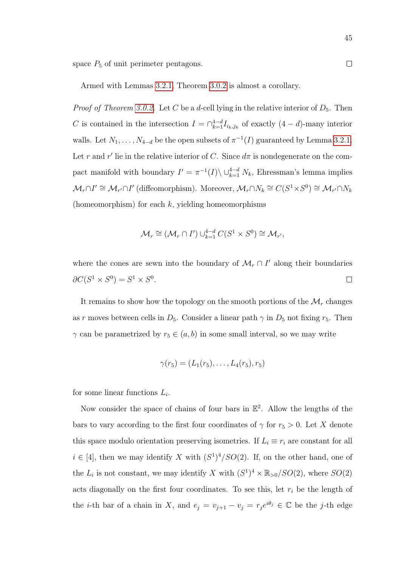space  $P_5$  of unit perimeter pentagons.

Armed with Lemmas [3.2.1,](#page-51-1) Theorem [3.0.2](#page-47-0) is almost a corollary.

*Proof of Theorem [3.0.2.](#page-47-0)* Let C be a d-cell lying in the relative interior of  $D_5$ . Then C is contained in the intersection  $I = \bigcap_{k=1}^{4-d} I_{i_k,j_k}$  of exactly  $(4-d)$ -many interior walls. Let  $N_1, \ldots, N_{4-d}$  be the open subsets of  $\pi^{-1}(I)$  guaranteed by Lemma [3.2.1.](#page-51-1) Let r and r' lie in the relative interior of C. Since  $d\pi$  is nondegenerate on the compact manifold with boundary  $I' = \pi^{-1}(I) \setminus \bigcup_{k=1}^{4-d} N_k$ , Ehressman's lemma implies  $\mathcal{M}_r \cap I' \cong \mathcal{M}_{r'} \cap I'$  (diffeomorphism). Moreover,  $\mathcal{M}_r \cap N_k \cong C(S^1 \times S^0) \cong \mathcal{M}_{r'} \cap N_k$ (homeomorphism) for each  $k$ , yielding homeomorphisms

$$
\mathcal{M}_r \cong (\mathcal{M}_r \cap I') \cup_{k=1}^{4-d} C(S^1 \times S^0) \cong \mathcal{M}_{r'},
$$

where the cones are sewn into the boundary of  $\mathcal{M}_r \cap I'$  along their boundaries  $\partial C(S^1 \times S^0) = S^1 \times S^0.$  $\Box$ 

It remains to show how the topology on the smooth portions of the  $\mathcal{M}_r$  changes as r moves between cells in  $D_5$ . Consider a linear path  $\gamma$  in  $D_5$  not fixing  $r_5$ . Then  $\gamma$  can be parametrized by  $r_5 \in (a, b)$  in some small interval, so we may write

$$
\gamma(r_5) = (L_1(r_5), \ldots, L_4(r_5), r_5)
$$

for some linear functions  $L_i$ .

Now consider the space of chains of four bars in  $\mathbb{E}^2$ . Allow the lengths of the bars to vary according to the first four coordinates of  $\gamma$  for  $r_5 > 0$ . Let X denote this space modulo orientation preserving isometries. If  $L_i \equiv r_i$  are constant for all  $i \in [4]$ , then we may identify X with  $(S^1)^4/SO(2)$ . If, on the other hand, one of the  $L_i$  is not constant, we may identify X with  $(S^1)^4 \times \mathbb{R}_{>0}/SO(2)$ , where  $SO(2)$ acts diagonally on the first four coordinates. To see this, let  $r_i$  be the length of the *i*-th bar of a chain in X, and  $e_j = v_{j+1} - v_j = r_j e^{i\theta_j} \in \mathbb{C}$  be the *j*-th edge

 $\Box$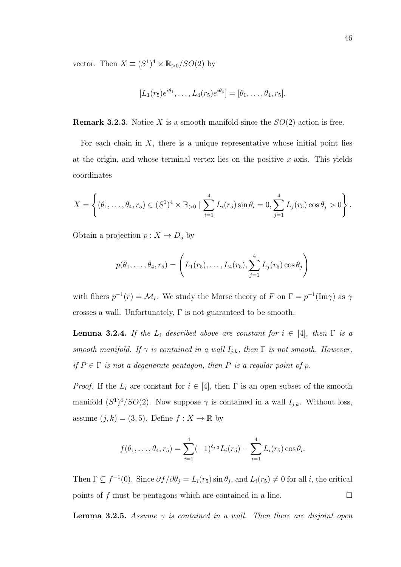vector. Then  $X \equiv (S^1)^4 \times \mathbb{R}_{>0} / SO(2)$  by

$$
[L_1(r_5)e^{i\theta_1},\ldots,L_4(r_5)e^{i\theta_4}] = [\theta_1,\ldots,\theta_4,r_5].
$$

**Remark 3.2.3.** Notice X is a smooth manifold since the  $SO(2)$ -action is free.

For each chain in  $X$ , there is a unique representative whose initial point lies at the origin, and whose terminal vertex lies on the positive  $x$ -axis. This yields coordinates

$$
X = \left\{ (\theta_1, ..., \theta_4, r_5) \in (S^1)^4 \times \mathbb{R}_{>0} \mid \sum_{i=1}^4 L_i(r_5) \sin \theta_i = 0, \sum_{j=1}^4 L_j(r_5) \cos \theta_j > 0 \right\}.
$$

Obtain a projection  $p: X \to D_5$  by

$$
p(\theta_1, ..., \theta_4, r_5) = \left(L_1(r_5), ..., L_4(r_5), \sum_{j=1}^4 L_j(r_5) \cos \theta_j\right)
$$

with fibers  $p^{-1}(r) = \mathcal{M}_r$ . We study the Morse theory of F on  $\Gamma = p^{-1}(\text{Im}\gamma)$  as  $\gamma$ crosses a wall. Unfortunately, Γ is not guaranteed to be smooth.

<span id="page-55-0"></span>**Lemma 3.2.4.** If the  $L_i$  described above are constant for  $i \in [4]$ , then  $\Gamma$  is a smooth manifold. If  $\gamma$  is contained in a wall  $I_{j,k}$ , then  $\Gamma$  is not smooth. However, if  $P \in \Gamma$  is not a degenerate pentagon, then P is a regular point of p.

*Proof.* If the  $L_i$  are constant for  $i \in [4]$ , then  $\Gamma$  is an open subset of the smooth manifold  $(S^1)^4/SO(2)$ . Now suppose  $\gamma$  is contained in a wall  $I_{j,k}$ . Without loss, assume  $(j, k) = (3, 5)$ . Define  $f : X \to \mathbb{R}$  by

$$
f(\theta_1,\ldots,\theta_4,r_5)=\sum_{i=1}^4(-1)^{\delta_{i,3}}L_i(r_5)-\sum_{i=1}^4L_i(r_5)\cos\theta_i.
$$

Then  $\Gamma \subseteq f^{-1}(0)$ . Since  $\partial f / \partial \theta_j = L_i(r_5) \sin \theta_j$ , and  $L_i(r_5) \neq 0$  for all *i*, the critical points of f must be pentagons which are contained in a line.  $\Box$ 

**Lemma 3.2.5.** Assume  $\gamma$  is contained in a wall. Then there are disjoint open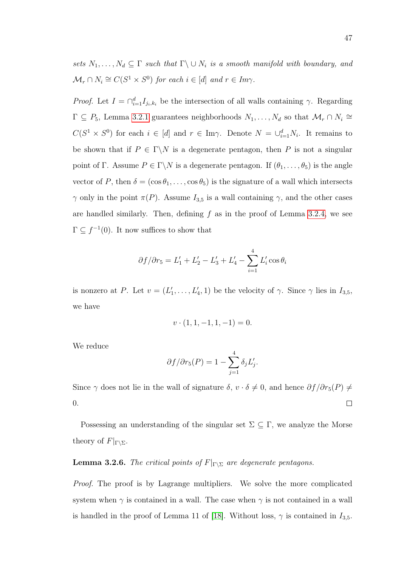sets  $N_1, \ldots, N_d \subseteq \Gamma$  such that  $\Gamma \backslash \cup N_i$  is a smooth manifold with boundary, and  $\mathcal{M}_r \cap N_i \cong C(S^1 \times S^0)$  for each  $i \in [d]$  and  $r \in Im \gamma$ .

*Proof.* Let  $I = \bigcap_{i=1}^d I_{j_i,k_i}$  be the intersection of all walls containing  $\gamma$ . Regarding  $\Gamma \subseteq P_5$ , Lemma [3.2.1](#page-51-1) guarantees neighborhoods  $N_1, \ldots, N_d$  so that  $\mathcal{M}_r \cap N_i \cong$  $C(S^1 \times S^0)$  for each  $i \in [d]$  and  $r \in \text{Im}\gamma$ . Denote  $N = \bigcup_{i=1}^d N_i$ . It remains to be shown that if  $P \in \Gamma \backslash N$  is a degenerate pentagon, then P is not a singular point of Γ. Assume  $P \in \Gamma \backslash N$  is a degenerate pentagon. If  $(\theta_1, \ldots, \theta_5)$  is the angle vector of P, then  $\delta = (\cos \theta_1, \ldots, \cos \theta_5)$  is the signature of a wall which intersects  $\gamma$  only in the point  $\pi(P)$ . Assume  $I_{3,5}$  is a wall containing  $\gamma$ , and the other cases are handled similarly. Then, defining  $f$  as in the proof of Lemma [3.2.4,](#page-55-0) we see  $\Gamma \subseteq f^{-1}(0)$ . It now suffices to show that

$$
\partial f/\partial r_5 = L_1' + L_2' - L_3' + L_4' - \sum_{i=1}^4 L_i' \cos \theta_i
$$

is nonzero at P. Let  $v = (L'_1, \ldots, L'_4, 1)$  be the velocity of  $\gamma$ . Since  $\gamma$  lies in  $I_{3,5}$ , we have

$$
v \cdot (1, 1, -1, 1, -1) = 0.
$$

We reduce

$$
\partial f/\partial r_5(P) = 1 - \sum_{j=1}^4 \delta_j L'_j.
$$

Since  $\gamma$  does not lie in the wall of signature  $\delta$ ,  $v \cdot \delta \neq 0$ , and hence  $\partial f/\partial r_5(P) \neq$ 0.  $\Box$ 

Possessing an understanding of the singular set  $\Sigma \subseteq \Gamma$ , we analyze the Morse theory of  $F|_{\Gamma\setminus\Sigma}$ .

# **Lemma 3.2.6.** The critical points of  $F|_{\Gamma \backslash \Sigma}$  are degenerate pentagons.

Proof. The proof is by Lagrange multipliers. We solve the more complicated system when  $\gamma$  is contained in a wall. The case when  $\gamma$  is not contained in a wall is handled in the proof of Lemma 11 of [\[18\]](#page-84-0). Without loss,  $\gamma$  is contained in  $I_{3,5}$ .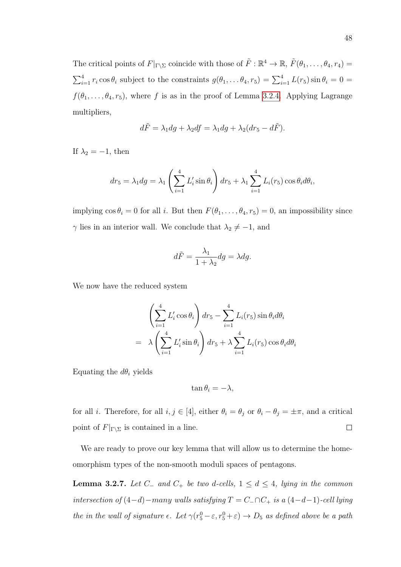The critical points of  $F|_{\Gamma\backslash\Sigma}$  coincide with those of  $\tilde{F}: \mathbb{R}^4 \to \mathbb{R}, \tilde{F}(\theta_1, \ldots, \theta_4, r_4) =$  $\sum_{i=1}^{4} r_i \cos \theta_i$  subject to the constraints  $g(\theta_1, \dots \theta_4, r_5) = \sum_{i=1}^{4} L(r_5) \sin \theta_i = 0$  $f(\theta_1, \ldots, \theta_4, r_5)$ , where f is as in the proof of Lemma [3.2.4.](#page-55-0) Applying Lagrange multipliers,

$$
d\tilde{F} = \lambda_1 dg + \lambda_2 df = \lambda_1 dg + \lambda_2 (dr_5 - d\tilde{F}).
$$

If  $\lambda_2 = -1$ , then

$$
dr_5 = \lambda_1 dg = \lambda_1 \left(\sum_{i=1}^4 L_i' \sin \theta_i\right) dr_5 + \lambda_1 \sum_{i=1}^4 L_i(r_5) \cos \theta_i d\theta_i,
$$

implying  $\cos \theta_i = 0$  for all *i*. But then  $F(\theta_1, \ldots, \theta_4, r_5) = 0$ , an impossibility since  $\gamma$  lies in an interior wall. We conclude that  $\lambda_2 \neq -1$ , and

$$
d\tilde{F} = \frac{\lambda_1}{1 + \lambda_2} dg = \lambda dg.
$$

We now have the reduced system

$$
\left(\sum_{i=1}^{4} L'_i \cos \theta_i\right) dr_5 - \sum_{i=1}^{4} L_i(r_5) \sin \theta_i d\theta_i
$$

$$
= \lambda \left(\sum_{i=1}^{4} L'_i \sin \theta_i\right) dr_5 + \lambda \sum_{i=1}^{4} L_i(r_5) \cos \theta_i d\theta_i
$$

Equating the  $d\theta_i$  yields

$$
\tan \theta_i = -\lambda,
$$

for all *i*. Therefore, for all  $i, j \in [4]$ , either  $\theta_i = \theta_j$  or  $\theta_i - \theta_j = \pm \pi$ , and a critical point of  $F|_{\Gamma\setminus\Sigma}$  is contained in a line.  $\Box$ 

We are ready to prove our key lemma that will allow us to determine the homeomorphism types of the non-smooth moduli spaces of pentagons.

<span id="page-57-0"></span>**Lemma 3.2.7.** Let  $C_$  and  $C_+$  be two d-cells,  $1 \leq d \leq 4$ , lying in the common intersection of  $(4-d)$ −many walls satisfying  $T = C_-\cap C_+$  is a  $(4-d-1)$ -cell lying the in the wall of signature  $\epsilon$ . Let  $\gamma(r_5^0 - \epsilon, r_5^0 + \epsilon) \to D_5$  as defined above be a path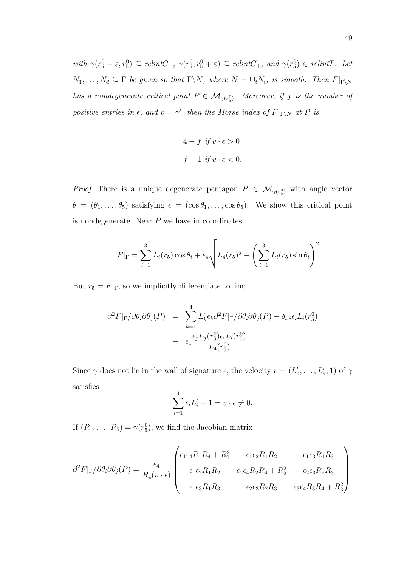with  $\gamma(r_5^0 - \varepsilon, r_5^0) \subseteq$  relint $C_-, \gamma(r_5^0, r_5^0 + \varepsilon) \subseteq$  relint $C_+,$  and  $\gamma(r_5^0) \in$  relint $T$ . Let  $N_1, \ldots, N_d \subseteq \Gamma$  be given so that  $\Gamma \backslash N$ , where  $N = \bigcup_i N_i$ , is smooth. Then  $F|_{\Gamma \backslash N}$ has a nondegenerate critical point  $P \in \mathcal{M}_{\gamma(r_5^0)}$ . Moreover, if f is the number of positive entries in  $\epsilon$ , and  $v = \gamma'$ , then the Morse index of  $F|_{\Gamma \backslash N}$  at P is

$$
4 - f \text{ if } v \cdot \epsilon > 0
$$
  

$$
f - 1 \text{ if } v \cdot \epsilon < 0.
$$

*Proof.* There is a unique degenerate pentagon  $P \in \mathcal{M}_{\gamma(r_5^0)}$  with angle vector  $\theta = (\theta_1, \ldots, \theta_5)$  satisfying  $\epsilon = (\cos \theta_1, \ldots, \cos \theta_5)$ . We show this critical point is nondegenerate. Near  $P$  we have in coordinates

$$
F|_{\Gamma} = \sum_{i=1}^{3} L_i(r_5) \cos \theta_i + \epsilon_4 \sqrt{L_4(r_5)^2 - \left(\sum_{i=1}^{3} L_i(r_5) \sin \theta_i\right)^2}.
$$

But  $r_5 = F|_{\Gamma}$ , so we implicitly differentiate to find

$$
\partial^2 F|_{\Gamma}/\partial \theta_i \partial \theta_j(P) = \sum_{k=1}^4 L'_k \epsilon_k \partial^2 F|_{\Gamma}/\partial \theta_i \partial \theta_j(P) - \delta_{i,j} \epsilon_i L_i(r_5^0)
$$

$$
- \epsilon_4 \frac{\epsilon_j L_j(r_5^0) \epsilon_i L_i(r_5^0)}{L_4(r_5^0)}.
$$

Since  $\gamma$  does not lie in the wall of signature  $\epsilon$ , the velocity  $v = (L'_1, \ldots, L'_4, 1)$  of  $\gamma$ satisfies

$$
\sum_{i=1}^{4} \epsilon_i L'_i - 1 = v \cdot \epsilon \neq 0.
$$

If  $(R_1, \ldots, R_5) = \gamma(r_5^0)$ , we find the Jacobian matrix

$$
\partial^2 F|_{\Gamma}/\partial \theta_i \partial \theta_j(P) = \frac{\epsilon_4}{R_4(v \cdot \epsilon)} \begin{pmatrix} \epsilon_1 \epsilon_4 R_1 R_4 + R_1^2 & \epsilon_1 \epsilon_2 R_1 R_2 & \epsilon_1 \epsilon_3 R_1 R_3 \\ \epsilon_1 \epsilon_2 R_1 R_2 & \epsilon_2 \epsilon_4 R_2 R_4 + R_2^2 & \epsilon_2 \epsilon_3 R_2 R_3 \\ \epsilon_1 \epsilon_3 R_1 R_3 & \epsilon_2 \epsilon_3 R_2 R_3 & \epsilon_3 \epsilon_4 R_3 R_4 + R_3^2 \end{pmatrix},
$$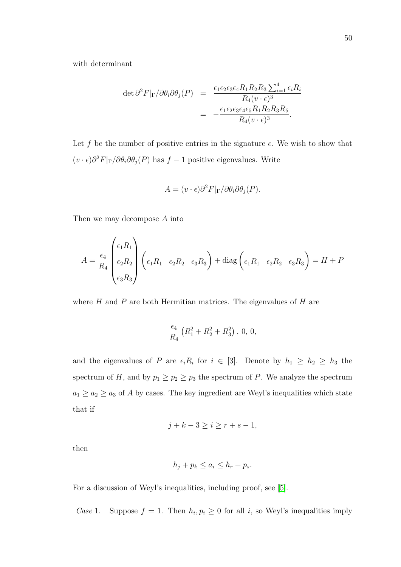with determinant

$$
\det \partial^2 F|_{\Gamma}/\partial \theta_i \partial \theta_j(P) = \frac{\epsilon_1 \epsilon_2 \epsilon_3 \epsilon_4 R_1 R_2 R_3 \sum_{i=1}^4 \epsilon_i R_i}{R_4 (v \cdot \epsilon)^3}
$$

$$
= -\frac{\epsilon_1 \epsilon_2 \epsilon_3 \epsilon_4 \epsilon_5 R_1 R_2 R_3 R_5}{R_4 (v \cdot \epsilon)^3}.
$$

Let f be the number of positive entries in the signature  $\epsilon$ . We wish to show that  $(v \cdot \epsilon) \partial^2 F |_{\Gamma} / \partial \theta_i \partial \theta_j(P)$  has  $f - 1$  positive eigenvalues. Write

$$
A = (v \cdot \epsilon) \partial^2 F|_{\Gamma} / \partial \theta_i \partial \theta_j (P).
$$

Then we may decompose A into

$$
A = \frac{\epsilon_4}{R_4} \begin{pmatrix} \epsilon_1 R_1 \\ \epsilon_2 R_2 \\ \epsilon_3 R_3 \end{pmatrix} \begin{pmatrix} \epsilon_1 R_1 & \epsilon_2 R_2 & \epsilon_3 R_3 \end{pmatrix} + \text{diag} \begin{pmatrix} \epsilon_1 R_1 & \epsilon_2 R_2 & \epsilon_3 R_3 \end{pmatrix} = H + P
$$

where  $H$  and  $P$  are both Hermitian matrices. The eigenvalues of  $H$  are

$$
\frac{\epsilon_4}{R_4}\left(R_1^2+R_2^2+R_3^2\right),\,0,\,0,
$$

and the eigenvalues of P are  $\epsilon_i R_i$  for  $i \in [3]$ . Denote by  $h_1 \geq h_2 \geq h_3$  the spectrum of H, and by  $p_1 \geq p_2 \geq p_3$  the spectrum of P. We analyze the spectrum  $a_1 \ge a_2 \ge a_3$  of A by cases. The key ingredient are Weyl's inequalities which state that if

$$
j + k - 3 \ge i \ge r + s - 1,
$$

then

$$
h_j + p_k \le a_i \le h_r + p_s.
$$

For a discussion of Weyl's inequalities, including proof, see [\[5\]](#page-82-4).

Case 1. Suppose  $f = 1$ . Then  $h_i, p_i \geq 0$  for all i, so Weyl's inequalities imply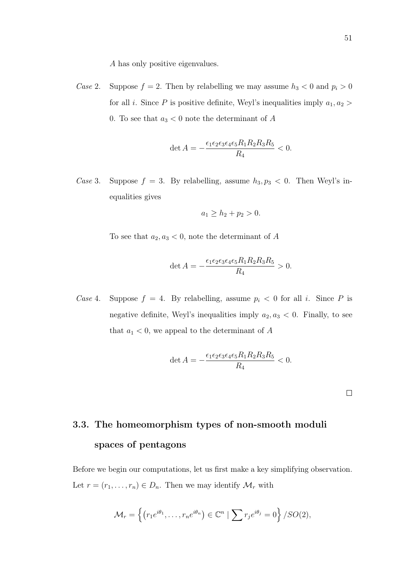A has only positive eigenvalues.

Case 2. Suppose  $f = 2$ . Then by relabelling we may assume  $h_3 < 0$  and  $p_i > 0$ for all *i*. Since  $P$  is positive definite, Weyl's inequalities imply  $a_1, a_2 >$ 0. To see that  $a_3 < 0$  note the determinant of A

$$
\det A = -\frac{\epsilon_1 \epsilon_2 \epsilon_3 \epsilon_4 \epsilon_5 R_1 R_2 R_3 R_5}{R_4} < 0.
$$

Case 3. Suppose  $f = 3$ . By relabelling, assume  $h_3, p_3 < 0$ . Then Weyl's inequalities gives

$$
a_1 \ge h_2 + p_2 > 0.
$$

To see that  $a_2, a_3 < 0$ , note the determinant of A

$$
\det A = -\frac{\epsilon_1 \epsilon_2 \epsilon_3 \epsilon_4 \epsilon_5 R_1 R_2 R_3 R_5}{R_4} > 0.
$$

Case 4. Suppose  $f = 4$ . By relabelling, assume  $p_i < 0$  for all i. Since P is negative definite, Weyl's inequalities imply  $a_2, a_3 < 0$ . Finally, to see that  $a_1 < 0$ , we appeal to the determinant of A

$$
\det A = -\frac{\epsilon_1 \epsilon_2 \epsilon_3 \epsilon_4 \epsilon_5 R_1 R_2 R_3 R_5}{R_4} < 0.
$$

# <span id="page-60-0"></span>3.3. The homeomorphism types of non-smooth moduli spaces of pentagons

Before we begin our computations, let us first make a key simplifying observation. Let  $r = (r_1, \ldots, r_n) \in D_n$ . Then we may identify  $\mathcal{M}_r$  with

$$
\mathcal{M}_r = \left\{ \left( r_1 e^{i\theta_1}, \dots, r_n e^{i\theta_n} \right) \in \mathbb{C}^n \mid \sum r_j e^{i\theta_j} = 0 \right\} / SO(2),
$$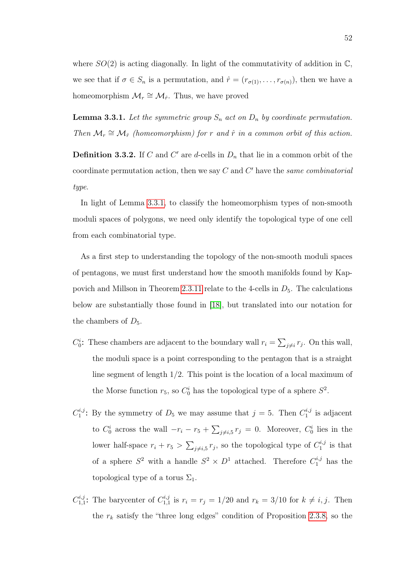where  $SO(2)$  is acting diagonally. In light of the commutativity of addition in  $\mathbb{C}$ , we see that if  $\sigma \in S_n$  is a permutation, and  $\hat{r} = (r_{\sigma(1)}, \ldots, r_{\sigma(n)})$ , then we have a homeomorphism  $\mathcal{M}_r \cong \mathcal{M}_{\hat{r}}$ . Thus, we have proved

<span id="page-61-0"></span>**Lemma 3.3.1.** Let the symmetric group  $S_n$  act on  $D_n$  by coordinate permutation. Then  $\mathcal{M}_r \cong \mathcal{M}_{\hat{r}}$  (homeomorphism) for r and  $\hat{r}$  in a common orbit of this action.

**Definition 3.3.2.** If C and C' are d-cells in  $D_n$  that lie in a common orbit of the coordinate permutation action, then we say  $C$  and  $C'$  have the same combinatorial type.

In light of Lemma [3.3.1,](#page-61-0) to classify the homeomorphism types of non-smooth moduli spaces of polygons, we need only identify the topological type of one cell from each combinatorial type.

As a first step to understanding the topology of the non-smooth moduli spaces of pentagons, we must first understand how the smooth manifolds found by Kap-povich and Millson in Theorem [2.3.11](#page-45-1) relate to the 4-cells in  $D_5$ . The calculations below are substantially those found in [\[18\]](#page-84-0), but translated into our notation for the chambers of  $D_5$ .

- $C_0^i$ : These chambers are adjacent to the boundary wall  $r_i = \sum_{j \neq i} r_j$ . On this wall, the moduli space is a point corresponding to the pentagon that is a straight line segment of length 1/2. This point is the location of a local maximum of the Morse function  $r_5$ , so  $C_0^i$  has the topological type of a sphere  $S^2$ .
- $C^{i,j}_1$  $i_j^{i,j}$ : By the symmetry of  $D_5$  we may assume that  $j = 5$ . Then  $C_1^{i,j}$  $\int_1^{a,j}$  is adjacent to  $C_0^i$  across the wall  $-r_i - r_5 + \sum_{j \neq i,5} r_j = 0$ . Moreover,  $C_0^i$  lies in the lower half-space  $r_i + r_5 > \sum_{j \neq i,5} r_j$ , so the topological type of  $C_1^{i,j}$  $\int_1^{a,j}$  is that of a sphere  $S^2$  with a handle  $S^2 \times D^1$  attached. Therefore  $C_1^{i,j}$  has the topological type of a torus  $\Sigma_1$ .
- $C^{i,j}_{1,1}$  $i,j$ : The barycenter of  $C_{1,1}^{i,j}$  $t_{1,1}^{n,j}$  is  $r_i = r_j = 1/20$  and  $r_k = 3/10$  for  $k \neq i, j$ . Then the  $r_k$  satisfy the "three long edges" condition of Proposition [2.3.8,](#page-42-0) so the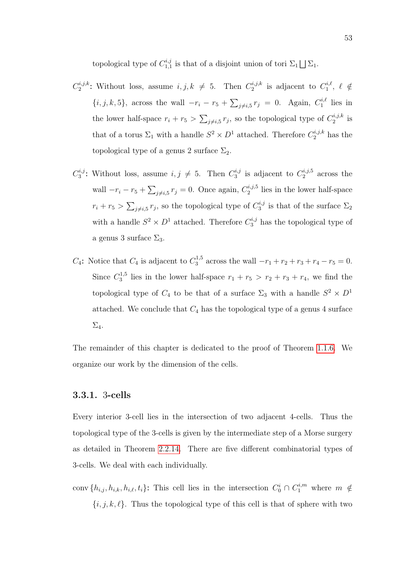topological type of  $C_{1,1}^{i,j}$  $\mathbb{Z}_{1,1}^{n,j}$  is that of a disjoint union of tori  $\Sigma_1 \bigsqcup \Sigma_1$ .

- $C_2^{i,j,k}$  $i,j,k$ : Without loss, assume  $i, j, k \neq 5$ . Then  $C_2^{i,j,k}$  $e^{i,j,k}$  is adjacent to  $C_1^{i,\ell}$  $\zeta_1^{i,\ell},\ \ell\ \notin$  $\{i, j, k, 5\}$ , across the wall  $-r_i - r_5 + \sum_{j \neq i, 5} r_j = 0$ . Again,  $C_1^{i, \ell}$  $\int_1^{\ell,\ell}$  lies in the lower half-space  $r_i + r_5 > \sum_{j \neq i,5} r_j$ , so the topological type of  $C_2^{i,j,k}$  $i^{a,j,k}_2$  is that of a torus  $\Sigma_1$  with a handle  $S^2 \times D^1$  attached. Therefore  $C_2^{i,j,k}$  has the topological type of a genus 2 surface  $\Sigma_2$ .
- $C_3^{i,j}$  $i,j$ : Without loss, assume  $i, j \neq 5$ . Then  $C_3^{i,j}$  $i_j^{i,j}$  is adjacent to  $C_2^{i,j,5}$  $i^{a,j,5}$  across the wall  $-r_i - r_5 + \sum_{j \neq i,5} r_j = 0$ . Once again,  $C_2^{i,j,5}$  $i<sub>2</sub><sup>a, j,5</sup>$  lies in the lower half-space  $r_i + r_5 > \sum_{j \neq i,5} r_j$ , so the topological type of  $C_3^{i,j}$  $i_3^{\prime\prime}$  is that of the surface  $\Sigma_2$ with a handle  $S^2 \times D^1$  attached. Therefore  $C_3^{i,j}$  has the topological type of a genus 3 surface  $\Sigma_3$ .
- $C_4$ : Notice that  $C_4$  is adjacent to  $C_3^{1,5}$  $x_3^{(1,5)}$  across the wall  $-r_1 + r_2 + r_3 + r_4 - r_5 = 0$ . Since  $C_3^{1,5}$  $s_3^{(1,5)}$  lies in the lower half-space  $r_1 + r_5 > r_2 + r_3 + r_4$ , we find the topological type of  $C_4$  to be that of a surface  $\Sigma_3$  with a handle  $S^2 \times D^1$ attached. We conclude that  $C_4$  has the topological type of a genus 4 surface  $\Sigma_4$ .

The remainder of this chapter is dedicated to the proof of Theorem [1.1.6.](#page-13-1) We organize our work by the dimension of the cells.

## 3.3.1. 3-cells

Every interior 3-cell lies in the intersection of two adjacent 4-cells. Thus the topological type of the 3-cells is given by the intermediate step of a Morse surgery as detailed in Theorem [2.2.14.](#page-37-0) There are five different combinatorial types of 3-cells. We deal with each individually.

conv  $\{h_{i,j}, h_{i,k}, h_{i,\ell}, t_i\}$ : This cell lies in the intersection  $C_0^i \cap C_1^{i,m}$  where  $m \notin$  ${i, j, k, \ell}$ . Thus the topological type of this cell is that of sphere with two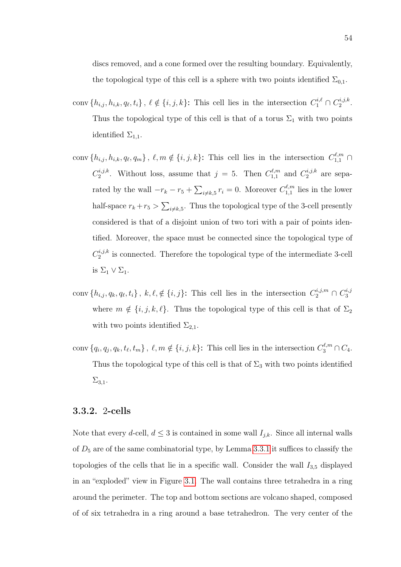- conv $\{h_{i,j}, h_{i,k}, q_\ell, t_i\}, \ell \notin \{i, j, k\}$ : This cell lies in the intersection  $C_1^{i,\ell} \cap C_2^{i,j,k}$  $i^{j,j,k}$ . Thus the topological type of this cell is that of a torus  $\Sigma_1$  with two points identified  $\Sigma_{1,1}$ .
- conv  $\{h_{i,j}, h_{i,k}, q_\ell, q_m\}$ ,  $\ell, m \notin \{i, j, k\}$ : This cell lies in the intersection  $C_{1,1}^{\ell,m}$  $C_2^{i,j,k}$  $c_{2}^{i,j,k}$ . Without loss, assume that  $j = 5$ . Then  $C_{1,1}^{\ell,m}$  $\binom{l,m}{1,1}$  and  $C_2^{i,j,k}$  $n^{a,j,k}$  are separated by the wall  $-r_k - r_5 + \sum_{i \neq k,5} r_i = 0$ . Moreover  $C_{1,1}^{\ell,m}$  $\int_{1,1}^{\ell,m}$  lies in the lower half-space  $r_k + r_5 > \sum_{i \neq k,5}$ . Thus the topological type of the 3-cell presently considered is that of a disjoint union of two tori with a pair of points identified. Moreover, the space must be connected since the topological type of  $C_2^{i,j,k}$ <sup>*n*,*j*, $\kappa$ </sup> is connected. Therefore the topological type of the intermediate 3-cell is  $\Sigma_1 \vee \Sigma_1$ .
- conv  $\{h_{i,j}, q_k, q_\ell, t_i\}$ ,  $k, \ell, \notin \{i, j\}$ : This cell lies in the intersection  $C_2^{i,j,m} \cap C_3^{i,j}$ 3 where  $m \notin \{i, j, k, \ell\}$ . Thus the topological type of this cell is that of  $\Sigma_2$ with two points identified  $\Sigma_{2,1}$ .
- conv  $\{q_i, q_j, q_k, t_\ell, t_m\}$ ,  $\ell, m \notin \{i, j, k\}$ : This cell lies in the intersection  $C_3^{\ell,m} \cap C_4$ . Thus the topological type of this cell is that of  $\Sigma_3$  with two points identified  $\Sigma_{3,1}$ .

### 3.3.2. 2-cells

Note that every d-cell,  $d \leq 3$  is contained in some wall  $I_{j,k}$ . Since all internal walls of  $D_5$  are of the same combinatorial type, by Lemma [3.3.1](#page-61-0) it suffices to classify the topologies of the cells that lie in a specific wall. Consider the wall  $I_{3,5}$  displayed in an "exploded" view in Figure [3.1.](#page-64-0) The wall contains three tetrahedra in a ring around the perimeter. The top and bottom sections are volcano shaped, composed of of six tetrahedra in a ring around a base tetrahedron. The very center of the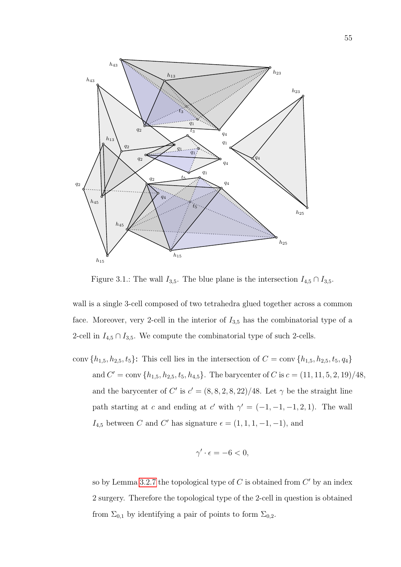

<span id="page-64-0"></span>Figure 3.1.: The wall  $I_{3,5}$ . The blue plane is the intersection  $I_{4,5} \cap I_{3,5}$ .

wall is a single 3-cell composed of two tetrahedra glued together across a common face. Moreover, very 2-cell in the interior of  $I_{3,5}$  has the combinatorial type of a 2-cell in  $I_{4,5} \cap I_{3,5}$ . We compute the combinatorial type of such 2-cells.

conv  $\{h_{1,5}, h_{2,5}, t_5\}$ : This cell lies in the intersection of  $C = \text{conv }\{h_{1,5}, h_{2,5}, t_5, q_4\}$ and  $C' = \text{conv} \{h_{1,5}, h_{2,5}, t_5, h_{4,5}\}.$  The barycenter of C is  $c = (11, 11, 5, 2, 19)/48$ , and the barycenter of C' is  $c' = (8, 8, 2, 8, 22)/48$ . Let  $\gamma$  be the straight line path starting at c and ending at c' with  $\gamma' = (-1, -1, -1, 2, 1)$ . The wall  $I_{4,5}$  between C and C' has signature  $\epsilon = (1, 1, 1, -1, -1)$ , and

$$
\gamma' \cdot \epsilon = -6 < 0,
$$

so by Lemma [3.2.7](#page-57-0) the topological type of  $C$  is obtained from  $C'$  by an index 2 surgery. Therefore the topological type of the 2-cell in question is obtained from  $\Sigma_{0,1}$  by identifying a pair of points to form  $\Sigma_{0,2}$ .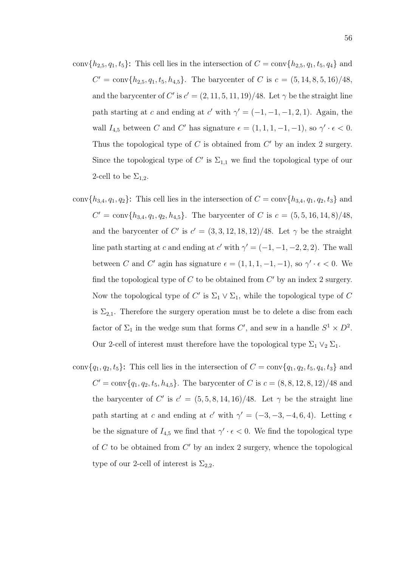- conv $\{h_{2,5}, q_1, t_5\}$ : This cell lies in the intersection of  $C = \text{conv}\{h_{2,5}, q_1, t_5, q_4\}$  and  $C' = \text{conv}\{h_{2,5}, q_1, t_5, h_{4,5}\}.$  The barycenter of C is  $c = (5, 14, 8, 5, 16)/48$ , and the barycenter of C' is  $c' = (2, 11, 5, 11, 19)/48$ . Let  $\gamma$  be the straight line path starting at c and ending at c' with  $\gamma' = (-1, -1, -1, 2, 1)$ . Again, the wall  $I_{4,5}$  between C and C' has signature  $\epsilon = (1, 1, 1, -1, -1)$ , so  $\gamma' \cdot \epsilon < 0$ . Thus the topological type of  $C$  is obtained from  $C'$  by an index 2 surgery. Since the topological type of C' is  $\Sigma_{1,1}$  we find the topological type of our 2-cell to be  $\Sigma_{1,2}$ .
- conv $\{h_{3,4}, q_1, q_2\}$ : This cell lies in the intersection of  $C = \text{conv}\{h_{3,4}, q_1, q_2, t_3\}$  and  $C' = \text{conv}\{h_{3,4}, q_1, q_2, h_{4,5}\}.$  The barycenter of C is  $c = (5, 5, 16, 14, 8)/48$ , and the barycenter of C' is  $c' = (3, 3, 12, 18, 12)/48$ . Let  $\gamma$  be the straight line path starting at c and ending at c' with  $\gamma' = (-1, -1, -2, 2, 2)$ . The wall between C and C' agin has signature  $\epsilon = (1, 1, 1, -1, -1)$ , so  $\gamma' \cdot \epsilon < 0$ . We find the topological type of  $C$  to be obtained from  $C'$  by an index 2 surgery. Now the topological type of  $C'$  is  $\Sigma_1 \vee \Sigma_1$ , while the topological type of C is  $\Sigma_{2,1}$ . Therefore the surgery operation must be to delete a disc from each factor of  $\Sigma_1$  in the wedge sum that forms C', and sew in a handle  $S^1 \times D^2$ . Our 2-cell of interest must therefore have the topological type  $\Sigma_1 \vee_2 \Sigma_1$ .
- conv $\{q_1, q_2, t_5\}$ : This cell lies in the intersection of  $C = \text{conv}\{q_1, q_2, t_5, q_4, t_3\}$  and  $C' = \text{conv}\{q_1, q_2, t_5, h_{4,5}\}.$  The barycenter of C is  $c = (8, 8, 12, 8, 12)/48$  and the barycenter of C' is  $c' = (5, 5, 8, 14, 16)/48$ . Let  $\gamma$  be the straight line path starting at c and ending at c' with  $\gamma' = (-3, -3, -4, 6, 4)$ . Letting  $\epsilon$ be the signature of  $I_{4,5}$  we find that  $\gamma' \cdot \epsilon < 0$ . We find the topological type of  $C$  to be obtained from  $C'$  by an index 2 surgery, whence the topological type of our 2-cell of interest is  $\Sigma_{2,2}$ .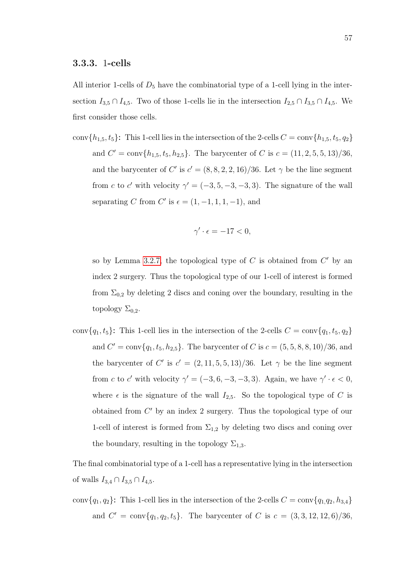All interior 1-cells of  $D_5$  have the combinatorial type of a 1-cell lying in the intersection  $I_{3,5} \cap I_{4,5}$ . Two of those 1-cells lie in the intersection  $I_{2,5} \cap I_{3,5} \cap I_{4,5}$ . We first consider those cells.

conv $\{h_{1,5}, t_5\}$ : This 1-cell lies in the intersection of the 2-cells  $C = \text{conv}\{h_{1,5}, t_5, q_2\}$ and  $C' = \text{conv}\{h_{1,5}, t_5, h_{2,5}\}.$  The barycenter of C is  $c = (11, 2, 5, 5, 13)/36$ , and the barycenter of C' is  $c' = (8, 8, 2, 2, 16)/36$ . Let  $\gamma$  be the line segment from c to c' with velocity  $\gamma' = (-3, 5, -3, -3, 3)$ . The signature of the wall separating C from C' is  $\epsilon = (1, -1, 1, 1, -1)$ , and

$$
\gamma' \cdot \epsilon = -17 < 0,
$$

so by Lemma [3.2.7,](#page-57-0) the topological type of  $C$  is obtained from  $C'$  by an index 2 surgery. Thus the topological type of our 1-cell of interest is formed from  $\Sigma_{0,2}$  by deleting 2 discs and coning over the boundary, resulting in the topology  $\Sigma_{0,2}$ .

conv ${q_1, t_5}$ : This 1-cell lies in the intersection of the 2-cells  $C = \text{conv}{q_1, t_5, q_2}$ and  $C' = \text{conv}\{q_1, t_5, h_{2,5}\}.$  The barycenter of C is  $c = (5, 5, 8, 8, 10)/36$ , and the barycenter of C' is  $c' = (2, 11, 5, 5, 13)/36$ . Let  $\gamma$  be the line segment from c to c' with velocity  $\gamma' = (-3, 6, -3, -3, 3)$ . Again, we have  $\gamma' \cdot \epsilon < 0$ , where  $\epsilon$  is the signature of the wall  $I_{2,5}$ . So the topological type of C is obtained from  $C'$  by an index 2 surgery. Thus the topological type of our 1-cell of interest is formed from  $\Sigma_{1,2}$  by deleting two discs and coning over the boundary, resulting in the topology  $\Sigma_{1,3}$ .

The final combinatorial type of a 1-cell has a representative lying in the intersection of walls  $I_{3,4} \cap I_{3,5} \cap I_{4,5}$ .

conv $\{q_1, q_2\}$ : This 1-cell lies in the intersection of the 2-cells  $C = \text{conv}\{q_1, q_2, h_{3,4}\}$ and  $C' = \text{conv}\{q_1, q_2, t_5\}$ . The barycenter of C is  $c = (3, 3, 12, 12, 6)/36$ ,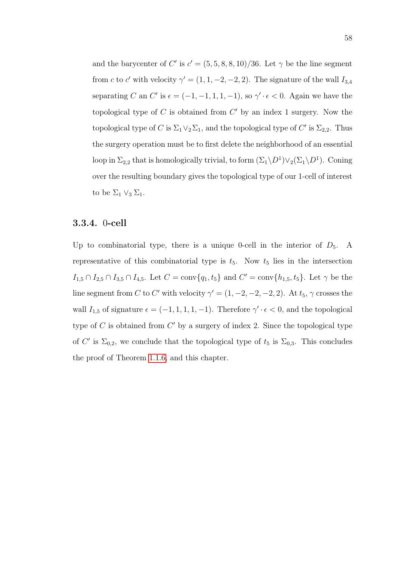and the barycenter of C' is  $c' = (5, 5, 8, 8, 10)/36$ . Let  $\gamma$  be the line segment from c to c' with velocity  $\gamma' = (1, 1, -2, -2, 2)$ . The signature of the wall  $I_{3,4}$ separating C an C' is  $\epsilon = (-1, -1, 1, 1, -1)$ , so  $\gamma' \cdot \epsilon < 0$ . Again we have the topological type of  $C$  is obtained from  $C'$  by an index 1 surgery. Now the topological type of C is  $\Sigma_1 \vee_2 \Sigma_1$ , and the topological type of C' is  $\Sigma_{2,2}$ . Thus the surgery operation must be to first delete the neighborhood of an essential loop in  $\Sigma_{2,2}$  that is homologically trivial, to form  $(\Sigma_1 \backslash D^1) \vee_2 (\Sigma_1 \backslash D^1)$ . Coning over the resulting boundary gives the topological type of our 1-cell of interest to be  $\Sigma_1 \vee_3 \Sigma_1$ .

### 3.3.4. 0-cell

Up to combinatorial type, there is a unique 0-cell in the interior of  $D_5$ . A representative of this combinatorial type is  $t_5$ . Now  $t_5$  lies in the intersection  $I_{1,5} \cap I_{2,5} \cap I_{3,5} \cap I_{4,5}$ . Let  $C = \text{conv}\{q_1, t_5\}$  and  $C' = \text{conv}\{h_{1,5}, t_5\}$ . Let  $\gamma$  be the line segment from C to C' with velocity  $\gamma' = (1, -2, -2, -2, 2)$ . At  $t_5$ ,  $\gamma$  crosses the wall  $I_{1,5}$  of signature  $\epsilon = (-1, 1, 1, 1, -1)$ . Therefore  $\gamma' \cdot \epsilon < 0$ , and the topological type of  $C$  is obtained from  $C'$  by a surgery of index 2. Since the topological type of C' is  $\Sigma_{0,2}$ , we conclude that the topological type of  $t_5$  is  $\Sigma_{0,3}$ . This concludes the proof of Theorem [1.1.6,](#page-13-1) and this chapter.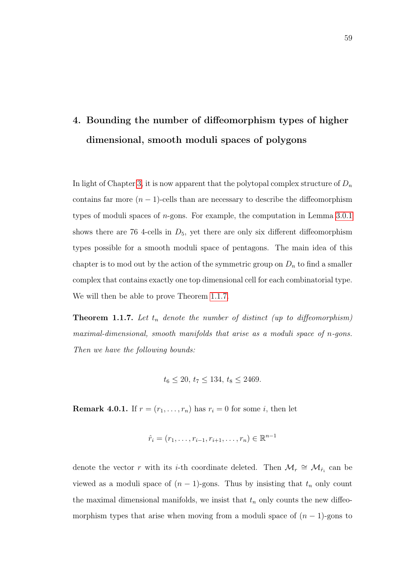# <span id="page-68-0"></span>4. Bounding the number of diffeomorphism types of higher dimensional, smooth moduli spaces of polygons

In light of Chapter [3,](#page-46-0) it is now apparent that the polytopal complex structure of  $D_n$ contains far more  $(n - 1)$ -cells than are necessary to describe the diffeomorphism types of moduli spaces of n-gons. For example, the computation in Lemma [3.0.1](#page-46-1) shows there are 76 4-cells in  $D_5$ , yet there are only six different diffeomorphism types possible for a smooth moduli space of pentagons. The main idea of this chapter is to mod out by the action of the symmetric group on  $D_n$  to find a smaller complex that contains exactly one top dimensional cell for each combinatorial type. We will then be able to prove Theorem [1.1.7.](#page-15-0)

**Theorem 1.1.7.** Let  $t_n$  denote the number of distinct (up to diffeomorphism) maximal-dimensional, smooth manifolds that arise as a moduli space of n-gons. Then we have the following bounds:

$$
t_6 \le 20, t_7 \le 134, t_8 \le 2469.
$$

**Remark 4.0.1.** If  $r = (r_1, \ldots, r_n)$  has  $r_i = 0$  for some *i*, then let

$$
\hat{r}_i = (r_1, \ldots, r_{i-1}, r_{i+1}, \ldots, r_n) \in \mathbb{R}^{n-1}
$$

denote the vector r with its *i*-th coordinate deleted. Then  $\mathcal{M}_r \cong \mathcal{M}_{\hat{r}_i}$  can be viewed as a moduli space of  $(n - 1)$ -gons. Thus by insisting that  $t_n$  only count the maximal dimensional manifolds, we insist that  $t_n$  only counts the new diffeomorphism types that arise when moving from a moduli space of  $(n-1)$ -gons to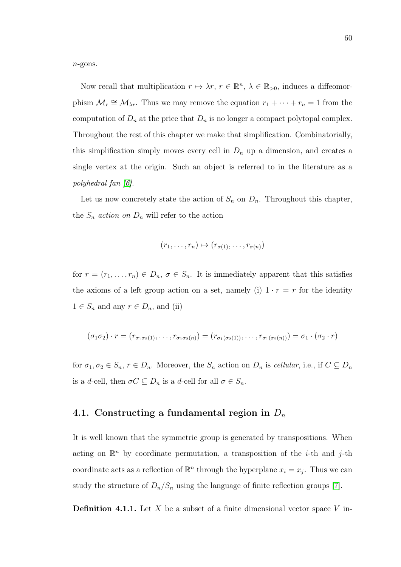n-gons.

Now recall that multiplication  $r \mapsto \lambda r$ ,  $r \in \mathbb{R}^n$ ,  $\lambda \in \mathbb{R}_{>0}$ , induces a diffeomorphism  $\mathcal{M}_r \cong \mathcal{M}_{\lambda r}$ . Thus we may remove the equation  $r_1 + \cdots + r_n = 1$  from the computation of  $D_n$  at the price that  $D_n$  is no longer a compact polytopal complex. Throughout the rest of this chapter we make that simplification. Combinatorially, this simplification simply moves every cell in  $D_n$  up a dimension, and creates a single vertex at the origin. Such an object is referred to in the literature as a polyhedral fan [\[6\]](#page-82-5).

Let us now concretely state the action of  $S_n$  on  $D_n$ . Throughout this chapter, the  $S_n$  action on  $D_n$  will refer to the action

$$
(r_1,\ldots,r_n)\mapsto (r_{\sigma(1)},\ldots,r_{\sigma(n)})
$$

for  $r = (r_1, \ldots, r_n) \in D_n$ ,  $\sigma \in S_n$ . It is immediately apparent that this satisfies the axioms of a left group action on a set, namely (i)  $1 \cdot r = r$  for the identity  $1 \in S_n$  and any  $r \in D_n$ , and (ii)

$$
(\sigma_1 \sigma_2) \cdot r = (r_{\sigma_1 \sigma_2(1)}, \dots, r_{\sigma_1 \sigma_2(n)}) = (r_{\sigma_1(\sigma_2(1))}, \dots, r_{\sigma_1(\sigma_2(n))}) = \sigma_1 \cdot (\sigma_2 \cdot r)
$$

for  $\sigma_1, \sigma_2 \in S_n$ ,  $r \in D_n$ . Moreover, the  $S_n$  action on  $D_n$  is cellular, i.e., if  $C \subseteq D_n$ is a d-cell, then  $\sigma C \subseteq D_n$  is a d-cell for all  $\sigma \in S_n$ .

# 4.1. Constructing a fundamental region in  $D_n$

It is well known that the symmetric group is generated by transpositions. When acting on  $\mathbb{R}^n$  by coordinate permutation, a transposition of the *i*-th and *j*-th coordinate acts as a reflection of  $\mathbb{R}^n$  through the hyperplane  $x_i = x_j$ . Thus we can study the structure of  $D_n/S_n$  using the language of finite reflection groups [\[7\]](#page-82-6).

**Definition 4.1.1.** Let X be a subset of a finite dimensional vector space V in-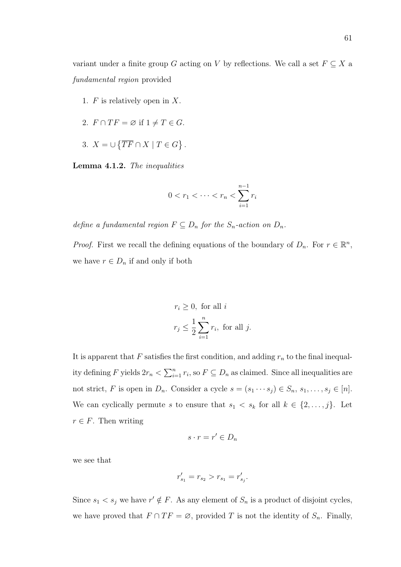variant under a finite group G acting on V by reflections. We call a set  $F \subseteq X$  a fundamental region provided

- 1.  $F$  is relatively open in  $X$ .
- 2.  $F \cap TF = \emptyset$  if  $1 \neq T \in G$ .
- 3.  $X = \bigcup \{ \overline{TF} \cap X \mid T \in G \}$ .

Lemma 4.1.2. The inequalities

$$
0 < r_1 < \dots < r_n < \sum_{i=1}^{n-1} r_i
$$

define a fundamental region  $F \subseteq D_n$  for the  $S_n$ -action on  $D_n$ .

*Proof.* First we recall the defining equations of the boundary of  $D_n$ . For  $r \in \mathbb{R}^n$ , we have  $r \in D_n$  if and only if both

$$
r_i \ge 0
$$
, for all  $i$   
 $r_j \le \frac{1}{2} \sum_{i=1}^n r_i$ , for all  $j$ .

It is apparent that  $F$  satisfies the first condition, and adding  $r_n$  to the final inequality defining F yields  $2r_n < \sum_{i=1}^n r_i$ , so  $F \subseteq D_n$  as claimed. Since all inequalities are not strict, F is open in  $D_n$ . Consider a cycle  $s = (s_1 \cdots s_j) \in S_n$ ,  $s_1, \ldots, s_j \in [n]$ . We can cyclically permute s to ensure that  $s_1 < s_k$  for all  $k \in \{2, \ldots, j\}$ . Let  $r \in F$ . Then writing

$$
s \cdot r = r' \in D_n
$$

we see that

$$
r'_{s_1} = r_{s_2} > r_{s_1} = r'_{s_j}.
$$

Since  $s_1 < s_j$  we have  $r' \notin F$ . As any element of  $S_n$  is a product of disjoint cycles, we have proved that  $F \cap TF = \emptyset$ , provided T is not the identity of  $S_n$ . Finally,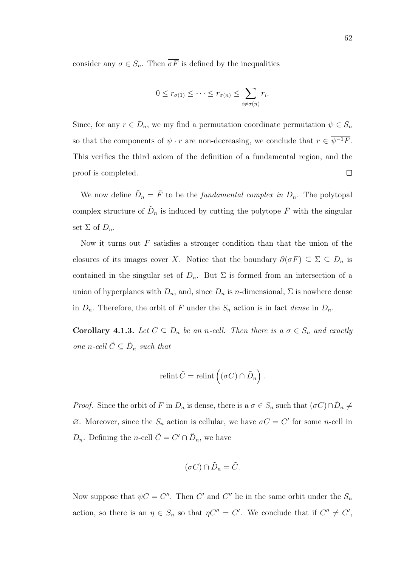consider any  $\sigma \in S_n$ . Then  $\overline{\sigma F}$  is defined by the inequalities

$$
0 \leq r_{\sigma(1)} \leq \cdots \leq r_{\sigma(n)} \leq \sum_{i \neq \sigma(n)} r_i.
$$

Since, for any  $r \in D_n$ , we my find a permutation coordinate permutation  $\psi \in S_n$ so that the components of  $\psi \cdot r$  are non-decreasing, we conclude that  $r \in \overline{\psi^{-1}F}$ . This verifies the third axiom of the definition of a fundamental region, and the  $\Box$ proof is completed.

We now define  $\tilde{D}_n = \bar{F}$  to be the *fundamental complex in*  $D_n$ . The polytopal complex structure of  $\tilde{D}_n$  is induced by cutting the polytope  $\bar{F}$  with the singular set  $\Sigma$  of  $D_n$ .

Now it turns out  $F$  satisfies a stronger condition than that the union of the closures of its images cover X. Notice that the boundary  $\partial(\sigma F) \subseteq \Sigma \subseteq D_n$  is contained in the singular set of  $D_n$ . But  $\Sigma$  is formed from an intersection of a union of hyperplanes with  $D_n$ , and, since  $D_n$  is n-dimensional,  $\Sigma$  is nowhere dense in  $D_n$ . Therefore, the orbit of F under the  $S_n$  action is in fact dense in  $D_n$ .

Corollary 4.1.3. Let  $C \subseteq D_n$  be an n-cell. Then there is a  $\sigma \in S_n$  and exactly one n-cell  $\tilde{C} \subseteq \tilde{D}_n$  such that

$$
relint \tilde{C} = relint \left( (\sigma C) \cap \tilde{D}_n \right).
$$

*Proof.* Since the orbit of F in  $D_n$  is dense, there is a  $\sigma \in S_n$  such that  $(\sigma C) \cap \tilde{D}_n \neq$  $\emptyset$ . Moreover, since the  $S_n$  action is cellular, we have  $\sigma C = C'$  for some *n*-cell in  $D_n$ . Defining the *n*-cell  $\tilde{C} = C' \cap \tilde{D}_n$ , we have

$$
(\sigma C) \cap \tilde{D}_n = \tilde{C}.
$$

Now suppose that  $\psi C = C''$ . Then C' and C'' lie in the same orbit under the  $S_n$ action, so there is an  $\eta \in S_n$  so that  $\eta C'' = C'$ . We conclude that if  $C'' \neq C'$ ,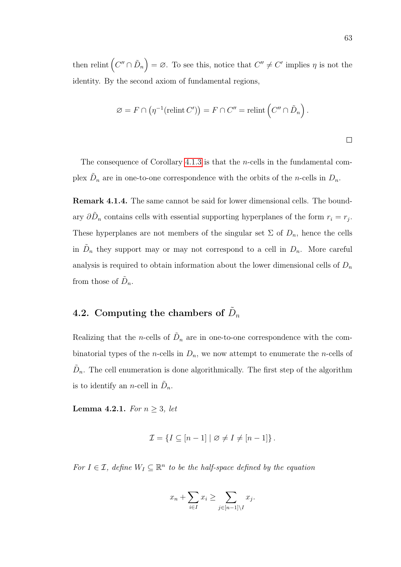then relint  $(C'' \cap \tilde{D}_n) = \varnothing$ . To see this, notice that  $C'' \neq C'$  implies  $\eta$  is not the identity. By the second axiom of fundamental regions,

$$
\varnothing = F \cap (\eta^{-1}(\text{relint } C')) = F \cap C'' = \text{relint} \left( C'' \cap \tilde{D}_n \right).
$$

The consequence of Corollary [4.1.3](#page-71-0) is that the n-cells in the fundamental complex  $\tilde{D}_n$  are in one-to-one correspondence with the orbits of the *n*-cells in  $D_n$ .

Remark 4.1.4. The same cannot be said for lower dimensional cells. The boundary  $\partial \tilde{D}_n$  contains cells with essential supporting hyperplanes of the form  $r_i = r_j$ . These hyperplanes are not members of the singular set  $\Sigma$  of  $D_n$ , hence the cells in  $\tilde{D}_n$  they support may or may not correspond to a cell in  $D_n$ . More careful analysis is required to obtain information about the lower dimensional cells of  $D_n$ from those of  $\tilde{D}_n$ .

# 4.2. Computing the chambers of  $\tilde{D}_n$

Realizing that the *n*-cells of  $\tilde{D}_n$  are in one-to-one correspondence with the combinatorial types of the *n*-cells in  $D_n$ , we now attempt to enumerate the *n*-cells of  $\tilde{D}_n$ . The cell enumeration is done algorithmically. The first step of the algorithm is to identify an *n*-cell in  $\tilde{D}_n$ .

<span id="page-72-0"></span>Lemma 4.2.1. For  $n \geq 3$ , let

$$
\mathcal{I} = \{ I \subseteq [n-1] \mid \varnothing \neq I \neq [n-1] \}.
$$

For  $I \in \mathcal{I}$ , define  $W_I \subseteq \mathbb{R}^n$  to be the half-space defined by the equation

$$
x_n + \sum_{i \in I} x_i \ge \sum_{j \in [n-1] \setminus I} x_j.
$$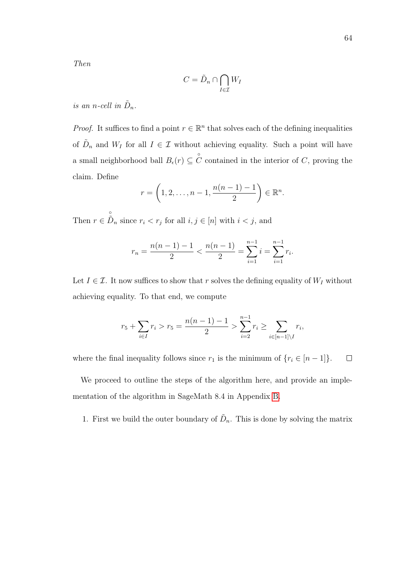Then

$$
C = \tilde{D}_n \cap \bigcap_{I \in \mathcal{I}} W_I
$$

is an n-cell in  $\tilde{D}_n$ .

*Proof.* It suffices to find a point  $r \in \mathbb{R}^n$  that solves each of the defining inequalities of  $\tilde{D}_n$  and  $W_I$  for all  $I \in \mathcal{I}$  without achieving equality. Such a point will have a small neighborhood ball  $B_{\epsilon}(r) \subseteq \overset{\circ}{C}$  contained in the interior of C, proving the claim. Define

$$
r = \left(1, 2, ..., n-1, \frac{n(n-1)-1}{2}\right) \in \mathbb{R}^n.
$$

Then  $r \in$  $\overset{\circ}{\tilde{D}}_n$  since  $r_i < r_j$  for all  $i, j \in [n]$  with  $i < j$ , and

$$
r_n = \frac{n(n-1)-1}{2} < \frac{n(n-1)}{2} = \sum_{i=1}^{n-1} i = \sum_{i=1}^{n-1} r_i.
$$

Let  $I \in \mathcal{I}$ . It now suffices to show that r solves the defining equality of  $W_I$  without achieving equality. To that end, we compute

$$
r_5 + \sum_{i \in I} r_i > r_5 = \frac{n(n-1)-1}{2} > \sum_{i=2}^{n-1} r_i \ge \sum_{i \in [n-1] \setminus I} r_i,
$$

where the final inequality follows since  $r_1$  is the minimum of  $\{r_i \in [n-1]\}.$  $\Box$ 

We proceed to outline the steps of the algorithm here, and provide an implementation of the algorithm in SageMath 8.4 in Appendix [B.](#page-99-0)

1. First we build the outer boundary of  $\tilde{D}_n$ . This is done by solving the matrix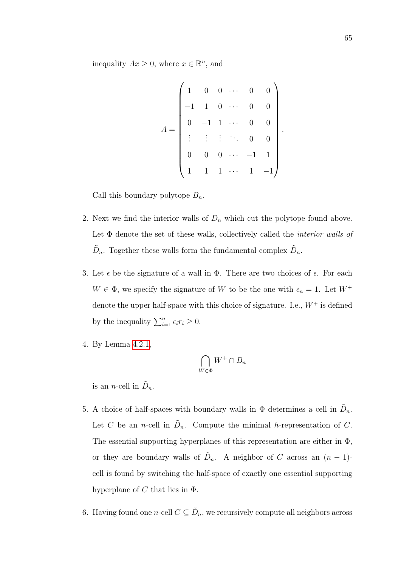inequality  $Ax \geq 0$ , where  $x \in \mathbb{R}^n$ , and

$$
A = \begin{pmatrix} 1 & 0 & 0 & \cdots & 0 & 0 \\ -1 & 1 & 0 & \cdots & 0 & 0 \\ 0 & -1 & 1 & \cdots & 0 & 0 \\ \vdots & \vdots & \vdots & \ddots & 0 & 0 \\ 0 & 0 & 0 & \cdots & -1 & 1 \\ 1 & 1 & 1 & \cdots & 1 & -1 \end{pmatrix}.
$$

Call this boundary polytope  $B_n$ .

- 2. Next we find the interior walls of  $D_n$  which cut the polytope found above. Let  $\Phi$  denote the set of these walls, collectively called the *interior walls of*  $\tilde{D}_n$ . Together these walls form the fundamental complex  $\tilde{D}_n$ .
- 3. Let  $\epsilon$  be the signature of a wall in  $\Phi$ . There are two choices of  $\epsilon$ . For each  $W \in \Phi$ , we specify the signature of W to be the one with  $\epsilon_n = 1$ . Let  $W^+$ denote the upper half-space with this choice of signature. I.e.,  $W^+$  is defined by the inequality  $\sum_{i=1}^{n} \epsilon_i r_i \geq 0$ .
- 4. By Lemma [4.2.1,](#page-72-0)

$$
\bigcap_{W \in \Phi} W^+ \cap B_n
$$

is an *n*-cell in  $\tilde{D}_n$ .

- 5. A choice of half-spaces with boundary walls in  $\Phi$  determines a cell in  $\tilde{D}_n$ . Let C be an *n*-cell in  $\tilde{D}_n$ . Compute the minimal *h*-representation of C. The essential supporting hyperplanes of this representation are either in  $\Phi$ , or they are boundary walls of  $\tilde{D}_n$ . A neighbor of C across an  $(n-1)$ cell is found by switching the half-space of exactly one essential supporting hyperplane of C that lies in  $\Phi$ .
- 6. Having found one *n*-cell  $C \subseteq \tilde{D}_n$ , we recursively compute all neighbors across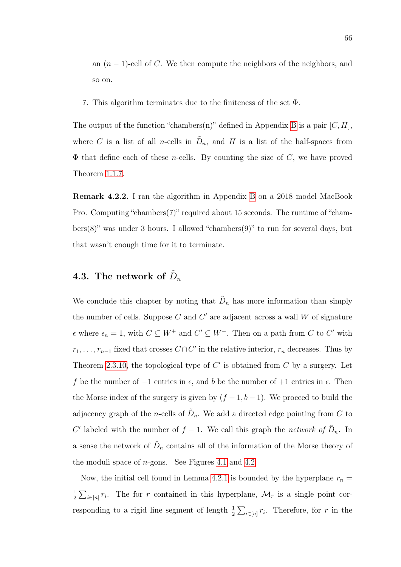an  $(n-1)$ -cell of C. We then compute the neighbors of the neighbors, and so on.

7. This algorithm terminates due to the finiteness of the set Φ.

The output of the function "chambers(n)" defined in Appendix [B](#page-99-0) is a pair  $[C, H]$ , where C is a list of all n-cells in  $\tilde{D}_n$ , and H is a list of the half-spaces from  $\Phi$  that define each of these *n*-cells. By counting the size of C, we have proved Theorem [1.1.7.](#page-15-0)

Remark 4.2.2. I ran the algorithm in Appendix [B](#page-99-0) on a 2018 model MacBook Pro. Computing "chambers(7)" required about 15 seconds. The runtime of "chambers $(8)$ " was under 3 hours. I allowed "chambers $(9)$ " to run for several days, but that wasn't enough time for it to terminate.

# <span id="page-75-0"></span>4.3. The network of  $\tilde{D}_n$

We conclude this chapter by noting that  $\tilde{D}_n$  has more information than simply the number of cells. Suppose  $C$  and  $C'$  are adjacent across a wall  $W$  of signature  $\epsilon$  where  $\epsilon_n = 1$ , with  $C \subseteq W^+$  and  $C' \subseteq W^-$ . Then on a path from C to C' with  $r_1, \ldots, r_{n-1}$  fixed that crosses  $C \cap C'$  in the relative interior,  $r_n$  decreases. Thus by Theorem [2.3.10,](#page-44-0) the topological type of  $C'$  is obtained from  $C$  by a surgery. Let f be the number of  $-1$  entries in  $\epsilon$ , and b be the number of  $+1$  entries in  $\epsilon$ . Then the Morse index of the surgery is given by  $(f-1, b-1)$ . We proceed to build the adjacency graph of the *n*-cells of  $\tilde{D}_n$ . We add a directed edge pointing from C to C' labeled with the number of  $f-1$ . We call this graph the network of  $\tilde{D}_n$ . In a sense the network of  $\tilde{D}_n$  contains all of the information of the Morse theory of the moduli space of  $n$ -gons. See Figures [4.1](#page-76-0) and [4.2.](#page-76-1)

Now, the initial cell found in Lemma [4.2.1](#page-72-0) is bounded by the hyperplane  $r_n =$ 1  $\frac{1}{2}\sum_{i\in[n]}r_i$ . The for r contained in this hyperplane,  $\mathcal{M}_r$  is a single point corresponding to a rigid line segment of length  $\frac{1}{2} \sum_{i \in [n]} r_i$ . Therefore, for r in the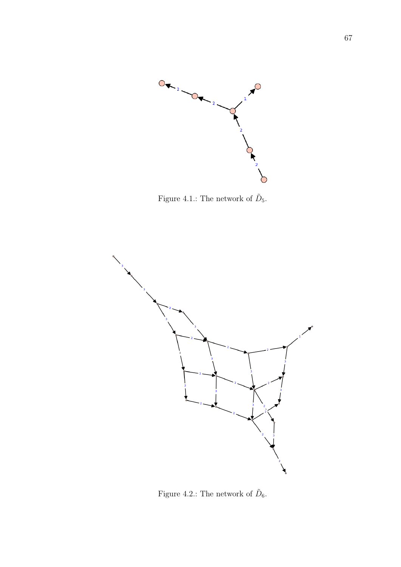

<span id="page-76-0"></span>Figure 4.1.: The network of  $\tilde{D}_5$ .



<span id="page-76-1"></span>Figure 4.2.: The network of  $\tilde{D}_6$ .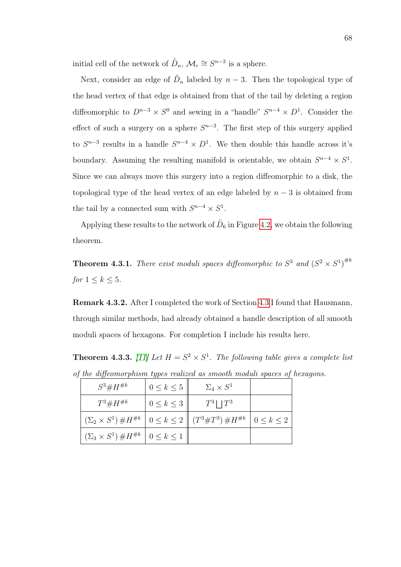initial cell of the network of  $\tilde{D}_n$ ,  $\mathcal{M}_r \cong S^{n-3}$  is a sphere.

Next, consider an edge of  $\tilde{D}_n$  labeled by  $n-3$ . Then the topological type of the head vertex of that edge is obtained from that of the tail by deleting a region diffeomorphic to  $D^{n-3} \times S^0$  and sewing in a "handle"  $S^{n-4} \times D^1$ . Consider the effect of such a surgery on a sphere  $S^{n-3}$ . The first step of this surgery applied to  $S^{n-3}$  results in a handle  $S^{n-4} \times D^1$ . We then double this handle across it's boundary. Assuming the resulting manifold is orientable, we obtain  $S^{n-4} \times S^1$ . Since we can always move this surgery into a region diffeomorphic to a disk, the topological type of the head vertex of an edge labeled by  $n-3$  is obtained from the tail by a connected sum with  $S^{n-4} \times S^1$ .

Applying these results to the network of  $\tilde{D}_6$  in Figure [4.2,](#page-76-1) we obtain the following theorem.

**Theorem 4.3.1.** There exist moduli spaces diffeomorphic to  $S^3$  and  $(S^2 \times S^1)^{\# k}$ for  $1 \leq k \leq 5$ .

Remark 4.3.2. After I completed the work of Section [4.3](#page-75-0) I found that Hausmann, through similar methods, had already obtained a handle description of all smooth moduli spaces of hexagons. For completion I include his results here.

<span id="page-77-0"></span>**Theorem 4.3.3.** [\[11\]](#page-83-0) Let  $H = S^2 \times S^1$ . The following table gives a complete list of the diffeomorphism types realized as smooth moduli spaces of hexagons.

| $S^3 \# H^{\#k}$                                                                     | $0 \leq k \leq 5$ | $\Sigma_4 \times S^1$ |                   |
|--------------------------------------------------------------------------------------|-------------------|-----------------------|-------------------|
| $T^3 \# H^{\#k}$                                                                     | $0 \leq k \leq 3$ | $T^3 \mid  T^3$       |                   |
| $(\Sigma_2 \times S^1) \# H^{\#k}$ $0 \le k \le 2 \parallel (T^3 \# T^3) \# H^{\#k}$ |                   |                       | $0 \leq k \leq 2$ |
| $(\Sigma_3 \times S^1) \# H^{\# k} \mid 0 \leq k \leq 1$                             |                   |                       |                   |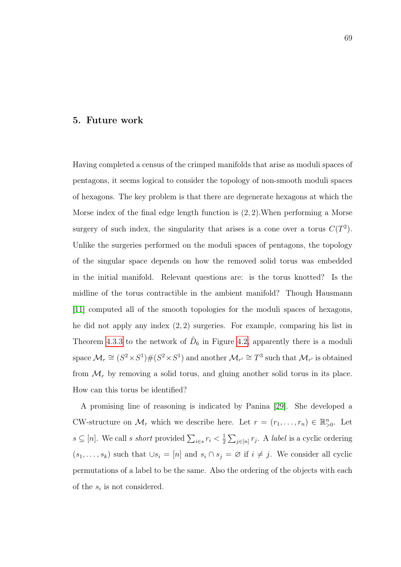#### 5. Future work

Having completed a census of the crimped manifolds that arise as moduli spaces of pentagons, it seems logical to consider the topology of non-smooth moduli spaces of hexagons. The key problem is that there are degenerate hexagons at which the Morse index of the final edge length function is (2, 2).When performing a Morse surgery of such index, the singularity that arises is a cone over a torus  $C(T^2)$ . Unlike the surgeries performed on the moduli spaces of pentagons, the topology of the singular space depends on how the removed solid torus was embedded in the initial manifold. Relevant questions are: is the torus knotted? Is the midline of the torus contractible in the ambient manifold? Though Hausmann [\[11\]](#page-83-0) computed all of the smooth topologies for the moduli spaces of hexagons, he did not apply any index (2, 2) surgeries. For example, comparing his list in Theorem [4.3.3](#page-77-0) to the network of  $\tilde{D}_6$  in Figure [4.2,](#page-76-1) apparently there is a moduli space  $\mathcal{M}_r \cong (S^2 \times S^1) \# (S^2 \times S^1)$  and another  $\mathcal{M}_{r'} \cong T^3$  such that  $\mathcal{M}_{r'}$  is obtained from  $\mathcal{M}_r$  by removing a solid torus, and gluing another solid torus in its place. How can this torus be identified?

A promising line of reasoning is indicated by Panina [\[29\]](#page-85-0). She developed a CW-structure on  $\mathcal{M}_r$  which we describe here. Let  $r = (r_1, \ldots, r_n) \in \mathbb{R}_{>0}^n$ . Let  $s \subseteq [n]$ . We call s short provided  $\sum_{i \in s} r_i < \frac{1}{2}$  $\frac{1}{2} \sum_{j \in [n]} r_j$ . A *label* is a cyclic ordering  $(s_1, \ldots, s_k)$  such that  $\cup s_i = [n]$  and  $s_i \cap s_j = \emptyset$  if  $i \neq j$ . We consider all cyclic permutations of a label to be the same. Also the ordering of the objects with each of the  $s_i$  is not considered.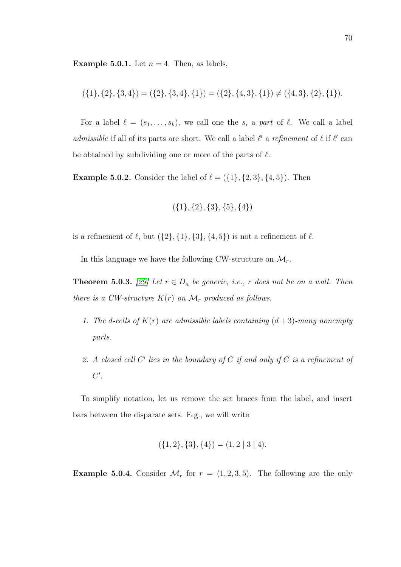**Example 5.0.1.** Let  $n = 4$ . Then, as labels,

$$
(\{1\},\{2\},\{3,4\}) = (\{2\},\{3,4\},\{1\}) = (\{2\},\{4,3\},\{1\}) \neq (\{4,3\},\{2\},\{1\}).
$$

For a label  $\ell = (s_1, \ldots, s_k)$ , we call one the  $s_i$  a part of  $\ell$ . We call a label admissible if all of its parts are short. We call a label  $\ell'$  a refinement of  $\ell$  if  $\ell'$  can be obtained by subdividing one or more of the parts of  $\ell$ .

**Example 5.0.2.** Consider the label of  $\ell = (\{1\}, \{2, 3\}, \{4, 5\})$ . Then

$$
(\{1\},\{2\},\{3\},\{5\},\{4\})
$$

is a refinement of  $\ell$ , but  $({2}, {1}, {3}, {4}, 5)$  is not a refinement of  $\ell$ .

In this language we have the following CW-structure on  $\mathcal{M}_r$ .

**Theorem 5.0.3.** [\[29\]](#page-85-0) Let  $r \in D_n$  be generic, i.e., r does not lie on a wall. Then there is a CW-structure  $K(r)$  on  $\mathcal{M}_r$  produced as follows.

- 1. The d-cells of  $K(r)$  are admissible labels containing  $(d+3)$ -many nonempty parts.
- 2. A closed cell  $C'$  lies in the boundary of  $C$  if and only if  $C$  is a refinement of  $C^{\prime}$ .

To simplify notation, let us remove the set braces from the label, and insert bars between the disparate sets. E.g., we will write

$$
(\{1,2\},\{3\},\{4\}) = (1,2 \mid 3 \mid 4).
$$

<span id="page-79-0"></span>**Example 5.0.4.** Consider  $\mathcal{M}_r$  for  $r = (1, 2, 3, 5)$ . The following are the only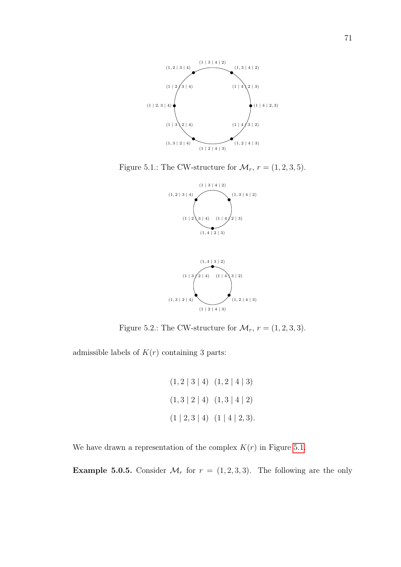

Figure 5.1.: The CW-structure for  $\mathcal{M}_r$ ,  $r = (1, 2, 3, 5)$ .

<span id="page-80-0"></span>



<span id="page-80-1"></span>Figure 5.2.: The CW-structure for  $\mathcal{M}_r$ ,  $r = (1, 2, 3, 3)$ .

admissible labels of  $K(r)$  containing 3 parts:

$$
(1,2 | 3 | 4) (1,2 | 4 | 3)
$$
  

$$
(1,3 | 2 | 4) (1,3 | 4 | 2)
$$
  

$$
(1 | 2,3 | 4) (1 | 4 | 2,3).
$$

We have drawn a representation of the complex  $K(r)$  in Figure [5.1.](#page-80-0)

<span id="page-80-2"></span>**Example 5.0.5.** Consider  $\mathcal{M}_r$  for  $r = (1, 2, 3, 3)$ . The following are the only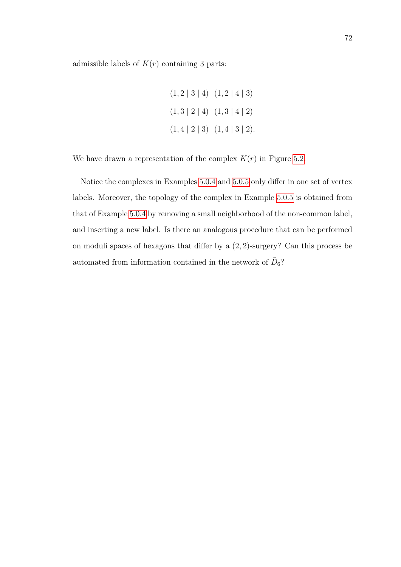admissible labels of  $K(r)$  containing 3 parts:

 $(1, 2 | 3 | 4) (1, 2 | 4 | 3)$  $(1, 3 | 2 | 4) (1, 3 | 4 | 2)$  $(1, 4 \mid 2 \mid 3)$   $(1, 4 \mid 3 \mid 2)$ .

We have drawn a representation of the complex  $K(r)$  in Figure [5.2.](#page-80-1)

Notice the complexes in Examples [5.0.4](#page-79-0) and [5.0.5](#page-80-2) only differ in one set of vertex labels. Moreover, the topology of the complex in Example [5.0.5](#page-80-2) is obtained from that of Example [5.0.4](#page-79-0) by removing a small neighborhood of the non-common label, and inserting a new label. Is there an analogous procedure that can be performed on moduli spaces of hexagons that differ by a (2, 2)-surgery? Can this process be automated from information contained in the network of  $\tilde{D}_6$ ?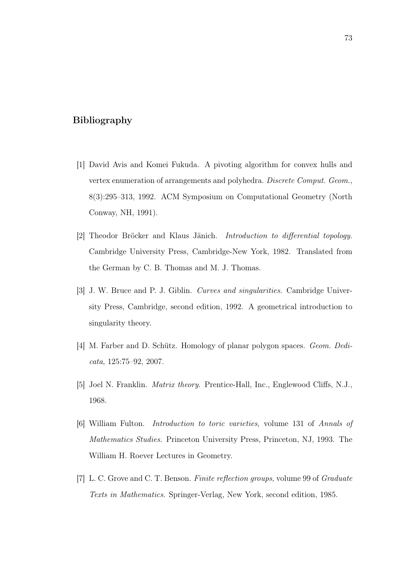## Bibliography

- [1] David Avis and Komei Fukuda. A pivoting algorithm for convex hulls and vertex enumeration of arrangements and polyhedra. Discrete Comput. Geom., 8(3):295–313, 1992. ACM Symposium on Computational Geometry (North Conway, NH, 1991).
- [2] Theodor Bröcker and Klaus Jänich. Introduction to differential topology. Cambridge University Press, Cambridge-New York, 1982. Translated from the German by C. B. Thomas and M. J. Thomas.
- [3] J. W. Bruce and P. J. Giblin. Curves and singularities. Cambridge University Press, Cambridge, second edition, 1992. A geometrical introduction to singularity theory.
- [4] M. Farber and D. Schütz. Homology of planar polygon spaces. Geom. Dedicata, 125:75–92, 2007.
- [5] Joel N. Franklin. Matrix theory. Prentice-Hall, Inc., Englewood Cliffs, N.J., 1968.
- [6] William Fulton. Introduction to toric varieties, volume 131 of Annals of Mathematics Studies. Princeton University Press, Princeton, NJ, 1993. The William H. Roever Lectures in Geometry.
- [7] L. C. Grove and C. T. Benson. Finite reflection groups, volume 99 of Graduate Texts in Mathematics. Springer-Verlag, New York, second edition, 1985.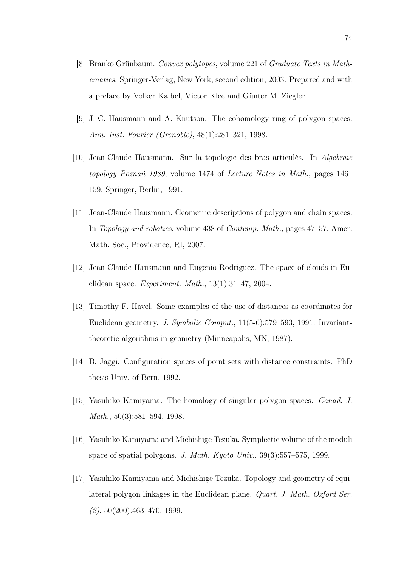- [8] Branko Grünbaum. Convex polytopes, volume 221 of Graduate Texts in Mathematics. Springer-Verlag, New York, second edition, 2003. Prepared and with a preface by Volker Kaibel, Victor Klee and Günter M. Ziegler.
- [9] J.-C. Hausmann and A. Knutson. The cohomology ring of polygon spaces. Ann. Inst. Fourier (Grenoble), 48(1):281–321, 1998.
- [10] Jean-Claude Hausmann. Sur la topologie des bras articulés. In Algebraic topology Poznań 1989, volume 1474 of Lecture Notes in Math., pages 146– 159. Springer, Berlin, 1991.
- <span id="page-83-0"></span>[11] Jean-Claude Hausmann. Geometric descriptions of polygon and chain spaces. In Topology and robotics, volume 438 of Contemp. Math., pages 47–57. Amer. Math. Soc., Providence, RI, 2007.
- [12] Jean-Claude Hausmann and Eugenio Rodriguez. The space of clouds in Euclidean space. Experiment. Math., 13(1):31–47, 2004.
- [13] Timothy F. Havel. Some examples of the use of distances as coordinates for Euclidean geometry. J. Symbolic Comput., 11(5-6):579–593, 1991. Invarianttheoretic algorithms in geometry (Minneapolis, MN, 1987).
- [14] B. Jaggi. Configuration spaces of point sets with distance constraints. PhD thesis Univ. of Bern, 1992.
- [15] Yasuhiko Kamiyama. The homology of singular polygon spaces. Canad. J. Math., 50(3):581–594, 1998.
- [16] Yasuhiko Kamiyama and Michishige Tezuka. Symplectic volume of the moduli space of spatial polygons. J. Math. Kyoto Univ., 39(3):557–575, 1999.
- [17] Yasuhiko Kamiyama and Michishige Tezuka. Topology and geometry of equilateral polygon linkages in the Euclidean plane. Quart. J. Math. Oxford Ser.  $(2), 50(200):463-470, 1999.$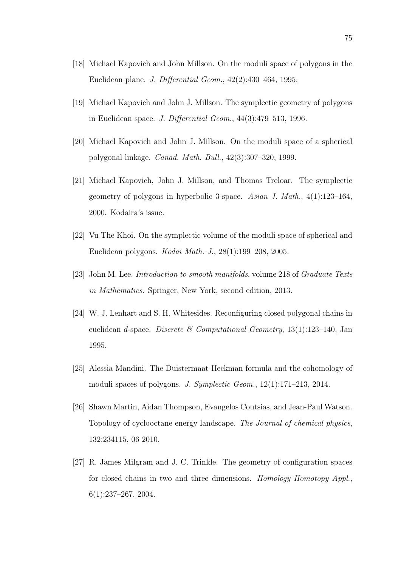- [18] Michael Kapovich and John Millson. On the moduli space of polygons in the Euclidean plane. J. Differential Geom., 42(2):430–464, 1995.
- [19] Michael Kapovich and John J. Millson. The symplectic geometry of polygons in Euclidean space. J. Differential Geom., 44(3):479–513, 1996.
- [20] Michael Kapovich and John J. Millson. On the moduli space of a spherical polygonal linkage. Canad. Math. Bull., 42(3):307–320, 1999.
- [21] Michael Kapovich, John J. Millson, and Thomas Treloar. The symplectic geometry of polygons in hyperbolic 3-space. Asian J. Math.,  $4(1):123-164$ , 2000. Kodaira's issue.
- [22] Vu The Khoi. On the symplectic volume of the moduli space of spherical and Euclidean polygons. Kodai Math. J., 28(1):199–208, 2005.
- [23] John M. Lee. Introduction to smooth manifolds, volume 218 of Graduate Texts in Mathematics. Springer, New York, second edition, 2013.
- [24] W. J. Lenhart and S. H. Whitesides. Reconfiguring closed polygonal chains in euclidean d-space. Discrete & Computational Geometry, 13(1):123–140, Jan 1995.
- [25] Alessia Mandini. The Duistermaat-Heckman formula and the cohomology of moduli spaces of polygons. J. Symplectic Geom., 12(1):171–213, 2014.
- [26] Shawn Martin, Aidan Thompson, Evangelos Coutsias, and Jean-Paul Watson. Topology of cyclooctane energy landscape. The Journal of chemical physics, 132:234115, 06 2010.
- [27] R. James Milgram and J. C. Trinkle. The geometry of configuration spaces for closed chains in two and three dimensions. Homology Homotopy Appl.,  $6(1):237-267, 2004.$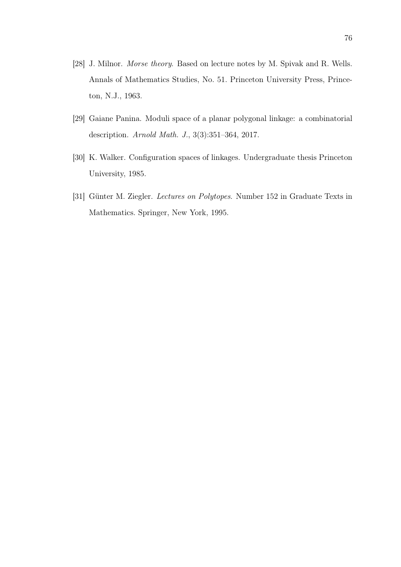- [28] J. Milnor. Morse theory. Based on lecture notes by M. Spivak and R. Wells. Annals of Mathematics Studies, No. 51. Princeton University Press, Princeton, N.J., 1963.
- <span id="page-85-0"></span>[29] Gaiane Panina. Moduli space of a planar polygonal linkage: a combinatorial description. Arnold Math. J., 3(3):351–364, 2017.
- [30] K. Walker. Configuration spaces of linkages. Undergraduate thesis Princeton University, 1985.
- [31] Günter M. Ziegler. Lectures on Polytopes. Number 152 in Graduate Texts in Mathematics. Springer, New York, 1995.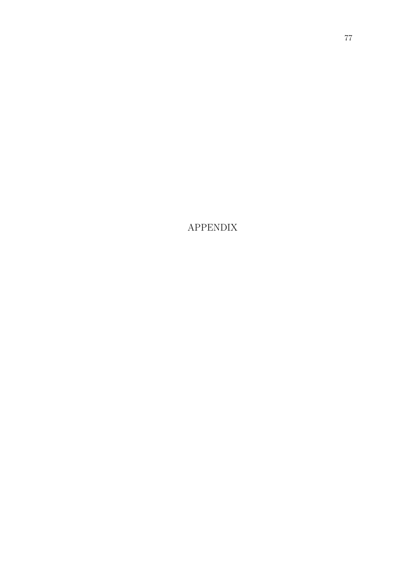APPENDIX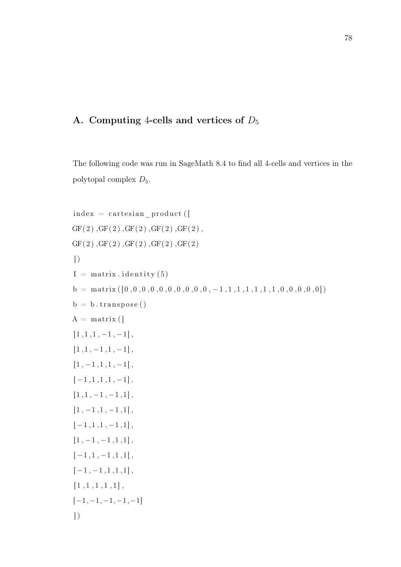# A. Computing 4-cells and vertices of  $D_5$

The following code was run in SageMath 8.4 to find all 4-cells and vertices in the polytopal complex  $D_5$ .

```
index = cartesian\_product (
GF( 2) ,GF( 2) ,GF( 2) ,GF( 2) ,GF( 2) ,GF( 2), GF( 2), GF( 2), GF( 2), GF( 2)\left| \right)I = matrix. identity (5)
b = \text{matrix}([0, 0, 0, 0, 0, 0, 0, 0, 0, 0, 0, -1, 1, 1, 1, 1, 1, 1, 1, 0, 0, 0, 0, 0])b = b. transpose ()
A = matrix (
[1,1,1,-1,-1],
[1, 1, -1, 1, -1],
[1, -1, 1, 1, -1],[-1,1,1,1,-1],[1, 1, -1, -1, 1],[1, -1, 1, -1, 1],
[-1,1,1,-1,1],[1, -1, -1, 1, 1],[-1,1,-1,1,1],[-1, -1, 1, 1, 1],[1, 1, 1, 1, 1, 1],[-1,-1,-1,-1,-1]\big)
```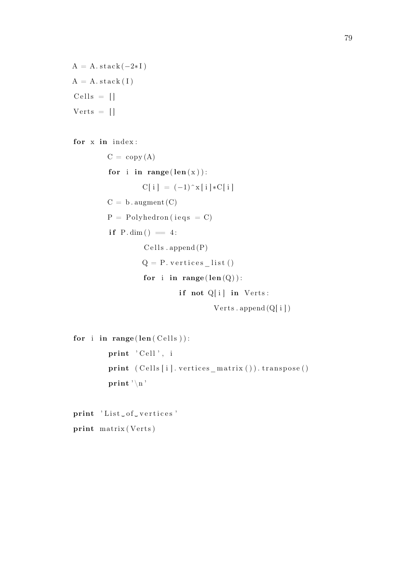```
A = A.stack(-2*I)A = A. stack (I)Cells = []Vertex = []
```
for x in index:

```
C = copy(A)for i in range (len(x)):
        C[i] = (-1)^{x} [i] * C[i]C = b. augment (C)P = Polyhedron (ieqs = C)
if P.dim() = 4:
        Cells . append(P)Q = P. vertices _list()
        for i in range (len(Q)):
                 if not Q[i] in Verts:
                          Verts.append(Q[i])
```

```
for i in range (len(Cells)):
         print 'Cell', i
         print ( Cells [i]. vertices_matrix ( ) ). transpose ( )
         print '\n\n'
```
print 'List\_of\_vertices' print matrix (Verts)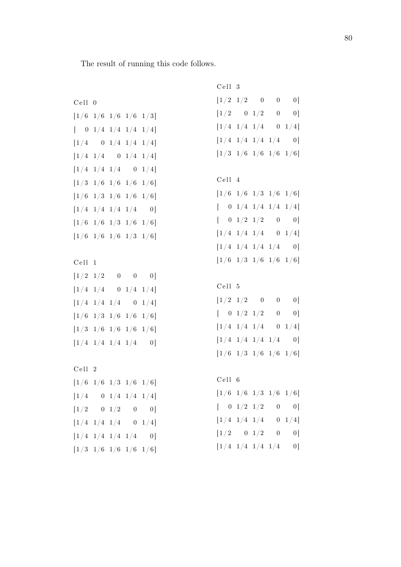The result of running this code follows.

Cell 0  $[1/6 \t1/6 \t1/6 \t1/6 \t1/3]$  $\begin{bmatrix} 0 & 1/4 & 1/4 & 1/4 & 1/4 \end{bmatrix}$  $[1/4 \ 0 \ 1/4 \ 1/4 \ 1/4]$  $[1/4 \t1/4 \t0 \t1/4 \t1/4]$  $[1/4 \t1/4 \t1/4 \t0 \t1/4]$  $[1/3 \t1/6 \t1/6 \t1/6 \t1/6]$  $[1/6 \t1/3 \t1/6 \t1/6 \t1/6]$  $[1/4 \t1/4 \t1/4 \t1/4 \t0]$  $[1/6 \t1/6 \t1/3 \t1/6 \t1/6]$  $[1/6 \t1/6 \t1/6 \t1/3 \t1/6]$ C ell 1  $[1/2 \t1/2 \t0 \t0 \t0]$  $[1/4 \t1/4 \t0 \t1/4 \t1/4]$ 

 $[1/4 \t1/4 \t1/4 \t0 \t1/4]$  $[1/6 \t1/3 \t1/6 \t1/6 \t1/6]$  $[1/3 \t1/6 \t1/6 \t1/6 \t1/6]$  $[1/4 \t1/4 \t1/4 \t1/4 \t0]$ 

C ell 2  $[1/6 \t1/6 \t1/3 \t1/6 \t1/6]$  $[1/4 \ 0 \ 1/4 \ 1/4 \ 1/4]$  $[1/2 \ 0 \ 1/2 \ 0 \ 0]$  $[1/4 \t1/4 \t1/4 \t0 \t1/4]$  $[1/4 \t1/4 \t1/4 \t1/4 \t0]$  $[1/3 \t1/6 \t1/6 \t1/6 \t1/6]$ 

C ell 3  $[1/2 \t1/2 \t0 \t0 \t0]$  $[1/2 \ 0 \ 1/2 \ 0 \ 0]$  $[1/4 \t1/4 \t1/4 \t0 \t1/4]$  $[1/4 \t1/4 \t1/4 \t1/4 \t0]$  $[1/3 \t1/6 \t1/6 \t1/6 \t1/6]$ C ell 4

 $[1/6 \t1/6 \t1/3 \t1/6 \t1/6]$  $[-0 \t1/4 \t1/4 \t1/4 \t1/4]$  $[ 0 \t1/2 \t1/2 \t0 \t0]$  $[1/4 \t1/4 \t1/4 \t0 \t1/4]$  $[1/4 \t1/4 \t1/4 \t1/4 \t0]$  $[1/6 \t1/3 \t1/6 \t1/6 \t1/6]$ 

### C ell 5

 $[1/2 \t1/2 \t0 \t0 \t0]$  $[ 0 \t1/2 \t1/2 \t0 \t0]$  $[1/4 \t1/4 \t1/4 \t0 \t1/4]$  $\begin{bmatrix} 1/4 & 1/4 & 1/4 & 1/4 & 0 \end{bmatrix}$  $[1/6 \t1/3 \t1/6 \t1/6 \t1/6]$ 

### C ell 6

 $[1/6 \t1/6 \t1/3 \t1/6 \t1/6]$  $[ 0 \t1/2 \t1/2 \t0 \t0]$  $[1/4 \t1/4 \t1/4 \t0 \t1/4]$  $[1/2 \ 0 \ 1/2 \ 0 \ 0]$  $[1/4 \t1/4 \t1/4 \t1/4 \t0]$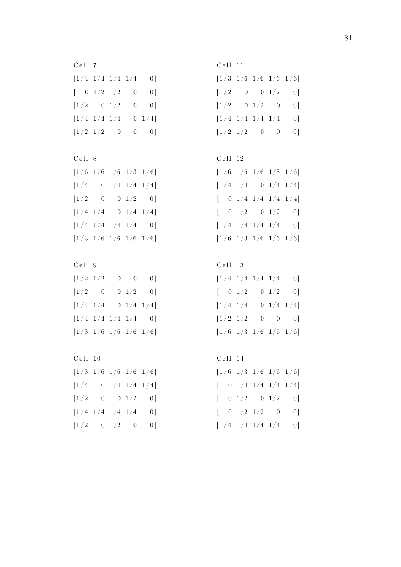C ell 7  $[1/4 \t1/4 \t1/4 \t1/4 \t0]$  $[ 0 \t1/2 \t1/2 \t0 \t0]$  $[1/2 \t 0 \t 1/2 \t 0 \t 0]$  $[1/4 \t1/4 \t1/4 \t0 \t1/4]$  $[1/2 \t1/2 \t0 \t0 \t0]$ 

C ell 8  $[1/6 \t1/6 \t1/6 \t1/3 \t1/6]$  $[1/4 \ 0 \ 1/4 \ 1/4 \ 1/4]$  $[1/2 \ 0 \ 0 \ 1/2 \ 0]$  $[1/4 \t1/4 \t0 \t1/4 \t1/4]$  $[1/4 \t1/4 \t1/4 \t1/4 \t0]$  $[1/3 \t1/6 \t1/6 \t1/6 \t1/6]$ 

C ell 9  $[1/2 \t1/2 \t0 \t0 \t0]$  $[1/2 \ 0 \ 0 \ 1/2 \ 0]$  $[1/4 \t1/4 \t0 \t1/4 \t1/4]$  $[1/4 \t1/4 \t1/4 \t1/4 \t0]$  $[1/3 \t1/6 \t1/6 \t1/6 \t1/6]$ 

C ell 10  $[1/3 \t1/6 \t1/6 \t1/6 \t1/6]$  $\begin{bmatrix} 1 \end{bmatrix} \begin{bmatrix} 4 & 0 & 1 \end{bmatrix} \begin{bmatrix} 4 & 1 \end{bmatrix} \begin{bmatrix} 4 \end{bmatrix}$  $[1/2 \ 0 \ 0 \ 1/2 \ 0]$  $[1/4 \t1/4 \t1/4 \t1/4 \t0]$  $[1/2 \t 0 \t 1/2 \t 0 \t 0]$ 

C ell 11  $[1/3 \t1/6 \t1/6 \t1/6 \t1/6]$  $[1/2 \ 0 \ 0 \ 1/2 \ 0]$  $[1/2 \ 0 \ 1/2 \ 0 \ 0]$  $[1/4 \t1/4 \t1/4 \t1/4 \t0]$  $[1/2 \t1/2 \t0 \t0 \t0]$ 

```
C ell 12
```

| $[1/6~~1/6~~1/6~~1/3~~1/6]$                               |  |    |
|-----------------------------------------------------------|--|----|
| $\begin{bmatrix} 1/4 & 1/4 & 0 & 1/4 & 1/4 \end{bmatrix}$ |  |    |
| $[-0 \t1/4 \t1/4 \t1/4 \t1/4]$                            |  |    |
| $\begin{bmatrix} 0 & 1/2 & 0 & 1/2 \end{bmatrix}$         |  | 0] |
| $\begin{bmatrix} 1/4 & 1/4 & 1/4 & 1/4 \end{bmatrix}$     |  | 0] |
| $[1/6 \t1/3 \t1/6 \t1/6 \t1/6]$                           |  |    |

C ell 13  $[1/4 \t1/4 \t1/4 \t1/4 \t0]$  $[ 0 \t1/2 \t0 \t1/2 \t0]$  $[1/4 \t1/4 \t0 \t1/4 \t1/4]$  $[1/2 \t1/2 \t0 \t0 \t0]$ 

 $[1/6 \t1/3 \t1/6 \t1/6 \t1/6]$ 

C ell 14  $[1/6 \t1/3 \t1/6 \t1/6 \t1/6]$  $[-0 \t1/4 \t1/4 \t1/4 \t1/4]$  $[ 0 \t1/2 \t0 \t1/2 \t0]$  $[ 0 \t1/2 \t1/2 \t0 \t0]$  $[1/4 \t1/4 \t1/4 \t1/4 \t0]$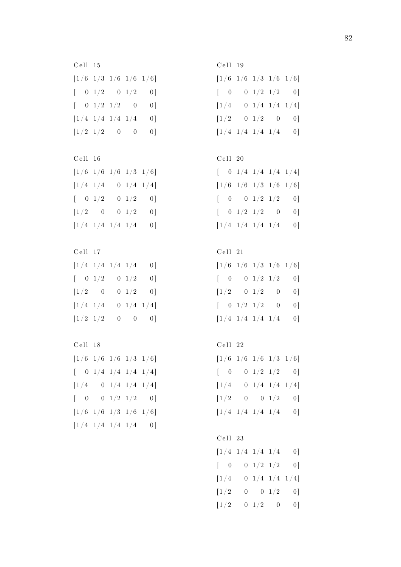C ell 15  $[1/6 \t1/3 \t1/6 \t1/6 \t1/6]$  $[ 0 \t1/2 \t0 \t1/2 \t0]$  $[ 0 \t1/2 \t1/2 \t0 \t0]$  $[1/4 \t1/4 \t1/4 \t1/4 \t0]$  $[1/2 \t1/2 \t0 \t0 \t0]$ 

C ell 16  $[1/6 \t1/6 \t1/6 \t1/3 \t1/6]$  $[1/4 \t1/4 \t0 \t1/4 \t1/4]$  $\begin{bmatrix} 0 & 1/2 & 0 & 1/2 & 0 \end{bmatrix}$  $[1/2 \t 0 \t 0 \t 1/2 \t 0]$  $[1/4 \t1/4 \t1/4 \t1/4 \t0]$ 

C ell 17  $\begin{bmatrix} 1/4 & 1/4 & 1/4 & 1/4 & 0 \end{bmatrix}$  $\begin{bmatrix} 0 & 1/2 & 0 & 1/2 & 0 \end{bmatrix}$  $[1/2 \ 0 \ 0 \ 1/2 \ 0]$  $[1/4 \t1/4 \t0 \t1/4 \t1/4]$  $[1/2 \t1/2 \t0 \t0 \t0]$ 

C ell 18  $[1/6 \t1/6 \t1/6 \t1/3 \t1/6]$  $\begin{bmatrix} 0 & 1/4 & 1/4 & 1/4 & 1/4 \end{bmatrix}$  $[1/4 \t 0 \t 1/4 \t 1/4 \t 1/4]$  $[ 0 0 1/2 1/2 0]$  $[1/6 \t1/6 \t1/3 \t1/6 \t1/6]$  $[1/4 \t1/4 \t1/4 \t1/4 \t0]$ 

C ell 19  $[1/6 \t1/6 \t1/3 \t1/6 \t1/6]$  $[ 0 0 1/2 1/2 0]$  $[1/4 \ 0 \ 1/4 \ 1/4 \ 1/4]$  $[1/2 \t 0 \t 1/2 \t 0 \t 0]$  $\begin{bmatrix} 1/4 & 1/4 & 1/4 & 1/4 & 0 \end{bmatrix}$ 

```
C ell 20
```

|  |                                                                                       | $[\quad \  0\  \  1/4\  \  1/4\  \  1/4\  \  1/4]$ |                |
|--|---------------------------------------------------------------------------------------|----------------------------------------------------|----------------|
|  |                                                                                       | $[1/6 \t1/6 \t1/3 \t1/6 \t1/6]$                    |                |
|  |                                                                                       | $\begin{bmatrix} 0 & 0 & 1/2 & 1/2 \end{bmatrix}$  | 0              |
|  | $\left[\begin{array}{ccc} \phantom{-}0 & 1/2 & 1/2 & \phantom{-}0 \end{array}\right.$ |                                                    | 0]             |
|  | $\left\lceil 1/4 \right\rceil 1/4 \left\lceil 1/4 \right\rceil 1/4$                   |                                                    | 0 <sup>1</sup> |

C ell 21

 $[1/6 \t1/6 \t1/3 \t1/6 \t1/6]$  $[ 0 0 1/2 1/2 0]$  $[1/2 \t 0 \t 1/2 \t 0 \t 0]$  $[ 0 \t1/2 \t1/2 \t0 \t0]$  $[1/4 \t1/4 \t1/4 \t1/4 \t0]$ 

C ell 22  $[1/6 \t1/6 \t1/6 \t1/3 \t1/6]$  $[ 0 0 1/2 1/2 0]$  $[1/4 \ 0 \ 1/4 \ 1/4 \ 1/4]$  $[1/2 \ 0 \ 0 \ 1/2 \ 0]$  $[1/4 \t1/4 \t1/4 \t1/4 \t0]$ 

C ell 23  $[1/4 \t1/4 \t1/4 \t1/4 \t0]$  $[ 0 0 1/2 1/2 0]$  $[1/4 \ 0 \ 1/4 \ 1/4 \ 1/4]$  $[1/2 \ 0 \ 0 \ 1/2 \ 0]$  $[1/2 \ 0 \ 1/2 \ 0 \ 0]$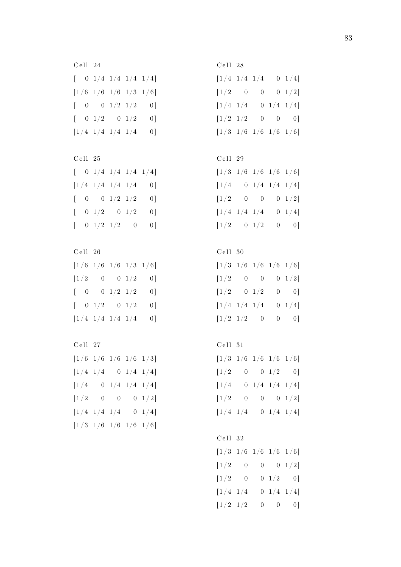C ell 24  $\begin{bmatrix} 0 & 1/4 & 1/4 & 1/4 & 1/4 \end{bmatrix}$  $[1/6 \t1/6 \t1/6 \t1/3 \t1/6]$  $\begin{bmatrix} 0 & 0 & 1/2 & 1/2 & 0 \end{bmatrix}$  $\left[\begin{array}{ccc} 0 & 1/2 & 0 & 1/2 & 0 \end{array}\right]$  $[1/4 \t1/4 \t1/4 \t1/4 \t0]$ 

|              | Cell 25 |                                                       |                                                           |
|--------------|---------|-------------------------------------------------------|-----------------------------------------------------------|
|              |         |                                                       | $\begin{bmatrix} 0 & 1/4 & 1/4 & 1/4 & 1/4 \end{bmatrix}$ |
|              |         | $\begin{bmatrix} 1/4 & 1/4 & 1/4 & 1/4 \end{bmatrix}$ | 01                                                        |
|              |         | $\begin{bmatrix} 0 & 0 & 1/2 & 1/2 \end{bmatrix}$     | 01                                                        |
| $\mathbf{L}$ |         | $0 \t1/2 \t0 \t1/2$                                   | 01                                                        |
| $\mathbb{R}$ |         | $0 \t1/2 \t1/2 \t0$                                   | 01                                                        |

| Cell 26                                                                                                                                                       |  |   |
|---------------------------------------------------------------------------------------------------------------------------------------------------------------|--|---|
| [1/6~~1/6~~1/6~~1/3~~1/6]                                                                                                                                     |  |   |
| $\begin{bmatrix} 1/2 & 0 & 0 & 1/2 \end{bmatrix}$                                                                                                             |  | 0 |
| $\begin{bmatrix} 0 & 0 & 1/2 & 1/2 \end{bmatrix}$                                                                                                             |  | 0 |
| $\begin{bmatrix} 0 & 1/2 & 0 & 1/2 \end{bmatrix}$                                                                                                             |  | 0 |
| $\left\lfloor \frac{1}{4} \right\rfloor \left\lfloor \frac{4}{4} \right\rfloor \left\lfloor \frac{4}{4} \right\rfloor \left\lfloor \frac{4}{4} \right\rfloor$ |  | 0 |
|                                                                                                                                                               |  |   |

C ell 27  $[1/6 \t1/6 \t1/6 \t1/6 \t1/3]$  $[1/4 \t1/4 \t0 \t1/4 \t1/4]$  $[1/4 \t 0 \t 1/4 \t 1/4 \t 1/4]$  $[1/2 \ 0 \ 0 \ 0 \ 1/2]$  $[1/4 \t1/4 \t1/4 \t0 \t1/4]$  $[1/3 \t1/6 \t1/6 \t1/6 \t1/6]$ 

C ell 28  $[1/4 \t1/4 \t1/4 \t0 \t1/4]$  $[1/2 \ 0 \ 0 \ 0 \ 1/2]$  $[1/4 \t1/4 \t0 \t1/4 \t1/4]$  $[1/2 \t1/2 \t0 \t0 \t0]$  $[1/3 \t1/6 \t1/6 \t1/6 \t1/6]$ 

# C ell 29

| $[1/3 \t1/6 \t1/6 \t1/6 \t1/6]$               |             |  |                               |
|-----------------------------------------------|-------------|--|-------------------------------|
| $[1/4 \quad 0 \ 1/4 \ 1/4 \ 1/4]$             |             |  |                               |
| $\left\lfloor 1/2 \right\rfloor$              |             |  | $0\qquad 0\qquad 0\quad 1/2]$ |
| $\left\lfloor 1/4 \right\rfloor$              | $1/4$ $1/4$ |  | $0 \t1/4]$                    |
| $\begin{bmatrix} 1/2 & 0 & 1/2 \end{bmatrix}$ |             |  | $0 \qquad 0]$                 |
|                                               |             |  |                               |

### C ell 30

| $[1/3 \t1/6 \t1/6 \t1/6 \t1/6]$                           |  |              |
|-----------------------------------------------------------|--|--------------|
| $\begin{bmatrix} 1/2 & 0 & 0 & 0 & 1/2 \end{bmatrix}$     |  |              |
| $\begin{bmatrix} 1/2 & 0 & 1/2 \end{bmatrix}$             |  | $0 \qquad 0$ |
| $\left[\begin{matrix}1/4 & 1/4 & 1/4 \end{matrix}\right.$ |  | $0 \t1/4]$   |
| $\begin{bmatrix} 1/2 & 1/2 & 0 \end{bmatrix}$             |  | $0 \qquad 0$ |

C ell 31

| $[1/3 \t1/6 \t1/6 \t1/6 \t1/6]$           |                |  |                                                   |
|-------------------------------------------|----------------|--|---------------------------------------------------|
| $\left\lfloor 1/2 \right\rfloor$          |                |  | $\begin{bmatrix} 0 && 0 & 1/2 && 0 \end{bmatrix}$ |
| $\left\lfloor 1/4 \right\rfloor$          |                |  | $0 \t1/4 \t1/4 \t1/4$                             |
| $\left\lceil 1/2 \right\rceil$            | $\overline{0}$ |  | $0\qquad 0\quad 1/2]$                             |
| $\begin{bmatrix} 1/4 & 1/4 \end{bmatrix}$ |                |  | $0 \t1/4 \t1/4$                                   |

## C ell 32

|                                                                                              |  | $[1/3 \t1/6 \t1/6 \t1/6 \t1/6]$ |
|----------------------------------------------------------------------------------------------|--|---------------------------------|
| $\begin{bmatrix} 1 \!\! \begin{array}{ccc} 2 & 0 & 0 & 0 & 1 \!\! \end{array} \end{bmatrix}$ |  |                                 |
| $\begin{bmatrix} 1/2 & 0 \end{bmatrix}$                                                      |  | $0\ \ 1/2\ \ -\ 0\,]$           |
| $[1/4 \ 1/4]$                                                                                |  | $0 \t1/4 \t1/4$                 |
| $\begin{bmatrix} 1/2 & 1/2 \end{bmatrix}$                                                    |  | $0 \qquad 0 \qquad 0$           |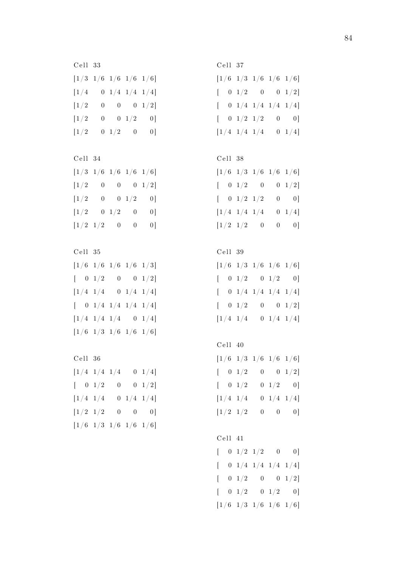C ell 33  $[1/3 \t1/6 \t1/6 \t1/6 \t1/6]$  $[1/4 \t 0 \t 1/4 \t 1/4 \t 1/4]$  $[1/2 \ 0 \ 0 \ 0 \ 1/2]$  $[1/2 \ 0 \ 0 \ 1/2 \ 0]$  $[1/2 \t 0 \t 1/2 \t 0 \t 0]$ 

C ell 34  $[1/3 \t1/6 \t1/6 \t1/6 \t1/6]$  $[1/2 \ 0 \ 0 \ 0 \ 1/2]$  $[1/2 \ 0 \ 0 \ 1/2 \ 0]$  $[1/2 \t 0 \t 1/2 \t 0 \t 0]$  $[1/2 \t1/2 \t0 \t0 \t0]$ 

C ell 35  $[1/6 \t1/6 \t1/6 \t1/6 \t1/3]$  $\begin{bmatrix} 0 & 1/2 & 0 & 0 & 1/2 \end{bmatrix}$  $[1/4 \t1/4 \t0 \t1/4 \t1/4]$  $\begin{bmatrix} 0 & 1/4 & 1/4 & 1/4 & 1/4 \end{bmatrix}$  $[1/4 \t1/4 \t1/4 \t0 \t1/4]$  $[1/6 \t1/3 \t1/6 \t1/6 \t1/6]$ 

C ell 36  $[1/4 \t1/4 \t1/4 \t0 \t1/4]$  $\begin{bmatrix} 0 & 1/2 & 0 & 0 & 1/2 \end{bmatrix}$  $[1/4 \t1/4 \t0 \t1/4 \t1/4]$  $[1/2 \t1/2 \t0 \t0 \t0]$  $[1/6 \t1/3 \t1/6 \t1/6 \t1/6]$ 

C ell 37  $[1/6 \t1/3 \t1/6 \t1/6 \t1/6]$  $[ 0 \t1/2 \t0 \t0 \t1/2]$  $[-0 \t1/4 \t1/4 \t1/4 \t1/4]$  $[ 0 \t1/2 \t1/2 \t0 \t0]$  $[1/4 \t1/4 \t1/4 \t0 \t1/4]$ 

```
C ell 38
```

| $[{\,1\,/\,6\quad 1\,/\,3\quad 1\,/\,6\quad 1\,/\,6\quad 1\,/\,6\,]}$ |  |                |
|-----------------------------------------------------------------------|--|----------------|
| $\begin{bmatrix} 0 & 1/2 & 0 & 0 & 1/2 \end{bmatrix}$                 |  |                |
| $\begin{bmatrix} &0&1/2&1/2 \end{bmatrix}$                            |  | $0 \qquad 0$ ] |
| $\left\lceil 1/4 \right\rceil 1/4 \left\lceil 1/4 \right\rceil$       |  | $0 \t1/4$      |
| $\begin{bmatrix} 1/2 & 1/2 & \phantom{-}0 \end{bmatrix}$              |  | $0 \qquad 0$ ] |

```
C ell 39
```
 $[1/6 \t1/3 \t1/6 \t1/6 \t1/6]$  $[ 0 \t1/2 \t0 \t1/2 \t0]$  $\begin{bmatrix} 0 & 1/4 & 1/4 & 1/4 & 1/4 \end{bmatrix}$  $[ 0 \t1/2 \t0 \t0 \t1/2]$  $[1/4 \t1/4 \t0 \t1/4 \t1/4]$ 

```
C ell 40
[1/6 \t1/3 \t1/6 \t1/6 \t1/6]\begin{bmatrix} 0 & 1/2 & 0 & 0 & 1/2 \end{bmatrix}[ 0 \t1/2 \t0 \t1/2 \t0][1/4 \t1/4 \t0 \t1/4 \t1/4]
```
 $[1/2 \t1/2 \t0 \t0 \t0]$ 

C ell 41  $[ 0 \t1/2 \t1/2 \t0 \t0]$  $\begin{bmatrix} 0 & 1/4 & 1/4 & 1/4 & 1/4 \end{bmatrix}$  $[ 0 \t1/2 \t0 \t0 \t1/2]$  $[ 0 \t1/2 \t0 \t1/2 \t0]$  $[1/6 \t1/3 \t1/6 \t1/6 \t1/6]$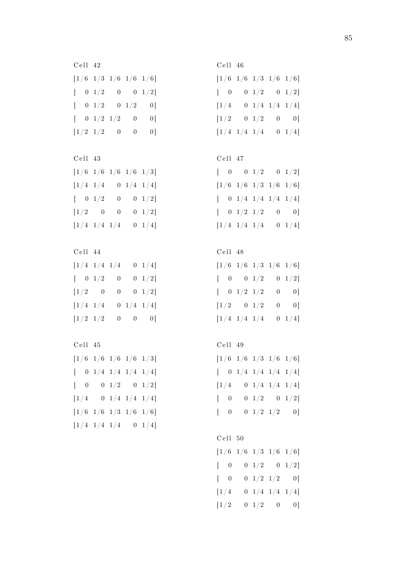C ell 42  $[1/6 \t1/3 \t1/6 \t1/6 \t1/6]$  $\begin{bmatrix} 0 & 1/2 & 0 & 0 & 1/2 \end{bmatrix}$  $\begin{bmatrix} 0 & 1/2 & 0 & 1/2 & 0 \end{bmatrix}$  $[ 0 \t1/2 \t1/2 \t0 \t0]$  $[1/2 \t1/2 \t0 \t0 \t0]$ 

C ell 43  $[1/6 \t1/6 \t1/6 \t1/6 \t1/3]$  $[1/4 \t1/4 \t0 \t1/4 \t1/4]$  $\begin{bmatrix} 0 & 1/2 & 0 & 0 & 1/2 \end{bmatrix}$  $[1/2 \ 0 \ 0 \ 0 \ 1/2]$  $[1/4 \t1/4 \t1/4 \t0 \t1/4]$ 

C ell 44  $[1/4 \t1/4 \t1/4 \t0 \t1/4]$  $\begin{bmatrix} 0 & 1/2 & 0 & 0 & 1/2 \end{bmatrix}$  $[1/2 \ 0 \ 0 \ 0 \ 1/2]$  $[1/4 \t1/4 \t0 \t1/4 \t1/4]$  $[1/2 \t1/2 \t0 \t0 \t0]$ 

C ell 45  $[1/6 \t1/6 \t1/6 \t1/6 \t1/3]$  $\begin{bmatrix} 0 & 1/4 & 1/4 & 1/4 & 1/4 \end{bmatrix}$  $[ 0 0 1/2 0 1/2]$  $[1/4 \t 0 \t 1/4 \t 1/4 \t 1/4]$  $[1/6 \t1/6 \t1/3 \t1/6 \t1/6]$  $[1/4 \t1/4 \t1/4 \t0 \t1/4]$ 

C ell 46  $[1/6 \t1/6 \t1/3 \t1/6 \t1/6]$  $[ 0 0 1/2 0 1/2]$  $[1/4 \ 0 \ 1/4 \ 1/4 \ 1/4]$  $[1/2 \t 0 \t 1/2 \t 0 \t 0]$  $[1/4 \t1/4 \t1/4 \t0 \t1/4]$ 

## C ell 47

| $\begin{bmatrix} 0 & 0 & 1/2 & 0 & 1/2 \end{bmatrix}$                                                |
|------------------------------------------------------------------------------------------------------|
| $[{\,1\,/\,6\quad 1\,/\,6\quad 1\,/\,3\quad 1\,/\,6\quad 1\,/\,6\,]}$                                |
| $[\quad \  0\  \  1/4\  \  1/4\  \  1/4\  \  1/4]$                                                   |
| $\left[\begin{array}{ccc} \phantom{-}0 & 1/2 & 1/2 & \phantom{-}0 & \phantom{-}0 \end{array}\right]$ |
| $\left\lceil 1/4 \right\rceil 1/4 \left\lceil 1/4 \right\rceil$<br>$0 \t1/4]$                        |
|                                                                                                      |

#### C ell 48

 $[1/6 \t1/6 \t1/3 \t1/6 \t1/6]$  $[ 0 0 1/2 0 1/2]$  $\begin{bmatrix} 0 & 1/2 & 1/2 & 0 & 0 \end{bmatrix}$  $[1/2 \ 0 \ 1/2 \ 0 \ 0]$  $[1/4 \t1/4 \t1/4 \t0 \t1/4]$ 

C ell 49

| $[1/6 \t1/6 \t1/3 \t1/6 \t1/6]$                    |  |                                                       |
|----------------------------------------------------|--|-------------------------------------------------------|
| $[\quad \  0\  \  1/4\  \  1/4\  \  1/4\  \  1/4]$ |  |                                                       |
| $\left\lfloor 1/4 \right\rfloor$                   |  | $0 \t1/4 \t1/4 \t1/4$                                 |
| $\begin{bmatrix} 0 \\ 0 \end{bmatrix}$             |  | $\begin{matrix} 0 & 1/2 & \quad 0 & 1/2 \end{matrix}$ |
| $\begin{bmatrix} 0 \\ 0 \end{bmatrix}$             |  | $\begin{bmatrix} 0 & 1/2 & 1/2 & 0 \end{bmatrix}$     |

```
C ell 50
```

|                                                                                                      |  | $[{\,1\,/\,6\quad 1\,/\,6\quad 1\,/\,3\quad 1\,/\,6\quad 1\,/\,6\,] }$ |
|------------------------------------------------------------------------------------------------------|--|------------------------------------------------------------------------|
| $\left[\begin{array}{ccc} \phantom{-}0 & \phantom{-}0 & 1/2 & \phantom{-}0 & 1/2 \end{array}\right]$ |  |                                                                        |
| $\begin{bmatrix} 0 \\ 0 \end{bmatrix}$                                                               |  | $\begin{bmatrix} 0 & 1/2 & 1/2 & \quad 0 \end{bmatrix}$                |
| $\left\lceil 1/4 \right\rceil$                                                                       |  | $0 \t1/4 \t1/4 \t1/4$                                                  |
| $\left\lfloor 1/2 \right\rfloor$                                                                     |  | $\begin{bmatrix} 0 & 1/2 & \phantom{-}0 & \phantom{-}0 \end{bmatrix}$  |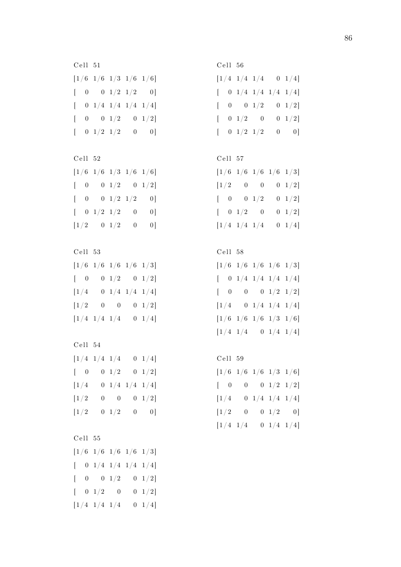C ell 51  $[1/6 \t1/6 \t1/3 \t1/6 \t1/6]$  $\begin{bmatrix} 0 & 0 & 1/2 & 1/2 & 0 \end{bmatrix}$  $\begin{bmatrix} 0 & 1/4 & 1/4 & 1/4 & 1/4 \end{bmatrix}$  $[ 0 0 1/2 0 1/2]$  $[-0 \t1/2 \t1/2 \t0 \t0]$ 

| Cell 52                                                        |  |   |                |
|----------------------------------------------------------------|--|---|----------------|
| $\left[1/6 \right] 1/6 \left[1/3 \right] 1/6 \left[1/6\right]$ |  |   |                |
| $\begin{bmatrix} 0 & 0 & 1/2 & 0 & 1/2 \end{bmatrix}$          |  |   |                |
| $\begin{bmatrix} 0 & 0 & 1/2 & 1/2 \end{bmatrix}$              |  |   | 0 <sup>1</sup> |
| $\begin{bmatrix} 0 & 1/2 & 1/2 \end{bmatrix}$                  |  | 0 | 01             |
| $\begin{bmatrix} 1/2 & 0 & 1/2 \end{bmatrix}$                  |  | 0 | 01             |

| Cell 53 |                                                                |                                                                                               |
|---------|----------------------------------------------------------------|-----------------------------------------------------------------------------------------------|
|         |                                                                |                                                                                               |
|         |                                                                |                                                                                               |
|         |                                                                |                                                                                               |
|         |                                                                | $0 \t1/2]$                                                                                    |
|         |                                                                | $0 \t1/4$                                                                                     |
|         | $0\qquad 0$<br>$\begin{bmatrix} 1/4 & 1/4 & 1/4 \end{bmatrix}$ | $[1/6 \t1/6 \t1/6 \t1/6 \t1/3]$<br>$0 \quad 1/2 \qquad 0 \quad 1/2]$<br>$0 \t1/4 \t1/4 \t1/4$ |

C ell 54  $[1/4 \t1/4 \t1/4 \t0 \t1/4]$  $\begin{bmatrix} 0 & 0 & 1/2 & 0 & 1/2 \end{bmatrix}$  $[1/4 \t 0 \t 1/4 \t 1/4 \t 1/4]$  $[1/2 \quad 0 \quad 0 \quad 0 \quad 1/2]$  $[1/2 \ 0 \ 1/2 \ 0 \ 0]$ 

```
C ell 55
[1/6 \t1/6 \t1/6 \t1/6 \t1/3]\begin{bmatrix} 0 & 1/4 & 1/4 & 1/4 & 1/4 \end{bmatrix}[ 0 0 1/2 0 1/2]\begin{bmatrix} 0 & 1/2 & 0 & 0 & 1/2 \end{bmatrix}[1/4 \t1/4 \t1/4 \t0 \t1/4]
```
C ell 56  $[1/4 \t1/4 \t1/4 \t0 \t1/4]$  $\begin{bmatrix} 0 & 1/4 & 1/4 & 1/4 & 1/4 \end{bmatrix}$  $[ 0 0 1/2 0 1/2]$  $[ 0 \t1/2 \t0 \t0 \t1/2]$  $[-0 \t1/2 \t1/2 \t0 \t0]$ 

## C ell 57

| $[1/6~~1/6~~1/6~~1/6~~1/3]$                           |  |            |
|-------------------------------------------------------|--|------------|
| $\begin{bmatrix} 1/2 & 0 & 0 & 0 & 1/2 \end{bmatrix}$ |  |            |
| $\begin{bmatrix} &0& 0& 1/2 \end{bmatrix}$            |  | $0 \t1/2$  |
| $\begin{bmatrix} &0&1/2& &0 \end{bmatrix}$            |  | $0 \t1/2$  |
| $[1/4 \t1/4 \t1/4]$                                   |  | $0 \t1/4]$ |

#### C ell 58

 $[1/6 \t1/6 \t1/6 \t1/6 \t1/3]$  $\begin{bmatrix} 0 & 1/4 & 1/4 & 1/4 & 1/4 \end{bmatrix}$  $[ 0 0 0 1/2 1/2]$  $[1/4 \ 0 \ 1/4 \ 1/4 \ 1/4]$  $[1/6 \t1/6 \t1/6 \t1/3 \t1/6]$  $[1/4 \t1/4 \t0 \t1/4 \t1/4]$ 

C ell 59

| $\left[1/6~~1/6~~1/6~~1/3~~1/6\right]$                                                                                     |  |                                                      |
|----------------------------------------------------------------------------------------------------------------------------|--|------------------------------------------------------|
| $\left[\begin{array}{ccc} \phantom{-}0 & \phantom{-}0 & \phantom{-}0 & \phantom{-}1/2 & \phantom{-}1/2 \end{array}\right]$ |  |                                                      |
| $\left\lfloor \frac{1}{4} \right\rfloor$                                                                                   |  | $\begin{array}{ccc} 0 & 1/4 & 1/4 & 1/4 \end{array}$ |
| $[1/2 \quad 0 \quad 0 \quad 1/2 \quad 0]$                                                                                  |  |                                                      |
| $[1/4 \ 1/4]$                                                                                                              |  | $0 \t1/4 \t1/4$                                      |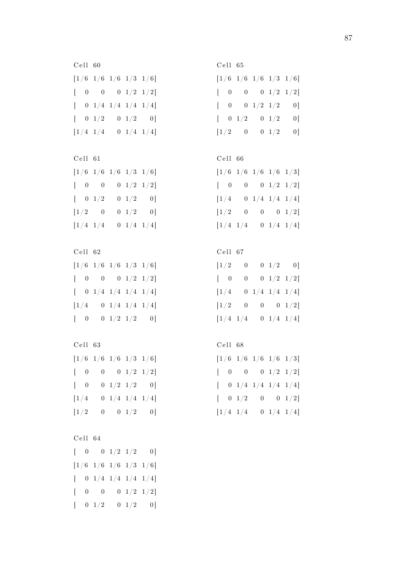C ell 60  $[1/6 \t1/6 \t1/6 \t1/3 \t1/6]$  $[ 0 0 0 1/2 1/2]$  $[-0 \t1/4 \t1/4 \t1/4 \t1/4]$  $[ 0 \t1/2 \t0 \t1/2 \t0]$  $[1/4 \t1/4 \t0 \t1/4 \t1/4]$ 

C ell 61  $[1/6 \t1/6 \t1/6 \t1/3 \t1/6]$  $[ 0 0 0 1/2 1/2]$  $\begin{bmatrix} 0 & 1/2 & 0 & 1/2 & 0 \end{bmatrix}$  $[1/2 \ 0 \ 0 \ 1/2 \ 0]$  $[1/4 \t1/4 \t0 \t1/4 \t1/4]$ 

C ell 62  $[1/6 \t1/6 \t1/6 \t1/3 \t1/6]$  $[ 0 0 0 1/2 1/2]$  $\begin{bmatrix} 0 & 1/4 & 1/4 & 1/4 & 1/4 \end{bmatrix}$  $[1/4 \ 0 \ 1/4 \ 1/4 \ 1/4]$  $[ 0 0 1/2 1/2 0]$ 

C ell 63  $[1/6 \t1/6 \t1/6 \t1/3 \t1/6]$  $\begin{bmatrix} 0 & 0 & 0 & 1/2 & 1/2 \end{bmatrix}$  $[ 0 0 1/2 1/2 0]$  $[1/4 \t 0 \t 1/4 \t 1/4 \t 1/4]$  $[1/2 \ 0 \ 0 \ 1/2 \ 0]$ 

```
C ell 64
[ 0 0 1/2 1/2 0][1/6 \t1/6 \t1/6 \t1/3 \t1/6][-0 \t1/4 \t1/4 \t1/4 \t1/4][ 0 0 0 1/2 1/2]\begin{bmatrix} 0 & 1/2 & 0 & 1/2 & 0 \end{bmatrix}
```
C ell 65  $[1/6 \t1/6 \t1/6 \t1/3 \t1/6]$  $[ 0 0 0 1/2 1/2]$  $[ 0 0 1/2 1/2 0]$  $[ 0 \t1/2 \t0 \t1/2 \t0]$  $[1/2 \ 0 \ 0 \ 1/2 \ 0]$ 

# C ell 66

| $\left[1/6~~1/6~~1/6~~1/6~~1/3\right]$   |  |                                                       |
|------------------------------------------|--|-------------------------------------------------------|
| $\begin{bmatrix} 0 \\ 0 \end{bmatrix}$   |  | $0\qquad 0\quad 1/2\quad 1/2]$                        |
| $\left\lfloor \frac{1}{4} \right\rfloor$ |  | $\begin{array}{c cc} 0 & 1/4 & 1/4 & 1/4 \end{array}$ |
| $[1/2 \quad 0$                           |  | $0\qquad 0\quad 1/2]$                                 |
| $[1/4 \ 1/4]$                            |  | $0 \t1/4 \t1/4$                                       |

#### C ell 67

| $\lceil 1/2 \rceil$                       | 0 |  | $0 \thinspace 1/2 \thinspace 0)$                     |
|-------------------------------------------|---|--|------------------------------------------------------|
| $\begin{bmatrix} 0 \\ 0 \end{bmatrix}$    | 0 |  | $0\ \ 1/2\ \ 1/2]$                                   |
| $\left\lceil 1/4 \right\rceil$            |   |  | $\begin{array}{ccc} 0 & 1/4 & 1/4 & 1/4 \end{array}$ |
| $\lceil 1/2 \rceil$                       | 0 |  | $\begin{matrix} 0 && 0 & 1/2 \end{matrix}$           |
| $\begin{bmatrix} 1/4 & 1/4 \end{bmatrix}$ |   |  | $0 \t1/4 \t1/4$                                      |
|                                           |   |  |                                                      |

C ell 68  $[1/6 \t1/6 \t1/6 \t1/6 \t1/3]$ 

|  |                                    |  | $\begin{bmatrix} \phantom{-}0 & \phantom{-}0 & \phantom{-}0 & \phantom{-}1/2 & \phantom{-}1/2 \end{bmatrix}$ |
|--|------------------------------------|--|--------------------------------------------------------------------------------------------------------------|
|  |                                    |  | $[\quad \  0\  \  1/4\  \  1/4\  \  1/4\  \  1/4]$                                                           |
|  |                                    |  | $\left[\begin{array}{ccc} \phantom{-}0 & 1/2 & \phantom{-}0 & \phantom{-}0 & 1/2 \end{array}\right]$         |
|  | $\left\lceil 1/4 \right\rceil 1/4$ |  | $0\ \ 1/4\ \ 1/4]$                                                                                           |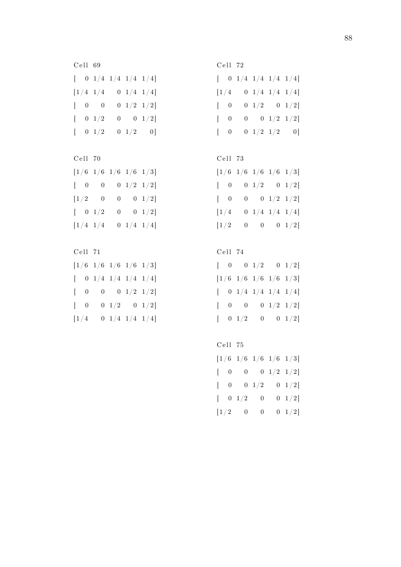C ell 69  $\begin{bmatrix} 0 & 1/4 & 1/4 & 1/4 & 1/4 \end{bmatrix}$  $[1/4 \t1/4 \t0 \t1/4 \t1/4]$  $[ 0 0 0 1/2 1/2]$  $[ 0 \t1/2 \t0 \t0 \t1/2]$  $\begin{bmatrix} 0 & 1/2 & 0 & 1/2 & 0 \end{bmatrix}$ 

C ell 70  $[1/6 \t1/6 \t1/6 \t1/6 \t1/3]$  $[ 0 0 0 1/2 1/2]$  $[1/2 \ 0 \ 0 \ 0 \ 1/2]$  $\begin{bmatrix} 0 & 1/2 & 0 & 0 & 1/2 \end{bmatrix}$  $[1/4 \t1/4 \t0 \t1/4 \t1/4]$ 

C ell 71  $[1/6 \t1/6 \t1/6 \t1/6 \t1/3]$  $\begin{bmatrix} 0 & 1/4 & 1/4 & 1/4 & 1/4 \end{bmatrix}$  $[ 0 0 0 1/2 1/2]$  $[ 0 0 1/2 0 1/2]$  $[1/4 \ 0 \ 1/4 \ 1/4 \ 1/4]$ 

C ell 72  $\begin{bmatrix} 0 & 1/4 & 1/4 & 1/4 & 1/4 \end{bmatrix}$  $[1/4 \t 0 \t 1/4 \t 1/4 \t 1/4]$  $[ 0 0 1/2 0 1/2]$  $[ 0 0 0 1/2 1/2]$  $[ 0 0 1/2 1/2 0]$ 

C ell 73

| $\left[1/6 \right] 1/6 \left[1/6 \right] 1/6 \left[1/3\right]$ |  |                                         |
|----------------------------------------------------------------|--|-----------------------------------------|
| $\begin{bmatrix} 0 & 0 & 1/2 & 0 & 1/2 \end{bmatrix}$          |  |                                         |
| $\begin{bmatrix} 0 \\ 0 \end{bmatrix}$                         |  | $0 \qquad 0 \quad 1/2 \quad 1/2 \bigr]$ |
| $\lceil 1/4 \rceil$                                            |  | $0 \t1/4 \t1/4 \t1/4$                   |
| $\left\lfloor \frac{1}{2} \right\rfloor$                       |  | $0 \qquad 0 \qquad 0 \quad 1/2]$        |

C ell 74

 $\begin{bmatrix} 0 & 0 & 1/2 & 0 & 1/2 \end{bmatrix}$  $[1/6 \t1/6 \t1/6 \t1/6 \t1/3]$  $\begin{bmatrix} 0 & 1/4 & 1/4 & 1/4 & 1/4 \end{bmatrix}$  $[ 0 0 0 1/2 1/2]$  $[ 0 \t1/2 \t0 \t0 \t1/2]$ 

C ell 75  $[1/6 \t1/6 \t1/6 \t1/6 \t1/3]$  $[ 0 0 0 1/2 1/2]$  $[ 0 0 1/2 0 1/2]$  $[ 0 \t1/2 \t0 \t0 \t1/2]$  $[1/2 \ 0 \ 0 \ 0 \ 1/2]$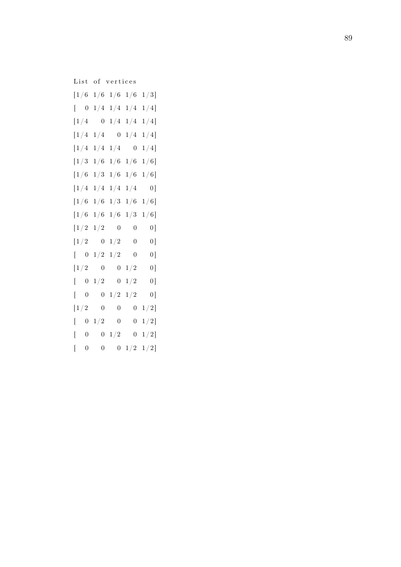List of vertices  $[1/6 \t1/6 \t1/6 \t1/6 \t1/3]$  $\begin{bmatrix} 0 & 1/4 & 1/4 & 1/4 & 1/4 \end{bmatrix}$  $[1/4 \ 0 \ 1/4 \ 1/4 \ 1/4]$  $[1/4 \t1/4 \t0 \t1/4 \t1/4]$  $[1/4 \t1/4 \t1/4 \t0 \t1/4]$  $[1/3 \t1/6 \t1/6 \t1/6 \t1/6]$  $[1/6 \t1/3 \t1/6 \t1/6 \t1/6]$  $[1/4 \t1/4 \t1/4 \t1/4 \t0]$  $[1/6 \t1/6 \t1/3 \t1/6 \t1/6]$  $[1/6 \t1/6 \t1/6 \t1/3 \t1/6]$  $[1/2 \t1/2 \t0 \t0 \t0]$  $[1/2 \quad 0 \quad 1/2 \quad 0 \quad 0]$  $\begin{bmatrix} 0 & 1/2 & 1/2 & 0 & 0 \end{bmatrix}$  $[1/2 \ 0 \ 0 \ 1/2 \ 0]$  $\begin{bmatrix} 0 & 1/2 & 0 & 1/2 & 0 \end{bmatrix}$  $[ 0 0 1/2 1/2 0]$  $[1/2 \quad 0 \quad 0 \quad 0 \quad 1/2]$  $\left[\begin{array}{ccc} \phantom{-}0 & 1/2 & \phantom{-}0 & \phantom{-}0 & 1/2 \end{array}\right]$  $\left[ \begin{array}{ccc} \phantom{-}0 & \phantom{-}0 & 1/2 & \phantom{-}0 & 1/2 \end{array} \right]$  $[ 0 0 0 1/2 1/2]$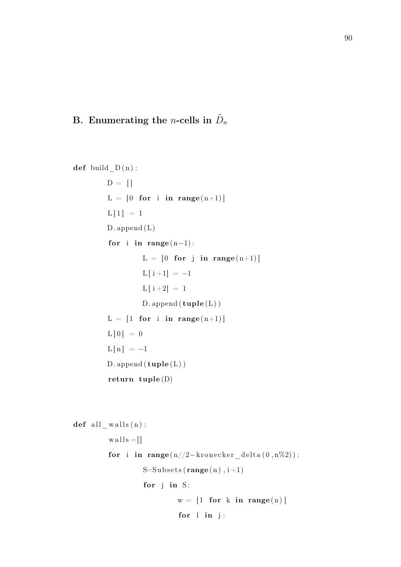# <span id="page-99-0"></span>B. Enumerating the *n*-cells in  $\tilde{D}_n$

 $def$  build  $D ( n )$ :  $D = []$  $L = [0$  for i in range  $(n+1)]$  $L[1] = 1$ D. append (L) for i in range  $(n-1)$ :  $L = [0$  for j in range  $(n+1)]$  $L[i+1] = -1$  $L[i+2] = 1$  $D$ . append  $(tuple (L))$  $L = [1$  for i in range  $(n+1)]$  $L[0] = 0$  $L[n] = -1$  $D.append(tuple(L))$ return tuple (D)

```
def all_walls(n):
           w alls =[]
           for i in range (n//2-kronecker delta ( 0, n\%) ):
                      S=Subsets(<b>range</b>(n), i+1)for j in S:
                                 w = \begin{bmatrix} 1 & \textbf{for} \end{bmatrix} in range (n) |
                                  for l in j:
```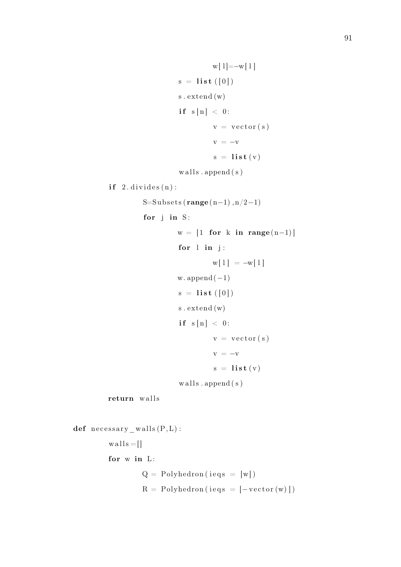```
w[1] = -w[1]s = \textbf{list}([0])s. extend (w)if s[n] < 0:
                                    v = vector(s)v = -vs = \textbf{list}(v)w alls. append (s)if 2. divides (n):S=Subsets (range(n-1), n/2-1)
                  for j in S:
                           w = [1 for k in range (n-1)]for l in j:
                                    w[1] = -w[1]w. append (-1)s = \textbf{list} ([0])s . ex tend (w)
                           if s[n] < 0:
                                    v = vector(s)v = -vs = \text{list}(v)walls.append(s)return walls
def necessary _walls(P, L):
         w alls = []
         for w in L:
                  Q = Polyhedron (ieqs = [w])
```
 $R = Polyhedron (ieqs = [-vector (w)])$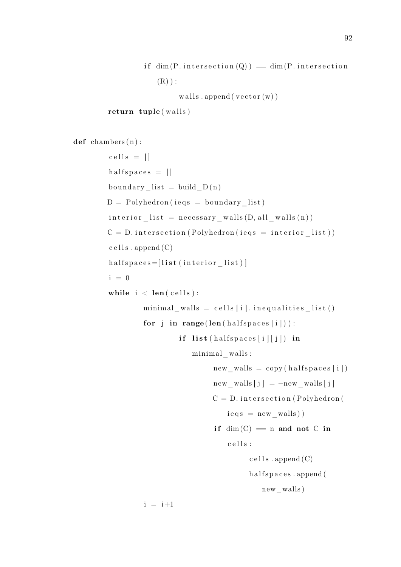```
if \dim(P.\text{intersection}(Q)) = \dim(P.\text{intersection})(R) ) :
```
walls . append ( $vector(w)$ )

```
return tuple (walls)
```

```
def chambers (n):
        \text{cells} = []halfspaces = []boundary list = build D ( n )D = Polyhedron (ieqs = boundary list)interior list = necessary walls (D, all \text{ walls } (n) )C = D. intersection (Polyhedron (ieqs = interior list))
        cells.append(C)halfspaces = [list (interior list)]i = 0while i < len(cells):
                 minimal\_walls = cells[i].inequalities\_list()for j in range (len ( half spaces [i])):
                          if list (halfspaces [i][j]) in
                             minimal_walls :
                                   new walls = copy ( halfspaces [i])
                                   new walls [j] = -new walls [j]C = D. intersection (Polyhedron)
                                      ieqs = new walk)if dim(C) = n and not C in
                                      cells:
                                            cells.append(C)halfspaces.append (
                                               new_walls )
                 i = i+1
```